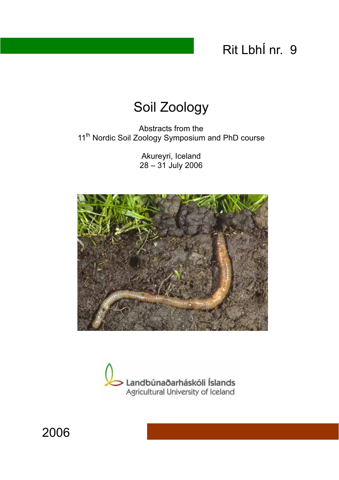# Rit LbhÍ nr. 9

# Soil Zoology

Abstracts from the 11<sup>th</sup> Nordic Soil Zoology Symposium and PhD course

> Akureyri, Iceland 28 – 31 July 2006



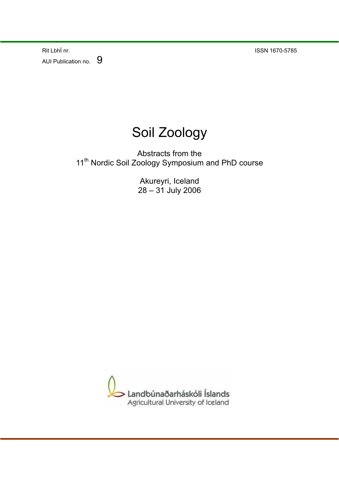Rit LbhÍ nr. ISSN 1670-5785 AUI Publication no. 9



Abstracts from the 11<sup>th</sup> Nordic Soil Zoology Symposium and PhD course

> Akureyri, Iceland 28 – 31 July 2006

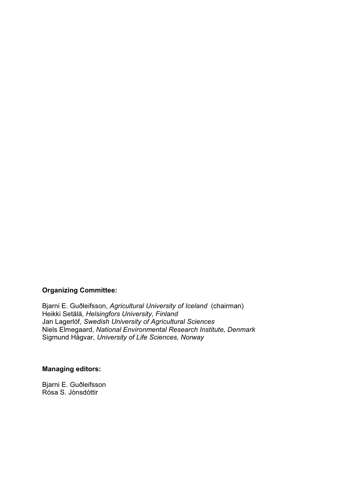#### **Organizing Committee:**

Bjarni E. Guðleifsson, *Agricultural University of Iceland* (chairman) Heikki Setälä, *Helsingfors University, Finland* Jan Lagerlöf, *Swedish University of Agricultural Sciences*  Niels Elmegaard, *National Environmental Research Institute, Denmark* Sigmund Hågvar, *University of Life Sciences, Norway* 

### **Managing editors:**

Bjarni E. Guðleifsson Rósa S. Jónsdóttir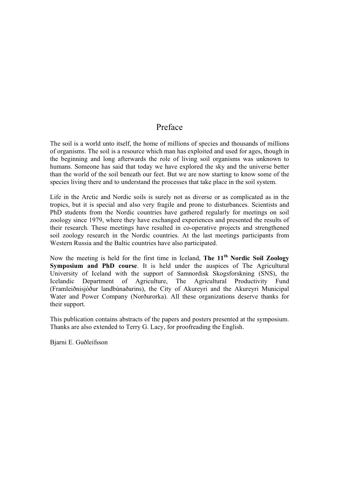### Preface

The soil is a world unto itself, the home of millions of species and thousands of millions of organisms. The soil is a resource which man has exploited and used for ages, though in the beginning and long afterwards the role of living soil organisms was unknown to humans. Someone has said that today we have explored the sky and the universe better than the world of the soil beneath our feet. But we are now starting to know some of the species living there and to understand the processes that take place in the soil system.

Life in the Arctic and Nordic soils is surely not as diverse or as complicated as in the tropics, but it is special and also very fragile and prone to disturbances. Scientists and PhD students from the Nordic countries have gathered regularly for meetings on soil zoology since 1979, where they have exchanged experiences and presented the results of their research. These meetings have resulted in co-operative projects and strengthened soil zoology research in the Nordic countries. At the last meetings participants from Western Russia and the Baltic countries have also participated.

Now the meeting is held for the first time in Iceland, **The 11th Nordic Soil Zoology Symposium and PhD course**. It is held under the auspices of The Agricultural University of Iceland with the support of Samnordisk Skogsforskning (SNS), the Icelandic Department of Agriculture, The Agricultural Productivity Fund (Framleiðnisjóður landbúnaðarins), the City of Akureyri and the Akureyri Municipal Water and Power Company (Norðurorka). All these organizations deserve thanks for their support.

This publication contains abstracts of the papers and posters presented at the symposium. Thanks are also extended to Terry G. Lacy, for proofreading the English.

Bjarni E. Guðleifsson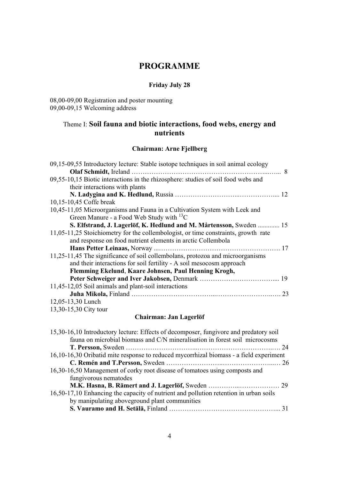### **PROGRAMME**

### **Friday July 28**

08,00-09,00 Registration and poster mounting 09,00-09,15 Welcoming address

## Theme I: **Soil fauna and biotic interactions, food webs, energy and nutrients**

### **Chairman: Arne Fjellberg**

| 09,15-09,55 Introductory lecture: Stable isotope techniques in soil animal ecology |
|------------------------------------------------------------------------------------|
|                                                                                    |
| 09,55-10,15 Biotic interactions in the rhizosphere: studies of soil food webs and  |
| their interactions with plants                                                     |
|                                                                                    |
| 10,15-10,45 Coffe break                                                            |
| 10,45-11,05 Microorganisms and Fauna in a Cultivation System with Leek and         |
| Green Manure - a Food Web Study with $^{13}C$                                      |
| S. Elfstrand, J. Lagerlöf, K. Hedlund and M. Mårtensson, Sweden  15                |
| 11,05-11,25 Stoichiometry for the collembologist, or time constraints, growth rate |
| and response on food nutrient elements in arctic Collembola                        |
|                                                                                    |
| 11,25-11,45 The significance of soil collembolans, protozoa and microorganisms     |
| and their interactions for soil fertility - A soil mesocosm approach               |
| Flemming Ekelund, Kaare Johnsen, Paul Henning Krogh,                               |
|                                                                                    |
| 11,45-12,05 Soil animals and plant-soil interactions                               |
|                                                                                    |
| 12,05-13,30 Lunch                                                                  |
| 13,30-15,30 City tour                                                              |
|                                                                                    |

### **Chairman: Jan Lagerlöf**

| 15,30-16,10 Introductory lecture: Effects of decomposer, fungivore and predatory soil |                                                                                        |
|---------------------------------------------------------------------------------------|----------------------------------------------------------------------------------------|
| fauna on microbial biomass and C/N mineralisation in forest soil microcosms           |                                                                                        |
|                                                                                       |                                                                                        |
|                                                                                       |                                                                                        |
|                                                                                       |                                                                                        |
| 16,30-16,50 Management of corky root disease of tomatoes using composts and           |                                                                                        |
| fungivorous nematodes                                                                 |                                                                                        |
|                                                                                       |                                                                                        |
| 16,50-17,10 Enhancing the capacity of nutrient and pollution retention in urban soils |                                                                                        |
| by manipulating above ground plant communities                                        |                                                                                        |
|                                                                                       |                                                                                        |
|                                                                                       | 16,10-16,30 Oribatid mite response to reduced mycorrhizal biomass - a field experiment |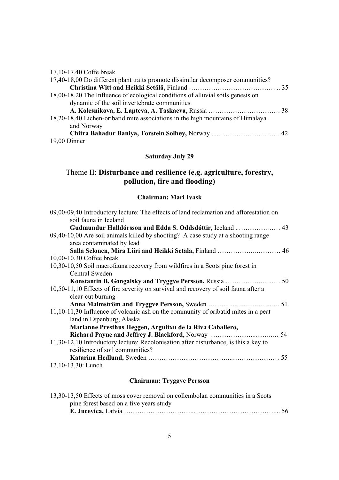| 17,10-17,40 Coffe break                                                          |  |
|----------------------------------------------------------------------------------|--|
| 17,40-18,00 Do different plant traits promote dissimilar decomposer communities? |  |
|                                                                                  |  |
| 18,00-18,20 The Influence of ecological conditions of alluvial soils genesis on  |  |
| dynamic of the soil invertebrate communities                                     |  |
|                                                                                  |  |
| 18,20-18,40 Lichen-oribatid mite associations in the high mountains of Himalaya  |  |
| and Norway                                                                       |  |
| Chitra Bahadur Baniya, Torstein Solhøy, Norway  42                               |  |
| 19,00 Dinner                                                                     |  |

# **Saturday July 29**

# Theme II: **Disturbance and resilience (e.g. agriculture, forestry, pollution, fire and flooding)**

#### **Chairman: Mari Ivask**

| soil fauna in Iceland<br>Gudmundur Halldórsson and Edda S. Oddsdóttir, Iceland  43<br>area contaminated by lead<br>10,30-10,50 Soil macrofauna recovery from wildfires in a Scots pine forest in<br><b>Central Sweden</b><br>10,50-11,10 Effects of fire severity on survival and recovery of soil fauna after a<br>clear-cut burning<br>land in Espenburg, Alaska<br>Marianne Presthus Heggen, Arguitxu de la Riva Caballero,<br>11,30-12,10 Introductory lecture: Recolonisation after disturbance, is this a key to<br>resilience of soil communities? | 09,00-09,40 Introductory lecture: The effects of land reclamation and afforestation on |
|-----------------------------------------------------------------------------------------------------------------------------------------------------------------------------------------------------------------------------------------------------------------------------------------------------------------------------------------------------------------------------------------------------------------------------------------------------------------------------------------------------------------------------------------------------------|----------------------------------------------------------------------------------------|
|                                                                                                                                                                                                                                                                                                                                                                                                                                                                                                                                                           |                                                                                        |
|                                                                                                                                                                                                                                                                                                                                                                                                                                                                                                                                                           |                                                                                        |
|                                                                                                                                                                                                                                                                                                                                                                                                                                                                                                                                                           | 09,40-10,00 Are soil animals killed by shooting? A case study at a shooting range      |
|                                                                                                                                                                                                                                                                                                                                                                                                                                                                                                                                                           |                                                                                        |
|                                                                                                                                                                                                                                                                                                                                                                                                                                                                                                                                                           |                                                                                        |
|                                                                                                                                                                                                                                                                                                                                                                                                                                                                                                                                                           | 10,00-10,30 Coffee break                                                               |
|                                                                                                                                                                                                                                                                                                                                                                                                                                                                                                                                                           |                                                                                        |
|                                                                                                                                                                                                                                                                                                                                                                                                                                                                                                                                                           |                                                                                        |
|                                                                                                                                                                                                                                                                                                                                                                                                                                                                                                                                                           |                                                                                        |
|                                                                                                                                                                                                                                                                                                                                                                                                                                                                                                                                                           |                                                                                        |
|                                                                                                                                                                                                                                                                                                                                                                                                                                                                                                                                                           |                                                                                        |
|                                                                                                                                                                                                                                                                                                                                                                                                                                                                                                                                                           |                                                                                        |
|                                                                                                                                                                                                                                                                                                                                                                                                                                                                                                                                                           | 11,10-11,30 Influence of volcanic ash on the community of oribatid mites in a peat     |
|                                                                                                                                                                                                                                                                                                                                                                                                                                                                                                                                                           |                                                                                        |
|                                                                                                                                                                                                                                                                                                                                                                                                                                                                                                                                                           |                                                                                        |
|                                                                                                                                                                                                                                                                                                                                                                                                                                                                                                                                                           |                                                                                        |
|                                                                                                                                                                                                                                                                                                                                                                                                                                                                                                                                                           |                                                                                        |
|                                                                                                                                                                                                                                                                                                                                                                                                                                                                                                                                                           |                                                                                        |
|                                                                                                                                                                                                                                                                                                                                                                                                                                                                                                                                                           |                                                                                        |
|                                                                                                                                                                                                                                                                                                                                                                                                                                                                                                                                                           | 12,10-13,30: Lunch                                                                     |

### **Chairman: Tryggve Persson**

| 13,30-13,50 Effects of moss cover removal on collembolan communities in a Scots |  |
|---------------------------------------------------------------------------------|--|
| pine forest based on a five years study                                         |  |
|                                                                                 |  |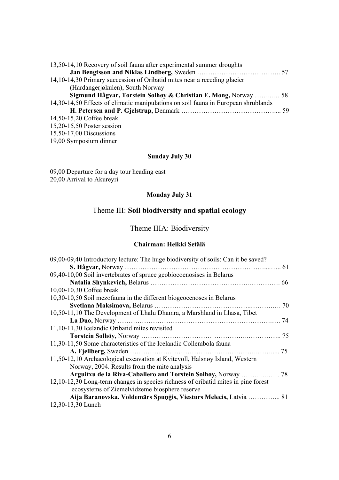| 13,50-14,10 Recovery of soil fauna after experimental summer droughts              |  |
|------------------------------------------------------------------------------------|--|
|                                                                                    |  |
| 14,10-14,30 Primary succession of Oribatid mites near a receding glacier           |  |
| (Hardangerjøkulen), South Norway                                                   |  |
| Sigmund Hågvar, Torstein Solhøy & Christian E. Mong, Norway  58                    |  |
| 14,30-14,50 Effects of climatic manipulations on soil fauna in European shrublands |  |
|                                                                                    |  |
| 14,50-15,20 Coffee break                                                           |  |
| 15,20-15,50 Poster session                                                         |  |
| 15,50-17,00 Discussions                                                            |  |
|                                                                                    |  |

#### 19,00 Symposium dinner

### **Sunday July 30**

09,00 Departure for a day tour heading east 20,00 Arrival to Akureyri

### **Monday July 31**

# Theme III: **Soil biodiversity and spatial ecology**

# Theme IIIA: Biodiversity

#### **Chairman: Heikki Setälä**

| 09,00-09,40 Introductory lecture: The huge biodiversity of soils: Can it be saved? |  |
|------------------------------------------------------------------------------------|--|
|                                                                                    |  |
| 09,40-10,00 Soil invertebrates of spruce geobiocoenosises in Belarus               |  |
|                                                                                    |  |
| 10,00-10,30 Coffee break                                                           |  |
| 10,30-10,50 Soil mezofauna in the different biogeocenoses in Belarus               |  |
|                                                                                    |  |
| 10,50-11,10 The Development of Lhalu Dhamra, a Marshland in Lhasa, Tibet           |  |
|                                                                                    |  |
| 11,10-11,30 Icelandic Oribatid mites revisited                                     |  |
|                                                                                    |  |
| 11,30-11,50 Some characteristics of the Icelandic Collembola fauna                 |  |
|                                                                                    |  |
| 11,50-12,10 Archaeological excavation at Kvitevoll, Halsnøy Island, Western        |  |
| Norway, 2004. Results from the mite analysis                                       |  |
| Arguitxu de la Riva-Caballero and Torstein Solhøy, Norway  78                      |  |
| 12,10-12,30 Long-term changes in species richness of oribatid mites in pine forest |  |
| ecosystems of Ziemelvidzeme biosphere reserve                                      |  |
| Aija Baranovska, Voldemārs Spuņģis, Viesturs Melecis, Latvia  81                   |  |
| 12,30-13,30 Lunch                                                                  |  |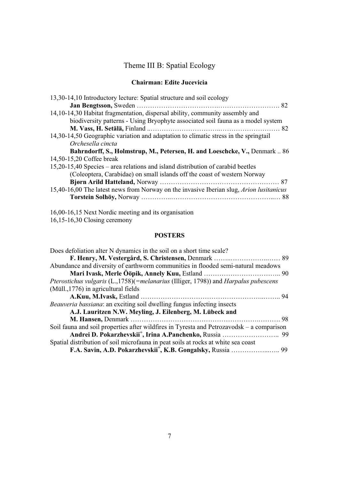# Theme III B: Spatial Ecology

#### **Chairman: Edite Jucevicia**

| 13,30-14,10 Introductory lecture: Spatial structure and soil ecology                    |
|-----------------------------------------------------------------------------------------|
|                                                                                         |
| 14,10-14,30 Habitat fragmentation, dispersal ability, community assembly and            |
| biodiversity patterns - Using Bryophyte associated soil fauna as a model system         |
|                                                                                         |
| 14,30-14,50 Geographic variation and adaptation to climatic stress in the springtail    |
| Orchesella cincta                                                                       |
| Bahrndorff, S., Holmstrup, M., Petersen, H. and Loeschcke, V., Denmark 86               |
| 14,50-15,20 Coffee break                                                                |
| 15,20-15,40 Species – area relations and island distribution of carabid beetles         |
| (Coleoptera, Carabidae) on small islands off the coast of western Norway                |
|                                                                                         |
| 15,40-16,00 The latest news from Norway on the invasive Iberian slug, Arion lusitanicus |
|                                                                                         |
|                                                                                         |

16,00-16,15 Next Nordic meeting and its organisation

### **POSTERS**

| Does defoliation alter N dynamics in the soil on a short time scale?                      |  |
|-------------------------------------------------------------------------------------------|--|
|                                                                                           |  |
| Abundance and diversity of earthworm communities in flooded semi-natural meadows          |  |
|                                                                                           |  |
| Pterostichus vulgaris (L.,1758)(=melanarius (Illiger, 1798)) and Harpalus pubescens       |  |
| (Müll., 1776) in agricultural fields                                                      |  |
|                                                                                           |  |
| <i>Beauveria bassiana</i> : an exciting soil dwelling fungus infecting insects            |  |
| A.J. Lauritzen N.W. Meyling, J. Eilenberg, M. Lübeck and                                  |  |
|                                                                                           |  |
| Soil fauna and soil properties after wildfires in Tyresta and Petrozavodsk – a comparison |  |
|                                                                                           |  |
| Spatial distribution of soil microfauna in peat soils at rocks at white sea coast         |  |
| F.A. Savin, A.D. Pokarzhevskii <sup>+</sup> , K.B. Gongalsky, Russia  99                  |  |

<sup>16,15-16,30</sup> Closing ceremony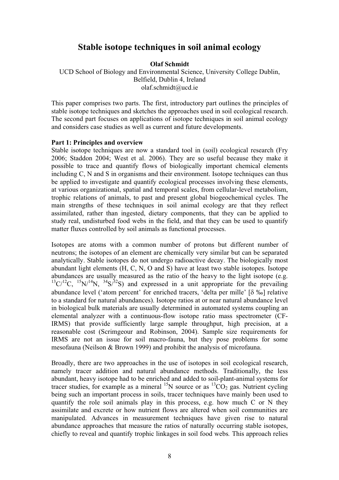### **Stable isotope techniques in soil animal ecology**

**Olaf Schmidt** 

UCD School of Biology and Environmental Science, University College Dublin, Belfield, Dublin 4, Ireland olaf.schmidt@ucd.ie

This paper comprises two parts. The first, introductory part outlines the principles of stable isotope techniques and sketches the approaches used in soil ecological research. The second part focuses on applications of isotope techniques in soil animal ecology and considers case studies as well as current and future developments.

#### **Part 1: Principles and overview**

Stable isotope techniques are now a standard tool in (soil) ecological research (Fry 2006; Staddon 2004; West et al. 2006). They are so useful because they make it possible to trace and quantify flows of biologically important chemical elements including C, N and S in organisms and their environment. Isotope techniques can thus be applied to investigate and quantify ecological processes involving these elements, at various organizational, spatial and temporal scales, from cellular-level metabolism, trophic relations of animals, to past and present global biogeochemical cycles. The main strengths of these techniques in soil animal ecology are that they reflect assimilated, rather than ingested, dietary components, that they can be applied to study real, undisturbed food webs in the field, and that they can be used to quantify matter fluxes controlled by soil animals as functional processes.

Isotopes are atoms with a common number of protons but different number of neutrons; the isotopes of an element are chemically very similar but can be separated analytically. Stable isotopes do not undergo radioactive decay. The biologically most abundant light elements (H, C, N, O and S) have at least two stable isotopes. Isotope abundances are usually measured as the ratio of the heavy to the light isotope (e.g.  $13\text{C}/12\text{C}$ ,  $15\text{N}/14\text{N}$ ,  $34\text{S}/32\text{S}$ ) and expressed in a unit appropriate for the prevailing abundance level ('atom percent' for enriched tracers, 'delta per mille' [G ‰] relative to a standard for natural abundances). Isotope ratios at or near natural abundance level in biological bulk materials are usually determined in automated systems coupling an elemental analyzer with a continuous-flow isotope ratio mass spectrometer (CF-IRMS) that provide sufficiently large sample throughput, high precision, at a reasonable cost (Scrimgeour and Robinson, 2004). Sample size requirements for IRMS are not an issue for soil macro-fauna, but they pose problems for some mesofauna (Neilson & Brown 1999) and prohibit the analysis of microfauna.

Broadly, there are two approaches in the use of isotopes in soil ecological research, namely tracer addition and natural abundance methods. Traditionally, the less abundant, heavy isotope had to be enriched and added to soil-plant-animal systems for tracer studies, for example as a mineral  $^{15}N$  source or as  $^{13}CO_2$  gas. Nutrient cycling being such an important process in soils, tracer techniques have mainly been used to quantify the role soil animals play in this process, e.g. how much C or N they assimilate and excrete or how nutrient flows are altered when soil communities are manipulated. Advances in measurement techniques have given rise to natural abundance approaches that measure the ratios of naturally occurring stable isotopes, chiefly to reveal and quantify trophic linkages in soil food webs*.* This approach relies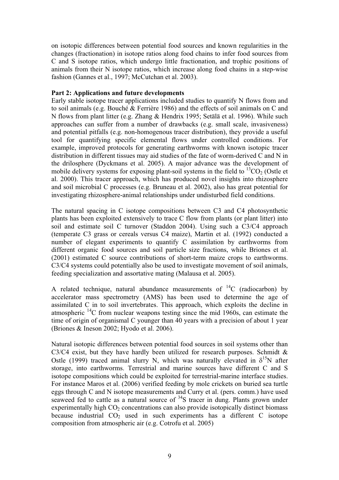on isotopic differences between potential food sources and known regularities in the changes (fractionation) in isotope ratios along food chains to infer food sources from C and S isotope ratios, which undergo little fractionation, and trophic positions of animals from their N isotope ratios, which increase along food chains in a step-wise fashion (Gannes et al., 1997; McCutchan et al. 2003).

#### **Part 2: Applications and future developments**

Early stable isotope tracer applications included studies to quantify N flows from and to soil animals (e.g. Bouché & Ferrière 1986) and the effects of soil animals on C and N flows from plant litter (e.g. Zhang & Hendrix 1995; Setälä et al. 1996). While such approaches can suffer from a number of drawbacks (e.g. small scale, invasiveness) and potential pitfalls (e.g. non-homogenous tracer distribution), they provide a useful tool for quantifying specific elemental flows under controlled conditions. For example, improved protocols for generating earthworms with known isotopic tracer distribution in different tissues may aid studies of the fate of worm-derived C and N in the drilosphere (Dyckmans et al. 2005). A major advance was the development of mobile delivery systems for exposing plant-soil systems in the field to  ${}^{13}CO_2$  (Ostle et al. 2000). This tracer approach, which has produced novel insights into rhizosphere and soil microbial C processes (e.g. Bruneau et al. 2002), also has great potential for investigating rhizosphere-animal relationships under undisturbed field conditions.

The natural spacing in C isotope compositions between C3 and C4 photosynthetic plants has been exploited extensively to trace C flow from plants (or plant litter) into soil and estimate soil C turnover (Staddon 2004). Using such a C3/C4 approach (temperate C3 grass or cereals versus C4 maize), Martin et al. (1992) conducted a number of elegant experiments to quantify C assimilation by earthworms from different organic food sources and soil particle size fractions, while Briones et al. (2001) estimated C source contributions of short-term maize crops to earthworms. C3/C4 systems could potentially also be used to investigate movement of soil animals, feeding specialization and assortative mating (Malausa et al. 2005).

A related technique, natural abundance measurements of  ${}^{14}C$  (radiocarbon) by accelerator mass spectrometry (AMS) has been used to determine the age of assimilated C in to soil invertebrates. This approach, which exploits the decline in atmospheric  $^{14}$ C from nuclear weapons testing since the mid 1960s, can estimate the time of origin of organismal C younger than 40 years with a precision of about 1 year (Briones & Ineson 2002; Hyodo et al. 2006).

Natural isotopic differences between potential food sources in soil systems other than C3/C4 exist, but they have hardly been utilized for research purposes. Schmidt  $\&$ Ostle (1999) traced animal slurry N, which was naturally elevated in  $\delta^{15}N$  after storage, into earthworms. Terrestrial and marine sources have different C and S isotope compositions which could be exploited for terrestrial-marine interface studies. For instance Maros et al. (2006) verified feeding by mole crickets on buried sea turtle eggs through C and N isotope measurements and Curry et al. (pers. comm.) have used seaweed fed to cattle as a natural source of <sup>34</sup>S tracer in dung. Plants grown under experimentally high  $CO<sub>2</sub>$  concentrations can also provide isotopically distinct biomass because industrial  $CO<sub>2</sub>$  used in such experiments has a different C isotope composition from atmospheric air (e.g. Cotrofu et al. 2005)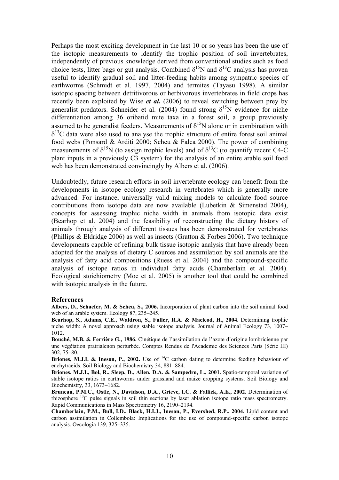Perhaps the most exciting development in the last 10 or so years has been the use of the isotopic measurements to identify the trophic position of soil invertebrates, independently of previous knowledge derived from conventional studies such as food choice tests, litter bags or gut analysis. Combined  $\delta^{15}N$  and  $\delta^{13}C$  analysis has proven useful to identify gradual soil and litter-feeding habits among sympatric species of earthworms (Schmidt et al. 1997, 2004) and termites (Tayasu 1998). A similar isotopic spacing between detritivorous or herbivorous invertebrates in field crops has recently been exploited by Wise *et al***.** (2006) to reveal switching between prey by generalist predators. Schneider et al. (2004) found strong  $\delta^{15}N$  evidence for niche differentiation among 36 oribatid mite taxa in a forest soil, a group previously assumed to be generalist feeders. Measurements of  $\delta^{15}N$  alone or in combination with  $\delta^{13}$ C data were also used to analyse the trophic structure of entire forest soil animal food webs (Ponsard & Arditi 2000; Scheu & Falca 2000). The power of combining measurements of  $\delta^{15}N$  (to assign trophic levels) and of  $\delta^{13}C$  (to quantify recent C4-C plant inputs in a previously C3 system) for the analysis of an entire arable soil food web has been demonstrated convincingly by Albers et al. (2006).

Undoubtedly, future research efforts in soil invertebrate ecology can benefit from the developments in isotope ecology research in vertebrates which is generally more advanced. For instance, universally valid mixing models to calculate food source contributions from isotope data are now available (Lubetkin & Simenstad 2004), concepts for assessing trophic niche width in animals from isotopic data exist (Bearhop et al. 2004) and the feasibility of reconstructing the dietary history of animals through analysis of different tissues has been demonstrated for vertebrates (Phillips & Eldridge 2006) as well as insects (Gratton & Forbes 2006). Two technique developments capable of refining bulk tissue isotopic analysis that have already been adopted for the analysis of dietary C sources and assimilation by soil animals are the analysis of fatty acid compositions (Ruess et al. 2004) and the compound-specific analysis of isotope ratios in individual fatty acids (Chamberlain et al. 2004). Ecological stoichiometry (Moe et al. 2005) is another tool that could be combined with isotopic analysis in the future.

#### **References**

**Albers, D., Schaefer, M. & Scheu, S., 2006.** Incorporation of plant carbon into the soil animal food web of an arable system. Ecology 87, 235–245.

**Bearhop, S., Adams, C.E., Waldron, S., Fuller, R.A. & Macleod, H., 2004.** Determining trophic niche width: A novel approach using stable isotope analysis. Journal of Animal Ecology 73, 1007– 1012.

**Bouché, M.B. & Ferrière G., 1986.** Cinétique de l'assimilation de l'azote d'origine lombricienne par une végétation prairialenon perturbée. Comptes Rendus de l'Academie des Sciences Paris (Série III) 302, 75–80.

**Briones, M.J.I. & Ineson, P., 2002.** Use of <sup>14</sup>C carbon dating to determine feeding behaviour of enchytraeids. Soil Biology and Biochemistry 34, 881–884.

**Briones, M.J.I., Bol, R., Sleep, D., Allen, D.A. & Sampedro, L., 2001.** Spatio-temporal variation of stable isotope ratios in earthworms under grassland and maize cropping systems. Soil Biology and Biochemistry, 33, 1673–1682.

**Bruneau, P.M.C., Ostle, N., Davidson, D.A., Grieve, I.C. & Fallick, A.E., 2002.** Determination of rhizosphere 13C pulse signals in soil thin sections by laser ablation isotope ratio mass spectrometry. Rapid Communications in Mass Spectrometry 16, 2190–2194.

**Chamberlain, P.M., Bull, I.D., Black, H.I.J., Ineson, P., Evershed, R.P., 2004.** Lipid content and carbon assimilation in Collembola: Implications for the use of compound-specific carbon isotope analysis. Oecologia 139, 325–335.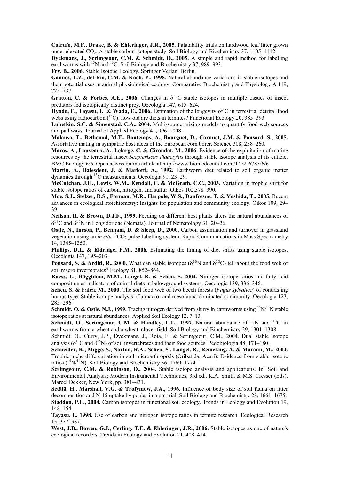**Cotrufo, M.F., Drake, B. & Ehleringer, J.R., 2005.** Palatability trials on hardwood leaf litter grown under elevated  $CO<sub>2</sub>$ : A stable carbon isotope study. Soil Biology and Biochemistry 37, 1105–1112.

**Dyckmans, J., Scrimgeour, C.M. & Schmidt, O., 2005.** A simple and rapid method for labelling earthworms with  $^{15}N$  and  $^{13}C$ . Soil Biology and Biochemistry 37, 989–993.

**Fry, B., 2006.** Stable Isotope Ecology. Springer Verlag, Berlin.

Gannes, L.Z., del Rio, C.M. & Koch, P., 1998. Natural abundance variations in stable isotopes and their potential uses in animal physiological ecology. Comparative Biochemistry and Physiology A 119, 725–737.

**Gratton, C. & Forbes, A.E., 2006.** Changes in  $\delta^{13}$ C stable isotopes in multiple tissues of insect predators fed isotopically distinct prey. Oecologia 147, 615–624.

**Hyodo, F., Tayasu, I. & Wada, E., 2006.** Estimation of the longevity of C in terrestrial detrital food webs using radiocarbon  $(^{14}C)$ : how old are diets in termites? Functional Ecology 20, 385–393.

**Lubetkin, S.C. & Simenstad, C.A., 2004.** Multi-source mixing models to quantify food web sources and pathways. Journal of Applied Ecology 41, 996–1008.

**Malausa, T., Bethenod, M.T., Bontemps, A., Bourguet, D., Cornuet, J.M. & Ponsard, S., 2005.** Assortative mating in sympatric host races of the European corn borer. Science 308, 258–260.

**Maros, A., Louveaux, A,. Lelarge, C. & Girondot, M., 2006.** Evidence of the exploitation of marine resources by the terrestrial insect *Scapteriscus didactylus* through stable isotope analysis of its cuticle. BMC Ecology 6:6. Open access online article at http://www.biomedcentral.com/1472-6785/6/6

**Martin, A., Balesdent, J. & Mariotti, A., 1992.** Earthworm diet related to soil organic matter dynamics through 13C measurements. Oecologia 91, 23–29.

**McCutchan, J.H., Lewis, W.M., Kendall, C. & McGrath, C.C., 2003.** Variation in trophic shift for stable isotope ratios of carbon, nitrogen, and sulfur. Oikos 102,378–390.

**Moe, S.J., Stelzer, R.S., Forman, M.R., Harpole, W.S., Daufresne, T. & Yoshida, T., 2005.** Recent advances in ecological stoichiometry: Insights for population and community ecology. Oikos 109, 29– 39.

**Neilson, R. & Brown, D.J.F., 1999.** Feeding on different host plants alters the natural abundances of  $\delta^{13}$ C and  $\delta^{15}$ N in Longidoridae (Nemata). Journal of Nematology 31, 20–26.

**Ostle, N., Ineson, P., Benham, D. & Sleep, D., 2000.** Carbon assimilation and turnover in grassland vegetation using an *in situ* <sup>13</sup>CO<sub>2</sub> pulse labelling system. Rapid Communications in Mass Spectrometry 14, 1345–1350.

**Phillips, D.L. & Eldridge, P.M., 2006.** Estimating the timing of diet shifts using stable isotopes. Oecologia 147, 195–203.

**Ponsard, S. & Arditi, R., 2000.** What can stable isotopes ( $\delta^{15}N$  and  $\delta^{13}C$ ) tell about the food web of soil macro invertebrates? Ecology 81, 852–864.

**Ruess, L., Häggblom, M.M., Langel, R. & Scheu, S. 2004.** Nitrogen isotope ratios and fatty acid composition as indicators of animal diets in belowground systems. Oecologia 139, 336–346.

**Scheu, S. & Falca, M., 2000.** The soil food web of two beech forests (*Fagus sylvatica*) of contrasting humus type: Stable isotope analysis of a macro- and mesofauna-dominated community. Oecologia 123, 285–296.

**Schmidt, O. & Ostle, N.J., 1999.** Tracing nitrogen derived from slurry in earthworms using <sup>15</sup>N/<sup>14</sup>N stable isotope ratios at natural abundances. Applied Soil Ecology 12, 7–13.

**Schmidt, O., Scrimgeour, C.M.**  $\&$  **Handley, L.L., 1997.** Natural abundance of <sup>15</sup>N and <sup>13</sup>C in earthworms from a wheat and a wheat–clover field. Soil Biology and Biochemistry 29, 1301–1308.

Schmidt, O., Curry, J.P., Dyckmans, J., Rota, E. & Scrimgeour, C.M., 2004. Dual stable isotope analysis ( $\delta^{13}$ C and  $\delta^{15}$ N) of soil invertebrates and their food sources. Pedobiologia 48, 171–180.

**Schneider, K., Migge, S., Norton, R.A., Scheu, S., Langel, R., Reineking, A. & Maraun, M., 2004.** Trophic niche differentiation in soil microarthropods (Oribatida, Acari): Evidence from stable isotope ratios ( $15N/14N$ ). Soil Biology and Biochemistry 36, 1769–1774.

**Scrimgeour, C.M. & Robinson, D., 2004.** Stable isotope analysis and applications. In: Soil and Environmental Analysis: Modern Instrumental Techniques, 3rd ed., K.A. Smith & M.S. Cresser (Eds). Marcel Dekker, New York, pp. 381–431.

**Setälä, H., Marshall, V.G. & Trofymow, J.A., 1996.** Influence of body size of soil fauna on litter decomposition and N-15 uptake by poplar in a pot trial. Soil Biology and Biochemistry 28, 1661–1675. **Staddon, P.L., 2004.** Carbon isotopes in functional soil ecology. Trends in Ecology and Evolution 19, 148–154.

**Tayasu, I., 1998.** Use of carbon and nitrogen isotope ratios in termite research. Ecological Research 13, 377–387.

**West, J.B., Bowen, G.J., Cerling, T.E. & Ehleringer, J.R., 2006.** Stable isotopes as one of nature's ecological recorders. Trends in Ecology and Evolution 21, 408–414.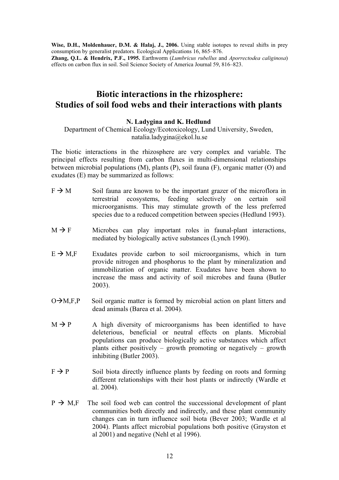**Wise, D.H., Moldenhauer, D.M. & Halaj, J., 2006.** Using stable isotopes to reveal shifts in prey consumption by generalist predators. Ecological Applications 16, 865–876. **Zhang, Q.L. & Hendrix, P.F., 1995.** Earthworm (*Lumbricus rubellus* and *Aporrectodea caliginosa*) effects on carbon flux in soil. Soil Science Society of America Journal 59, 816–823.

# **Biotic interactions in the rhizosphere: Studies of soil food webs and their interactions with plants**

#### **N. Ladygina and K. Hedlund**

#### Department of Chemical Ecology/Ecotoxicology, Lund University, Sweden, natalia.ladygina@ekol.lu.se

The biotic interactions in the rhizosphere are very complex and variable. The principal effects resulting from carbon fluxes in multi-dimensional relationships between microbial populations (M), plants (P), soil fauna (F), organic matter (O) and exudates (E) may be summarized as follows:

- $F \rightarrow M$  Soil fauna are known to be the important grazer of the microflora in terrestrial ecosystems, feeding selectively on certain soil microorganisms. This may stimulate growth of the less preferred species due to a reduced competition between species (Hedlund 1993).
- $M \rightarrow F$  Microbes can play important roles in faunal-plant interactions, mediated by biologically active substances (Lynch 1990).
- $E \rightarrow M$ , Exudates provide carbon to soil microorganisms, which in turn provide nitrogen and phosphorus to the plant by mineralization and immobilization of organic matter. Exudates have been shown to increase the mass and activity of soil microbes and fauna (Butler 2003).
- $O \rightarrow M, F, P$  Soil organic matter is formed by microbial action on plant litters and dead animals (Barea et al. 2004).
- $M \rightarrow P$  A high diversity of microorganisms has been identified to have deleterious, beneficial or neutral effects on plants. Microbial populations can produce biologically active substances which affect plants either positively – growth promoting or negatively – growth inhibiting (Butler 2003).
- $F \rightarrow P$  Soil biota directly influence plants by feeding on roots and forming different relationships with their host plants or indirectly (Wardle et al. 2004).
- $P \rightarrow M.F$  The soil food web can control the successional development of plant communities both directly and indirectly, and these plant community changes can in turn influence soil biota (Bever 2003; Wardle et al 2004). Plants affect microbial populations both positive (Grayston et al 2001) and negative (Nehl et al 1996).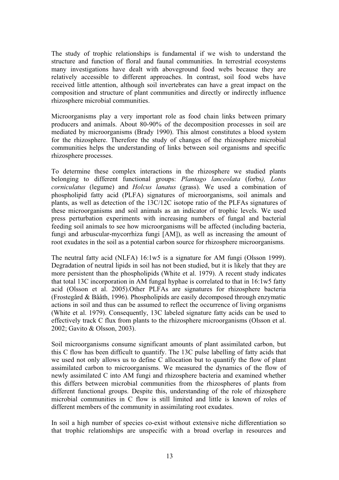The study of trophic relationships is fundamental if we wish to understand the structure and function of floral and faunal communities. In terrestrial ecosystems many investigations have dealt with aboveground food webs because they are relatively accessible to different approaches. In contrast, soil food webs have received little attention, although soil invertebrates can have a great impact on the composition and structure of plant communities and directly or indirectly influence rhizosphere microbial communities.

Microorganisms play a very important role as food chain links between primary producers and animals. About 80-90% of the decomposition processes in soil are mediated by microorganisms (Brady 1990). This almost constitutes a blood system for the rhizosphere. Therefore the study of changes of the rhizosphere microbial communities helps the understanding of links between soil organisms and specific rhizosphere processes.

To determine these complex interactions in the rhizosphere we studied plants belonging to different functional groups: *Plantago lanceolata* (forbs*), Lotus corniculatus* (legume) and *Holcus lanatus* (grass). We used a combination of phospholipid fatty acid (PLFA) signatures of microorganisms, soil animals and plants, as well as detection of the 13C/12C isotope ratio of the PLFAs signatures of these microorganisms and soil animals as an indicator of trophic levels. We used press perturbation experiments with increasing numbers of fungal and bacterial feeding soil animals to see how microorganisms will be affected (including bacteria, fungi and arbuscular-mycorrhiza fungi [AM]), as well as increasing the amount of root exudates in the soil as a potential carbon source for rhizosphere microorganisms.

The neutral fatty acid (NLFA) 16:1w5 is a signature for AM fungi (Olsson 1999). Degradation of neutral lipids in soil has not been studied, but it is likely that they are more persistent than the phospholipids (White et al. 1979). A recent study indicates that total 13C incorporation in AM fungal hyphae is correlated to that in 16:1w5 fatty acid (Olsson et al. 2005).Other PLFAs are signatures for rhizosphere bacteria (Frostegård & Bååth, 1996). Phospholipids are easily decomposed through enzymatic actions in soil and thus can be assumed to reflect the occurrence of living organisms (White et al. 1979). Consequently, 13C labeled signature fatty acids can be used to effectively track C flux from plants to the rhizosphere microorganisms (Olsson et al. 2002; Gavito & Olsson, 2003).

Soil microorganisms consume significant amounts of plant assimilated carbon, but this C flow has been difficult to quantify. The 13C pulse labelling of fatty acids that we used not only allows us to define C allocation but to quantify the flow of plant assimilated carbon to microorganisms. We measured the dynamics of the flow of newly assimilated C into AM fungi and rhizosphere bacteria and examined whether this differs between microbial communities from the rhizospheres of plants from different functional groups. Despite this, understanding of the role of rhizosphere microbial communities in C flow is still limited and little is known of roles of different members of the community in assimilating root exudates.

In soil a high number of species co-exist without extensive niche differentiation so that trophic relationships are unspecific with a broad overlap in resources and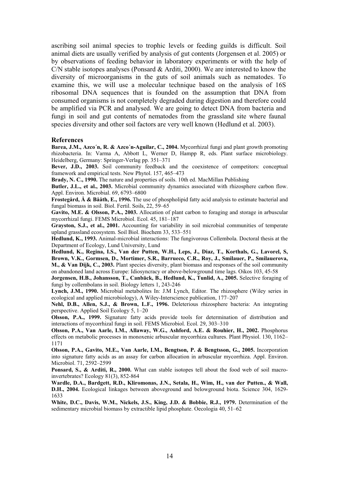ascribing soil animal species to trophic levels or feeding guilds is difficult. Soil animal diets are usually verified by analysis of gut contents (Jorgensen et al. 2005) or by observations of feeding behavior in laboratory experiments or with the help of C/N stable isotopes analyses (Ponsard & Arditi, 2000). We are interested to know the diversity of microorganisms in the guts of soil animals such as nematodes. To examine this, we will use a molecular technique based on the analysis of 16S ribosomal DNA sequences that is founded on the assumption that DNA from consumed organisms is not completely degraded during digestion and therefore could be amplified via PCR and analysed. We are going to detect DNA from bacteria and fungi in soil and gut contents of nematodes from the grassland site where faunal species diversity and other soil factors are very well known (Hedlund et al. 2003).

#### **References**

**Barea, J.M., Azco´n, R. & Azco´n-Aguilar, C., 2004.** Mycorrhizal fungi and plant growth promoting rhizobacteria. In: Varma A, Abbott L, Werner D, Hampp R, eds. Plant surface microbiology. Heidelberg, Germany: Springer-Verlag pp. 351–371

**Bever, J.D., 2003.** Soil community feedback and the coexistence of competitors: conceptual framework and empirical tests. New Phytol. 157, 465–473

**Brady, N. C., 1990.** The nature and properties of soils. 10th ed. MacMillan Publishing

**Butler, J.L., et al., 2003.** Microbial community dynamics associated with rhizosphere carbon flow. Appl. Environ. Microbial. 69, 6793–6800

**Frostegård, Å & Bååth, E., 1996.** The use of phospholipid fatty acid analysis to estimate bacterial and fungal biomass in soil. Biol. Fertil. Soils, 22, 59–65

**Gavito, M.E. & Olsson, P.A., 2003.** Allocation of plant carbon to foraging and storage in arbuscular mycorrhizal fungi. FEMS Microbiol. Ecol. 45, 181–187

**Grayston, S.J., et al., 2001.** Accounting for variability in soil microbial communities of temperate upland grassland ecosystem. Soil Biol. Biochem 33, 533–551

**Hedlund, K., 1993.** Animal-microbial interactions: The fungivorous Collembola. Doctoral thesis at the Department of Ecology, Lund University, Lund

**Hedlund, K., Regina, I.S., Van der Putten, W.H., Leps, J., Diaz, T., Korthals, G., Lavorel, S, Brown, V.K., Gormsen, D., Mortimer, S.R., Barrueco, C.R., Roy, J., Smilauer, P., Smilauerova, M., & Van Dijk, C., 2003.** Plant species diversity, plant biomass and responses of the soil community on abandoned land across Europe: Idiosyncracy or above-belowground time lags. Oikos 103, 45-58

**Jorgensen, H.B., Johansson, T., Canbäck, B., Hedlund, K., Tunlid, A., 2005.** Selective foraging of fungi by collembolans in soil. Biology letters 1, 243-246

**Lynch, J.M., 1990.** Microbial metabolites In: J.M Lynch, Editor. The rhizosphere (Wiley series in ecological and applied microbiology), A Wiley-Interscience publication, 177–207

**Nehl, D.B., Allen, S.J., & Brown, L.F., 1996.** Deleterious rhizosphere bacteria: An integrating perspective. Applied Soil Ecology 5, 1–20

**Olsson, P.A., 1999.** Signature fatty acids provide tools for determination of distribution and interactions of mycorrhizal fungi in soil. FEMS Microbiol. Ecol. 29, 303–310

**Olsson, P.A., Van Aarle, I.M., Allaway, W.G., Ashford, A.E. & Rouhier, H., 2002.** Phosphorus effects on metabolic processes in monoxenic arbuscular mycorrhiza cultures. Plant Physiol. 130, 1162– 1171

**Olsson, P.A., Gavito, M.E., Van Aarle, I.M., Bengtson, P. & Bengtsson, G., 2005.** Incorporation into signature fatty acids as an assay for carbon allocation in arbuscular mycorrhiza. Appl. Environ. Microbiol. 71, 2592–2599

**Ponsard, S., & Arditi, R., 2000.** What can stable isotopes tell about the food web of soil macroinvertebrates? Ecology 81(3), 852-864

**Wardle, D.A., Bardgett, R.D., Kliromonas, J.N., Setala, H., Wim, H., van der Putten., & Wall, D.H., 2004.** Ecological linkages between aboveground and belowground biota. Science 304, 1629- 1633

**White, D.C., Davis, W.M., Nickels, J.S., King, J.D. & Bobbie, R.J., 1979.** Determination of the sedimentary microbial biomass by extractible lipid phosphate. Oecologia 40, 51–62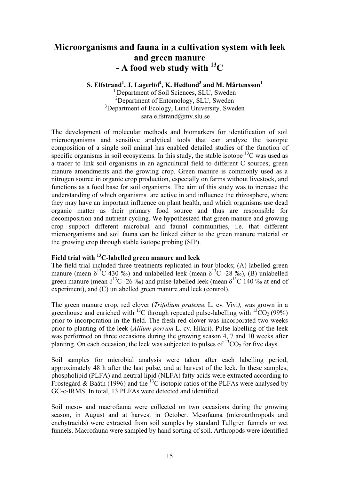# **Microorganisms and fauna in a cultivation system with leek and green manure - A food web study with 13C**

 ${\bf S.}$  Elfstrand $^1$ , J. Lagerlöf $^2$ , K. Hedlund $^3$  and M. Mårtensson $^1$ <sup>1</sup> Department of Soil Sciences, SLU, Sweden

<sup>2</sup>Department of Entomology, SLU, Sweden <sup>3</sup>Department of Ecology, Lund University, Sweden sara.elfstrand@mv.slu.se

The development of molecular methods and biomarkers for identification of soil microorganisms and sensitive analytical tools that can analyze the isotopic composition of a single soil animal has enabled detailed studies of the function of specific organisms in soil ecosystems. In this study, the stable isotope  ${}^{13}C$  was used as a tracer to link soil organisms in an agricultural field to different C sources; green manure amendments and the growing crop. Green manure is commonly used as a nitrogen source in organic crop production, especially on farms without livestock, and functions as a food base for soil organisms. The aim of this study was to increase the understanding of which organisms are active in and influence the rhizosphere, where they may have an important influence on plant health, and which organisms use dead organic matter as their primary food source and thus are responsible for decomposition and nutrient cycling. We hypothesized that green manure and growing crop support different microbial and faunal communities, i.e. that different microorganisms and soil fauna can be linked either to the green manure material or the growing crop through stable isotope probing (SIP).

#### **Field trial with 13C-labelled green manure and leek**

The field trial included three treatments replicated in four blocks; (A) labelled green manure (mean  $\delta^{13}C$  430 ‰) and unlabelled leek (mean  $\delta^{13}C$  -28 ‰), (B) unlabelled green manure (mean  $\delta^{13}C$  -26 ‰) and pulse-labelled leek (mean  $\delta^{13}C$  140 ‰ at end of experiment), and (C) unlabelled green manure and leek (control).

The green manure crop, red clover (*Trifolium pratense* L. cv. Vivi*),* was grown in a greenhouse and enriched with <sup>13</sup>C through repeated pulse-labelling with <sup>13</sup>CO<sub>2</sub> (99%) prior to incorporation in the field. The fresh red clover was incorporated two weeks prior to planting of the leek (*Allium porrum* L. cv. Hilari). Pulse labelling of the leek was performed on three occasions during the growing season 4, 7 and 10 weeks after planting. On each occasion, the leek was subjected to pulses of  ${}^{13}CO_2$  for five days.

Soil samples for microbial analysis were taken after each labelling period, approximately 48 h after the last pulse, and at harvest of the leek. In these samples, phospholipid (PLFA) and neutral lipid (NLFA) fatty acids were extracted according to Frostegård & Bååth (1996) and the <sup>13</sup>C isotopic ratios of the PLFAs were analysed by GC-c-IRMS. In total, 13 PLFAs were detected and identified.

Soil meso- and macrofauna were collected on two occasions during the growing season, in August and at harvest in October. Mesofauna (microarthropods and enchytraeids) were extracted from soil samples by standard Tullgren funnels or wet funnels. Macrofauna were sampled by hand sorting of soil. Arthropods were identified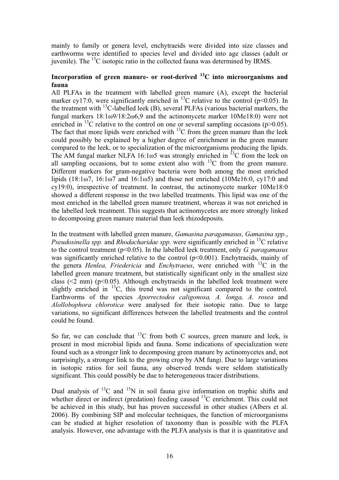mainly to family or genera level, enchytraeids were divided into size classes and earthworms were identified to species level and divided into age classes (adult or juvenile). The  $^{13}$ C isotopic ratio in the collected fauna was determined by IRMS.

### **Incorporation of green manure- or root-derived 13C into microorganisms and fauna**

All PLFAs in the treatment with labelled green manure (A), except the bacterial marker cy17:0, were significantly enriched in <sup>13</sup>C relative to the control ( $p$ <0.05). In the treatment with  ${}^{13}C$ -labelled leek (B), several PLFAs (various bacterial markers, the fungal markers  $18:1\omega$ 9/18:2 $\omega$ 6.9 and the actinomycete marker 10Me18:0) were not enriched in <sup>13</sup>C relative to the control on one or several sampling occasions ( $p>0.05$ ). The fact that more lipids were enriched with  $^{13}$ C from the green manure than the leek could possibly be explained by a higher degree of enrichment in the green manure compared to the leek, or to specialization of the microorganisms producing the lipids. The AM fungal marker NLFA 16:1 $\omega$ 5 was strongly enriched in <sup>13</sup>C from the leek on all sampling occasions, but to some extent also with  $^{13}$ C from the green manure. Different markers for gram-negative bacteria were both among the most enriched lipids  $(18:1\omega^7, 16:1\omega^7, \text{ and } 16:1\omega^5)$  and those not enriched  $(10\text{Me}16:0, \text{ cyl}7:0, \text{ and } 16:1\omega^5)$ cy19:0), irrespective of treatment. In contrast, the actinomycete marker 10Me18:0 showed a different response in the two labelled treatments. This lipid was one of the most enriched in the labelled green manure treatment, whereas it was not enriched in the labelled leek treatment. This suggests that actinomycetes are more strongly linked to decomposing green manure material than leek rhizodeposits.

In the treatment with labelled green manure, *Gamasina paragamasus*, *Gamasina spp.*, *Pseudosinella spp.* and *Rhodacharidae spp.* were significantly enriched in <sup>13</sup>C relative to the control treatment (p<0.05). In the labelled leek treatment, only *G. paragamasus* was significantly enriched relative to the control ( $p$ <0.001). Enchytraeids, mainly of the genera *Henlea, Friedericia* and *Enchytraeus*, were enriched with 13C in the labelled green manure treatment, but statistically significant only in the smallest size class ( $\leq$ 2 mm) ( $p\leq$ 0.05). Although enchytraeids in the labelled leek treatment were slightly enriched in  $^{13}$ C, this trend was not significant compared to the control. Earthworms of the species *Aporrectodea caligonosa, A. longa, A. rosea* and *Alollobophora chlorotica* were analysed for their isotopic ratio. Due to large variations, no significant differences between the labelled treatments and the control could be found.

So far, we can conclude that  ${}^{13}C$  from both C sources, green manure and leek, is present in most microbial lipids and fauna. Some indications of specialization were found such as a stronger link to decomposing green manure by actinomycetes and, not surprisingly, a stronger link to the growing crop by AM fungi. Due to large variations in isotopic ratios for soil fauna, any observed trends were seldom statistically significant. This could possibly be due to heterogeneous tracer distributions.

Dual analysis of  ${}^{13}C$  and  ${}^{15}N$  in soil fauna give information on trophic shifts and whether direct or indirect (predation) feeding caused <sup>13</sup>C enrichment. This could not be achieved in this study, but has proven successful in other studies (Albers et al. 2006). By combining SIP and molecular techniques, the function of microorganisms can be studied at higher resolution of taxonomy than is possible with the PLFA analysis. However, one advantage with the PLFA analysis is that it is quantitative and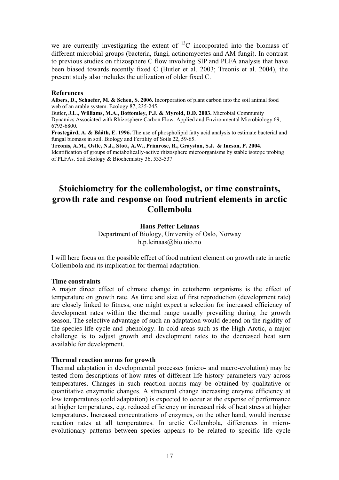we are currently investigating the extent of  ${}^{13}$ C incorporated into the biomass of different microbial groups (bacteria, fungi, actinomycetes and AM fungi). In contrast to previous studies on rhizosphere C flow involving SIP and PLFA analysis that have been biased towards recently fixed C (Butler et al. 2003; Treonis et al. 2004), the present study also includes the utilization of older fixed C.

#### **References**

**Albers, D., Schaefer, M. & Scheu, S. 2006.** Incorporation of plant carbon into the soil animal food web of an arable system. Ecology 87, 235-245.

Butler**, J.L., Williams, M.A., Bottomley, P.J. & Myrold, D.D. 2003.** Microbial Community Dynamics Associated with Rhizosphere Carbon Flow. Applied and Environmental Microbiology 69, 6793-6800.

**Frostegård, A. & Bååth, E. 1996.** The use of phospholipid fatty acid analysis to estimate bacterial and fungal biomass in soil. Biology and Fertility of Soils 22, 59-65.

**Treonis, A.M., Ostle, N.J., Stott, A.W., Primrose, R., Grayston, S.J. & Ineson, P. 2004.** Identification of groups of metabolically-active rhizosphere microorganisms by stable isotope probing of PLFAs. Soil Biology & Biochemistry 36, 533-537.

# **Stoichiometry for the collembologist, or time constraints, growth rate and response on food nutrient elements in arctic Collembola**

#### **Hans Petter Leinaas**

Department of Biology, University of Oslo, Norway h.p.leinaas@bio.uio.no

I will here focus on the possible effect of food nutrient element on growth rate in arctic Collembola and its implication for thermal adaptation.

#### **Time constraints**

A major direct effect of climate change in ectotherm organisms is the effect of temperature on growth rate. As time and size of first reproduction (development rate) are closely linked to fitness, one might expect a selection for increased efficiency of development rates within the thermal range usually prevailing during the growth season. The selective advantage of such an adaptation would depend on the rigidity of the species life cycle and phenology. In cold areas such as the High Arctic, a major challenge is to adjust growth and development rates to the decreased heat sum available for development.

#### **Thermal reaction norms for growth**

Thermal adaptation in developmental processes (micro- and macro-evolution) may be tested from descriptions of how rates of different life history parameters vary across temperatures. Changes in such reaction norms may be obtained by qualitative or quantitative enzymatic changes. A structural change increasing enzyme efficiency at low temperatures (cold adaptation) is expected to occur at the expense of performance at higher temperatures, e.g. reduced efficiency or increased risk of heat stress at higher temperatures. Increased concentrations of enzymes, on the other hand, would increase reaction rates at all temperatures. In arctic Collembola, differences in microevolutionary patterns between species appears to be related to specific life cycle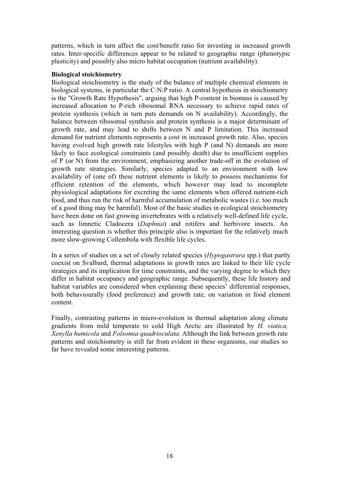patterns, which in turn affect the cost/benefit ratio for investing in increased growth rates. Inter-specific differences appear to be related to geographic range (phenotypic plasticity) and possibly also micro habitat occupation (nutrient availability).

#### **Biological stoichiometry**

Biological stoichiometry is the study of the balance of multiple chemical elements in biological systems, in particular the C:N:P ratio. A central hypothesis in stoichiometry is the "Growth Rate Hypothesis", arguing that high P-content in biomass is caused by increased allocation to P-rich ribosomal RNA necessary to achieve rapid rates of protein synthesis (which in turn puts demands on N availability). Accordingly, the balance between ribosomal synthesis and protein synthesis is a major determinant of growth rate, and may lead to shifts between N and P limitation. This increased demand for nutrient elements represents a cost in increased growth rate. Also, species having evolved high growth rate lifestyles with high P (and N) demands are more likely to face ecological constraints (and possibly death) due to insufficient supplies of P (or N) from the environment, emphasizing another trade-off in the evolution of growth rate strategies. Similarly, species adapted to an environment with low availability of (one of) these nutrient elements is likely to possess mechanisms for efficient retention of the elements, which however may lead to incomplete physiological adaptations for excreting the same elements when offered nutrient-rich food, and thus run the risk of harmful accumulation of metabolic wastes (i.e. too much of a good thing may be harmful). Most of the basic studies in ecological stoichiometry have been done on fast growing invertebrates with a relatively well-defined life cycle, such as limnetic Cladocera (*Daphnia*) and rotifers and herbivore insects. An interesting question is whether this principle also is important for the relatively much more slow-growing Collembola with flexible life cycles.

In a series of studies on a set of closely related species (*Hypogastrura* spp.) that partly coexist on Svalbard, thermal adaptations in growth rates are linked to their life cycle strategies and its implication for time constraints, and the varying degree to which they differ in habitat occupancy and geographic range. Subsequently, these life history and habitat variables are considered when explaining these species' differential responses, both behaviourally (food preference) and growth rate, on variation in food element content.

Finally, contrasting patterns in micro-evolution in thermal adaptation along climate gradients from mild temperate to cold High Arctic are illustrated by *H. viatica, Xenylla humicola* and *Folsomia quadrioculata*. Although the link between growth rate patterns and stoichiometry is still far from evident in these organisms, our studies so far have revealed some interesting patterns.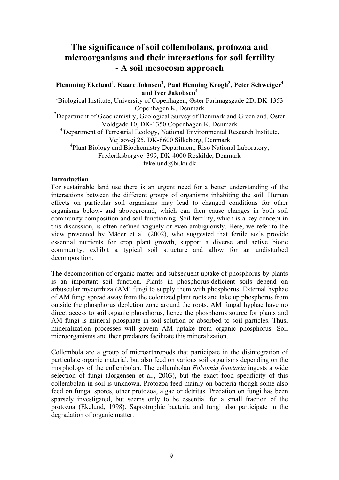# **The significance of soil collembolans, protozoa and microorganisms and their interactions for soil fertility - A soil mesocosm approach**

### **Flemming Ekelund1** , **Kaare Johnsen2 , Paul Henning Krogh<sup>3</sup> , Peter Schweiger4 and Iver Jakobsen4**

<sup>1</sup>Biological Institute, University of Copenhagen, Øster Farimagsgade 2D, DK-1353 Copenhagen K, Denmark

<sup>2</sup>Department of Geochemistry, Geological Survey of Denmark and Greenland, Øster Voldgade 10, DK-1350 Copenhagen K, Denmark

**<sup>3</sup>** Department of Terrestrial Ecology, National Environmental Research Institute, Vejlsøvej 25, DK-8600 Silkeborg, Denmark

4 Plant Biology and Biochemistry Department, Risø National Laboratory,

Frederiksborgvej 399, DK-4000 Roskilde, Denmark

fekelund@bi.ku.dk

#### **Introduction**

For sustainable land use there is an urgent need for a better understanding of the interactions between the different groups of organisms inhabiting the soil. Human effects on particular soil organisms may lead to changed conditions for other organisms below- and aboveground, which can then cause changes in both soil community composition and soil functioning. Soil fertility, which is a key concept in this discussion, is often defined vaguely or even ambiguously. Here, we refer to the view presented by Mäder et al. (2002), who suggested that fertile soils provide essential nutrients for crop plant growth, support a diverse and active biotic community, exhibit a typical soil structure and allow for an undisturbed decomposition.

The decomposition of organic matter and subsequent uptake of phosphorus by plants is an important soil function. Plants in phosphorus-deficient soils depend on arbuscular mycorrhiza (AM) fungi to supply them with phosphorus. External hyphae of AM fungi spread away from the colonized plant roots and take up phosphorus from outside the phosphorus depletion zone around the roots. AM fungal hyphae have no direct access to soil organic phosphorus, hence the phosphorus source for plants and AM fungi is mineral phosphate in soil solution or absorbed to soil particles. Thus, mineralization processes will govern AM uptake from organic phosphorus. Soil microorganisms and their predators facilitate this mineralization.

Collembola are a group of microarthropods that participate in the disintegration of particulate organic material, but also feed on various soil organisms depending on the morphology of the collembolan. The collembolan *Folsomia fimetaria* ingests a wide selection of fungi (Jørgensen et al., 2003), but the exact food specificity of this collembolan in soil is unknown. Protozoa feed mainly on bacteria though some also feed on fungal spores, other protozoa, algae or detritus. Predation on fungi has been sparsely investigated, but seems only to be essential for a small fraction of the protozoa (Ekelund, 1998). Saprotrophic bacteria and fungi also participate in the degradation of organic matter.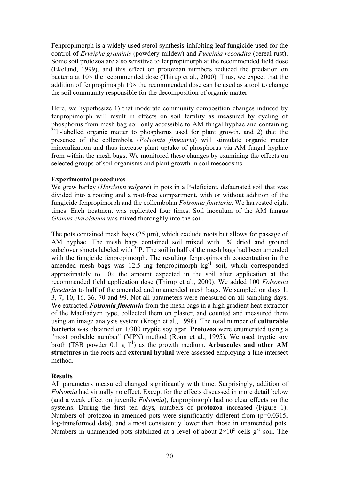Fenpropimorph is a widely used sterol synthesis-inhibiting leaf fungicide used for the control of *Erysiphe graminis* (powdery mildew) and *Puccinia recondita* (cereal rust). Some soil protozoa are also sensitive to fenpropimorph at the recommended field dose (Ekelund, 1999), and this effect on protozoan numbers reduced the predation on bacteria at  $10\times$  the recommended dose (Thirup et al., 2000). Thus, we expect that the addition of fenpropimorph  $10\times$  the recommended dose can be used as a tool to change the soil community responsible for the decomposition of organic matter.

Here, we hypothesize 1) that moderate community composition changes induced by fenpropimorph will result in effects on soil fertility as measured by cycling of phosphorus from mesh bag soil only accessible to AM fungal hyphae and containing  $33P$ -labelled organic matter to phosphorus used for plant growth, and 2) that the presence of the collembola (*Folsomia fimetaria*) will stimulate organic matter mineralization and thus increase plant uptake of phosphorus via AM fungal hyphae from within the mesh bags. We monitored these changes by examining the effects on selected groups of soil organisms and plant growth in soil mesocosms.

#### **Experimental procedures**

We grew barley (*Hordeum vulgare*) in pots in a P-deficient, defaunated soil that was divided into a rooting and a root-free compartment, with or without addition of the fungicide fenpropimorph and the collembolan *Folsomia fimetaria*. We harvested eight times. Each treatment was replicated four times. Soil inoculum of the AM fungus *Glomus claroideum* was mixed thoroughly into the soil.

The pots contained mesh bags  $(25 \mu m)$ , which exclude roots but allows for passage of AM hyphae. The mesh bags contained soil mixed with 1% dried and ground subclover shoots labeled with  $33P$ . The soil in half of the mesh bags had been amended with the fungicide fenpropimorph. The resulting fenpropimorph concentration in the amended mesh bags was  $12.5$  mg fenpropimorph  $kg^{-1}$  soil, which corresponded approximately to  $10\times$  the amount expected in the soil after application at the recommended field application dose (Thirup et al., 2000). We added 100 *Folsomia fimetaria* to half of the amended and unamended mesh bags. We sampled on days 1, 3, 7, 10, 16, 36, 70 and 99. Not all parameters were measured on all sampling days. We extracted *Folsomia fimetaria* from the mesh bags in a high gradient heat extractor of the MacFadyen type, collected them on plaster, and counted and measured them using an image analysis system (Krogh et al., 1998). The total number of **culturable bacteria** was obtained on 1/300 tryptic soy agar. **Protozoa** were enumerated using a "most probable number" (MPN) method (Rønn et al., 1995). We used tryptic soy broth (TSB powder 0.1 g  $1^{-1}$ ) as the growth medium. Arbuscules and other AM **structures** in the roots and **external hyphal** were assessed employing a line intersect method.

#### **Results**

All parameters measured changed significantly with time. Surprisingly, addition of *Folsomia* had virtually no effect. Except for the effects discussed in more detail below (and a weak effect on juvenile *Folsomia*), fenpropimorph had no clear effects on the systems. During the first ten days, numbers of **protozoa** increased (Figure 1). Numbers of protozoa in amended pots were significantly different from (p=0.0315, log-transformed data), and almost consistently lower than those in unamended pots. Numbers in unamended pots stabilized at a level of about  $2\times10^5$  cells g<sup>-1</sup> soil. The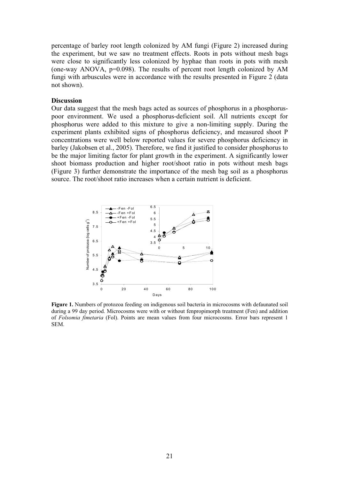percentage of barley root length colonized by AM fungi (Figure 2) increased during the experiment, but we saw no treatment effects. Roots in pots without mesh bags were close to significantly less colonized by hyphae than roots in pots with mesh (one-way ANOVA, p=0.098). The results of percent root length colonized by AM fungi with arbuscules were in accordance with the results presented in Figure 2 (data not shown).

#### **Discussion**

Our data suggest that the mesh bags acted as sources of phosphorus in a phosphoruspoor environment. We used a phosphorus-deficient soil. All nutrients except for phosphorus were added to this mixture to give a non-limiting supply. During the experiment plants exhibited signs of phosphorus deficiency, and measured shoot P concentrations were well below reported values for severe phosphorus deficiency in barley (Jakobsen et al., 2005). Therefore, we find it justified to consider phosphorus to be the major limiting factor for plant growth in the experiment. A significantly lower shoot biomass production and higher root/shoot ratio in pots without mesh bags (Figure 3) further demonstrate the importance of the mesh bag soil as a phosphorus source. The root/shoot ratio increases when a certain nutrient is deficient.



**Figure 1.** Numbers of protozoa feeding on indigenous soil bacteria in microcosms with defaunated soil during a 99 day period. Microcosms were with or without fenpropimorph treatment (Fen) and addition of *Folsomia fimetaria* (Fol). Points are mean values from four microcosms. Error bars represent 1 SEM.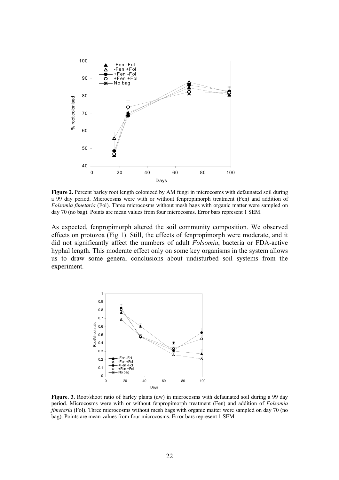

**Figure 2.** Percent barley root length colonized by AM fungi in microcosms with defaunated soil during a 99 day period. Microcosms were with or without fenpropimorph treatment (Fen) and addition of *Folsomia fimetaria* (Fol). Three microcosms without mesh bags with organic matter were sampled on day 70 (no bag). Points are mean values from four microcosms. Error bars represent 1 SEM.

As expected, fenpropimorph altered the soil community composition. We observed effects on protozoa (Fig 1). Still, the effects of fenpropimorph were moderate, and it did not significantly affect the numbers of adult *Folsomia*, bacteria or FDA-active hyphal length. This moderate effect only on some key organisms in the system allows us to draw some general conclusions about undisturbed soil systems from the experiment.



**Figure. 3.** Root/shoot ratio of barley plants (dw) in microcosms with defaunated soil during a 99 day period. Microcosms were with or without fenpropimorph treatment (Fen) and addition of *Folsomia fimetaria* (Fol). Three microcosms without mesh bags with organic matter were sampled on day 70 (no bag). Points are mean values from four microcosms. Error bars represent 1 SEM.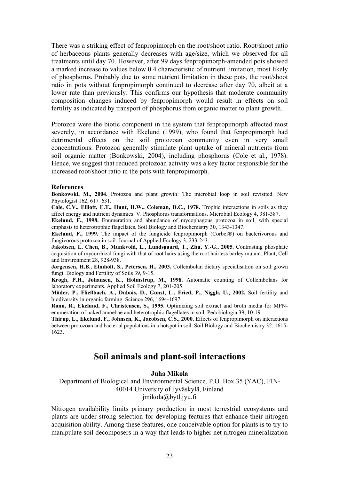There was a striking effect of fenpropimorph on the root/shoot ratio. Root/shoot ratio of herbaceous plants generally decreases with age/size, which we observed for all treatments until day 70. However, after 99 days fenpropimorph-amended pots showed a marked increase to values below 0.4 characteristic of nutrient limitation, most likely of phosphorus. Probably due to some nutrient limitation in these pots, the root/shoot ratio in pots without fenpropimorph continued to decrease after day 70, albeit at a lower rate than previously. This confirms our hypothesis that moderate community composition changes induced by fenpropimorph would result in effects on soil fertility as indicated by transport of phosphorus from organic matter to plant growth.

Protozoa were the biotic component in the system that fenpropimorph affected most severely, in accordance with Ekelund (1999), who found that fenpropimorph had detrimental effects on the soil protozoan community even in very small concentrations. Protozoa generally stimulate plant uptake of mineral nutrients from soil organic matter (Bonkowski, 2004), including phosphorus (Cole et al., 1978). Hence, we suggest that reduced protozoan activity was a key factor responsible for the increased root/shoot ratio in the pots with fenpropimorph.

#### **References**

**Bonkowski, M., 2004.** Protozoa and plant growth: The microbial loop in soil revisited. New Phytologist 162, 617–631.

**Cole, C.V., Elliott, E.T., Hunt, H.W., Coleman, D.C., 1978.** Trophic interactions in soils as they affect energy and nutrient dynamics. V. Phosphorus transformations. Microbial Ecology 4, 381-387.

**Ekelund, F., 1998.** Enumeration and abundance of mycophagous protozoa in soil, with special emphasis to heterotrophic flagellates. Soil Biology and Biochemistry 30, 1343-1347.

**Ekelund, F., 1999.** The impact of the fungicide fenpropimorph (Corbel®) on bacterivorous and fungivorous protozoa in soil. Journal of Applied Ecology 3, 233-243.

**Jakobsen, I., Chen, B., Munkvold, L., Lundsgaard, T., Zhu, Y.-G., 2005.** Contrasting phosphate acquisition of mycorrhizal fungi with that of root hairs using the root hairless barley mutant. Plant, Cell and Environment 28, 928-938.

**Jørgensen, H.B., Elmholt, S., Petersen, H., 2003.** Collembolan dietary specialisation on soil grown fungi. Biology and Fertility of Soils 39, 9-15.

**Krogh, P.H., Johansen, K., Holmstrup, M., 1998.** Automatic counting of Collembolans for laboratory experiments*.* Applied Soil Ecology 7, 201-205.

**Mäder, P., Fließbach, A., Dubois, D., Gunst, L., Fried, P., Niggli, U., 2002.** Soil fertility and biodiversity in organic farming. Science 296, 1694-1697.

**Rønn, R., Ekelund, F., Christensen, S., 1995.** Optimizing soil extract and broth media for MPNenumeration of naked amoebae and heterotrophic flagellates in soil. Pedobiologia 39, 10-19.

**Thirup, L., Ekelund, F., Johnsen, K., Jacobsen, C.S., 2000.** Effects of fenpropimorph on interactions between protozoan and bacterial populations in a hotspot in soil. Soil Biology and Biochemistry 32, 1615- 1623.

### **Soil animals and plant-soil interactions**

#### **Juha Mikola**

Department of Biological and Environmental Science, P.O. Box 35 (YAC), FIN-40014 University of Jyväskylä, Finland jmikola@bytl.jyu.fi

Nitrogen availability limits primary production in most terrestrial ecosystems and plants are under strong selection for developing features that enhance their nitrogen acquisition ability. Among these features, one conceivable option for plants is to try to manipulate soil decomposers in a way that leads to higher net nitrogen mineralization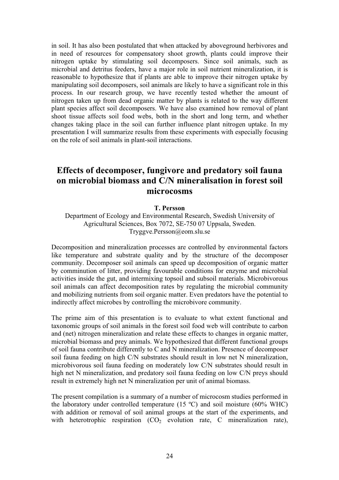in soil. It has also been postulated that when attacked by aboveground herbivores and in need of resources for compensatory shoot growth, plants could improve their nitrogen uptake by stimulating soil decomposers. Since soil animals, such as microbial and detritus feeders, have a major role in soil nutrient mineralization, it is reasonable to hypothesize that if plants are able to improve their nitrogen uptake by manipulating soil decomposers, soil animals are likely to have a significant role in this process. In our research group, we have recently tested whether the amount of nitrogen taken up from dead organic matter by plants is related to the way different plant species affect soil decomposers. We have also examined how removal of plant shoot tissue affects soil food webs, both in the short and long term, and whether changes taking place in the soil can further influence plant nitrogen uptake. In my presentation I will summarize results from these experiments with especially focusing on the role of soil animals in plant-soil interactions.

# **Effects of decomposer, fungivore and predatory soil fauna on microbial biomass and C/N mineralisation in forest soil microcosms**

#### **T. Persson**

Department of Ecology and Environmental Research, Swedish University of Agricultural Sciences, Box 7072, SE-750 07 Uppsala, Sweden. Tryggve.Persson@eom.slu.se

Decomposition and mineralization processes are controlled by environmental factors like temperature and substrate quality and by the structure of the decomposer community. Decomposer soil animals can speed up decomposition of organic matter by comminution of litter, providing favourable conditions for enzyme and microbial activities inside the gut, and intermixing topsoil and subsoil materials. Microbivorous soil animals can affect decomposition rates by regulating the microbial community and mobilizing nutrients from soil organic matter. Even predators have the potential to indirectly affect microbes by controlling the microbivore community.

The prime aim of this presentation is to evaluate to what extent functional and taxonomic groups of soil animals in the forest soil food web will contribute to carbon and (net) nitrogen mineralization and relate these effects to changes in organic matter, microbial biomass and prey animals. We hypothesized that different functional groups of soil fauna contribute differently to C and N mineralization. Presence of decomposer soil fauna feeding on high C/N substrates should result in low net N mineralization, microbivorous soil fauna feeding on moderately low C/N substrates should result in high net N mineralization, and predatory soil fauna feeding on low C/N preys should result in extremely high net N mineralization per unit of animal biomass.

The present compilation is a summary of a number of microcosm studies performed in the laboratory under controlled temperature  $(15 \text{ °C})$  and soil moisture  $(60\% \text{ WHC})$ with addition or removal of soil animal groups at the start of the experiments, and with heterotrophic respiration  $(CO_2)$  evolution rate, C mineralization rate),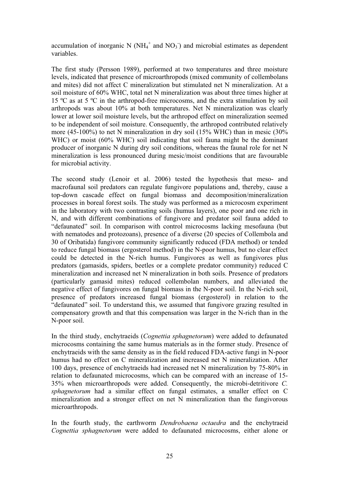accumulation of inorganic N (NH<sub>4</sub><sup>+</sup> and NO<sub>3</sub><sup>-</sup>) and microbial estimates as dependent variables.

The first study (Persson 1989), performed at two temperatures and three moisture levels, indicated that presence of microarthropods (mixed community of collembolans and mites) did not affect C mineralization but stimulated net N mineralization. At a soil moisture of 60% WHC, total net N mineralization was about three times higher at 15 ºC as at 5 ºC in the arthropod-free microcosms, and the extra stimulation by soil arthropods was about 10% at both temperatures. Net N mineralization was clearly lower at lower soil moisture levels, but the arthropod effect on mineralization seemed to be independent of soil moisture. Consequently, the arthropod contributed relatively more (45-100%) to net N mineralization in dry soil (15% WHC) than in mesic (30% WHC) or moist (60% WHC) soil indicating that soil fauna might be the dominant producer of inorganic N during dry soil conditions, whereas the faunal role for net N mineralization is less pronounced during mesic/moist conditions that are favourable for microbial activity.

The second study (Lenoir et al. 2006) tested the hypothesis that meso- and macrofaunal soil predators can regulate fungivore populations and, thereby, cause a top-down cascade effect on fungal biomass and decomposition/mineralization processes in boreal forest soils. The study was performed as a microcosm experiment in the laboratory with two contrasting soils (humus layers), one poor and one rich in N, and with different combinations of fungivore and predator soil fauna added to "defaunated" soil. In comparison with control microcosms lacking mesofauna (but with nematodes and protozoans), presence of a diverse (20 species of Collembola and 30 of Oribatida) fungivore community significantly reduced (FDA method) or tended to reduce fungal biomass (ergosterol method) in the N-poor humus, but no clear effect could be detected in the N-rich humus. Fungivores as well as fungivores plus predators (gamasids, spiders, beetles or a complete predator community) reduced C mineralization and increased net N mineralization in both soils. Presence of predators (particularly gamasid mites) reduced collembolan numbers, and alleviated the negative effect of fungivores on fungal biomass in the N-poor soil. In the N-rich soil, presence of predators increased fungal biomass (ergosterol) in relation to the "defaunated" soil. To understand this, we assumed that fungivore grazing resulted in compensatory growth and that this compensation was larger in the N-rich than in the N-poor soil.

In the third study, enchytraeids (*Cognettia sphagnetorum*) were added to defaunated microcosms containing the same humus materials as in the former study. Presence of enchytraeids with the same density as in the field reduced FDA-active fungi in N-poor humus had no effect on C mineralization and increased net N mineralization. After 100 days, presence of enchytraeids had increased net N mineralization by 75-80% in relation to defaunated microcosms, which can be compared with an increase of 15- 35% when microarthropods were added. Consequently, the microbi-detritivore *C. sphagnetorum* had a similar effect on fungal estimates, a smaller effect on C mineralization and a stronger effect on net N mineralization than the fungivorous microarthropods.

In the fourth study, the earthworm *Dendrobaena octaedra* and the enchytraeid *Cognettia sphagnetorum* were added to defaunated microcosms, either alone or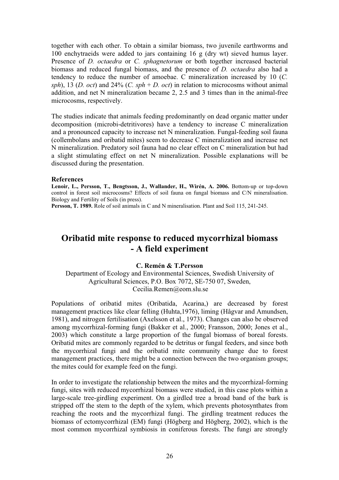together with each other. To obtain a similar biomass, two juvenile earthworms and 100 enchytraeids were added to jars containing 16 g (dry wt) sieved humus layer. Presence of *D. octaedra* or *C. sphagnetorum* or both together increased bacterial biomass and reduced fungal biomass, and the presence of *D. octaedra* also had a tendency to reduce the number of amoebae. C mineralization increased by 10 (*C. sph*), 13 (*D. oct*) and 24% (*C. sph* + *D. oct*) in relation to microcosms without animal addition, and net N mineralization became 2, 2.5 and 3 times than in the animal-free microcosms, respectively.

The studies indicate that animals feeding predominantly on dead organic matter under decomposition (microbi-detritivores) have a tendency to increase C mineralization and a pronounced capacity to increase net N mineralization. Fungal-feeding soil fauna (collembolans and oribatid mites) seem to decrease C mineralization and increase net N mineralization. Predatory soil fauna had no clear effect on C mineralization but had a slight stimulating effect on net N mineralization. Possible explanations will be discussed during the presentation.

#### **References**

**Lenoir, L., Persson, T., Bengtsson, J., Wallander, H., Wirén, A. 2006.** Bottom-up or top-down control in forest soil microcosms? Effects of soil fauna on fungal biomass and C/N mineralisation. Biology and Fertility of Soils (in press).

**Persson, T. 1989.** Role of soil animals in C and N mineralisation. Plant and Soil 115, 241-245.

# **Oribatid mite response to reduced mycorrhizal biomass - A field experiment**

#### **C. Remén & T.Persson**

Department of Ecology and Environmental Sciences, Swedish University of Agricultural Sciences, P.O. Box 7072, SE-750 07, Sweden, Cecilia.Remen@eom.slu.se

Populations of oribatid mites (Oribatida, Acarina,) are decreased by forest management practices like clear felling (Huhta,1976), liming (Hågvar and Amundsen, 1981), and nitrogen fertilisation (Axelsson et al., 1973). Changes can also be observed among mycorrhizal-forming fungi (Bakker et al., 2000; Fransson, 2000; Jones et al., 2003) which constitute a large proportion of the fungal biomass of boreal forests. Oribatid mites are commonly regarded to be detritus or fungal feeders, and since both the mycorrhizal fungi and the oribatid mite community change due to forest management practices, there might be a connection between the two organism groups; the mites could for example feed on the fungi.

In order to investigate the relationship between the mites and the mycorrhizal-forming fungi, sites with reduced mycorrhizal biomass were studied, in this case plots within a large-scale tree-girdling experiment. On a girdled tree a broad band of the bark is stripped off the stem to the depth of the xylem, which prevents photosynthates from reaching the roots and the mycorrhizal fungi. The girdling treatment reduces the biomass of ectomycorrhizal (EM) fungi (Högberg and Högberg, 2002), which is the most common mycorrhizal symbiosis in coniferous forests. The fungi are strongly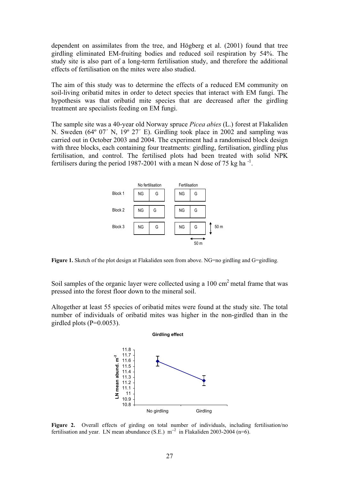dependent on assimilates from the tree, and Högberg et al. (2001) found that tree girdling eliminated EM-fruiting bodies and reduced soil respiration by 54%. The study site is also part of a long-term fertilisation study, and therefore the additional effects of fertilisation on the mites were also studied.

The aim of this study was to determine the effects of a reduced EM community on soil-living oribatid mites in order to detect species that interact with EM fungi. The hypothesis was that oribatid mite species that are decreased after the girdling treatment are specialists feeding on EM fungi.

The sample site was a 40-year old Norway spruce *Picea abies* (L.) forest at Flakaliden N. Sweden (64º 07´ N, 19º 27´ E). Girdling took place in 2002 and sampling was carried out in October 2003 and 2004. The experiment had a randomised block design with three blocks, each containing four treatments: girdling, fertilisation, girdling plus fertilisation, and control. The fertilised plots had been treated with solid NPK fertilisers during the period 1987-2001 with a mean N dose of 75 kg ha $^{-1}$ .



**Figure 1.** Sketch of the plot design at Flakaliden seen from above. NG=no girdling and G=girdling.

Soil samples of the organic layer were collected using a 100 cm<sup>2</sup> metal frame that was pressed into the forest floor down to the mineral soil.

Altogether at least 55 species of oribatid mites were found at the study site. The total number of individuals of oribatid mites was higher in the non-girdled than in the girdled plots  $(P=0.0053)$ .



Figure 2. Overall effects of girding on total number of individuals, including fertilisation/no fertilisation and year. LN mean abundance (S.E.)  $m^{-2}$  in Flakaliden 2003-2004 (n=6).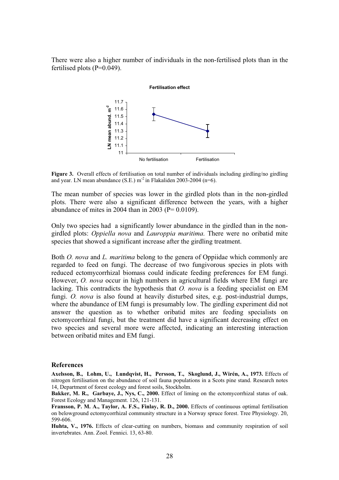There were also a higher number of individuals in the non-fertilised plots than in the fertilised plots  $(P=0.049)$ .

#### **Fertilisation effect**



**Figure 3.** Overall effects of fertilisation on total number of individuals including girdling/no girdling and year. LN mean abundance (S.E.)  $m^2$  in Flakaliden 2003-2004 (n=6).

The mean number of species was lower in the girdled plots than in the non-girdled plots. There were also a significant difference between the years, with a higher abundance of mites in 2004 than in 2003 ( $P = 0.0109$ ).

Only two species had a significantly lower abundance in the girdled than in the nongirdled plots: *Oppiella nova* and *Lauroppia maritima*. There were no oribatid mite species that showed a significant increase after the girdling treatment.

Both *O. nova* and *L. maritima* belong to the genera of Oppiidae which commonly are regarded to feed on fungi. The decrease of two fungivorous species in plots with reduced ectomycorrhizal biomass could indicate feeding preferences for EM fungi. However, *O. nova* occur in high numbers in agricultural fields where EM fungi are lacking. This contradicts the hypothesis that *O. nova* is a feeding specialist on EM fungi. *O. nova* is also found at heavily disturbed sites, e.g. post-industrial dumps, where the abundance of EM fungi is presumably low. The girdling experiment did not answer the question as to whether oribatid mites are feeding specialists on ectomycorrhizal fungi, but the treatment did have a significant decreasing effect on two species and several more were affected, indicating an interesting interaction between oribatid mites and EM fungi.

#### **References**

**Axelsson, B., Lohm, U., Lundqvist, H., Persson, T., Skoglund, J., Wirén, A., 1973.** Effects of nitrogen fertilisation on the abundance of soil fauna populations in a Scots pine stand. Research notes 14, Department of forest ecology and forest soils, Stockholm.

**Bakker, M. R., Garbaye, J., Nys, C., 2000.** Effect of liming on the ectomycorrhizal status of oak. Forest Ecology and Management. 126, 121-131.

**Fransson, P. M. A., Taylor, A. F.S., Finlay, R. D., 2000.** Effects of continuous optimal fertilisation on belowground ectomycorrhizal community structure in a Norway spruce forest. Tree Physiology. 20, 599-606.

**Huhta, V., 1976.** Effects of clear-cutting on numbers, biomass and community respiration of soil invertebrates. Ann. Zool. Fennici. 13, 63-80.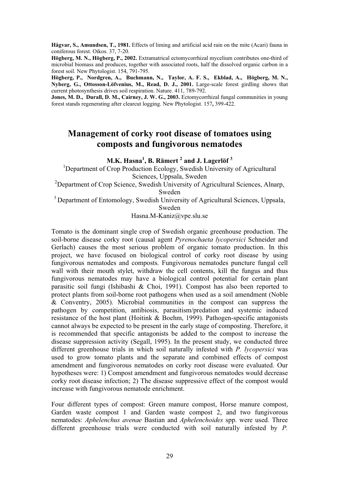**Hågvar, S., Amundsen, T., 1981.** Effects of liming and artificial acid rain on the mite (Acari) fauna in coniferous forest. Oikos. 37, 7-20.

**Högberg, M. N., Högberg, P., 2002.** Extramatrical ectomycorrhizal mycelium contributes one-third of microbial biomass and produces, together with associated roots, half the dissolved organic carbon in a forest soil. New Phytologist. 154, 791-795.

**Högberg, P., Nordgren, A., Buchmann, N., Taylor, A. F. S., Ekblad, A., Högberg, M. N., Nyberg, G., Ottosson-Löfvenius, M., Read, D. J., 2001.** Large-scale forest girdling shows that current photosynthesis drives soil respiration. Nature. 411, 789-792.

Jones, M. D., Durall, D. M., Cairney, J. W. G., 2003. Ectomycorrhizal fungal communities in young forest stands regenerating after clearcut logging. New Phytologist. 157**,** 399-422.

# **Management of corky root disease of tomatoes using composts and fungivorous nematodes**

**M.K. Hasna<sup>1</sup> , B. Rämert <sup>2</sup> and J. Lagerlöf 3**

<sup>1</sup>Department of Crop Production Ecology, Swedish University of Agricultural Sciences, Uppsala, Sweden <sup>2</sup>Department of Crop Science, Swedish University of Agricultural Sciences, Alnarp,

Sweden

<sup>3</sup> Department of Entomology, Swedish University of Agricultural Sciences, Uppsala,

Sweden

Hasna.M-Kaniz@vpe.slu.se

Tomato is the dominant single crop of Swedish organic greenhouse production. The soil-borne disease corky root (causal agent *Pyrenochaeta lycopersici* Schneider and Gerlach) causes the most serious problem of organic tomato production. In this project, we have focused on biological control of corky root disease by using fungivorous nematodes and composts. Fungivorous nematodes puncture fungal cell wall with their mouth stylet, withdraw the cell contents, kill the fungus and thus fungivorous nematodes may have a biological control potential for certain plant parasitic soil fungi (Ishibashi & Choi, 1991). Compost has also been reported to protect plants from soil-borne root pathogens when used as a soil amendment (Noble & Conventry, 2005). Microbial communities in the compost can suppress the pathogen by competition, antibiosis, parasitism/predation and systemic induced resistance of the host plant (Hoitink & Boehm, 1999). Pathogen-specific antagonists cannot always be expected to be present in the early stage of composting. Therefore, it is recommended that specific antagonists be added to the compost to increase the disease suppression activity (Segall, 1995). In the present study, we conducted three different greenhouse trials in which soil naturally infested with *P. lycopersici* was used to grow tomato plants and the separate and combined effects of compost amendment and fungivorous nematodes on corky root disease were evaluated. Our hypotheses were: 1) Compost amendment and fungivorous nematodes would decrease corky root disease infection; 2) The disease suppressive effect of the compost would increase with fungivorous nematode enrichment.

Four different types of compost: Green manure compost, Horse manure compost, Garden waste compost 1 and Garden waste compost 2, and two fungivorous nematodes: *Aphelenchus avenae* Bastian and *Aphelenchoides* spp. were used. Three different greenhouse trials were conducted with soil naturally infested by *P.*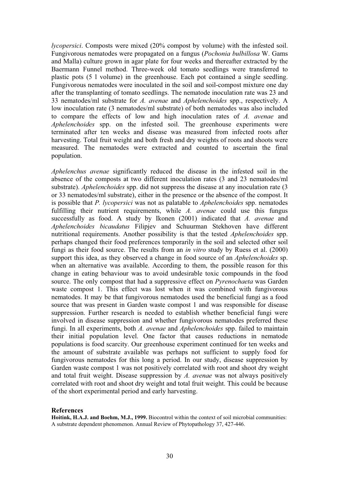*lycopersici*. Composts were mixed (20% compost by volume) with the infested soil. Fungivorous nematodes were propagated on a fungus (*Pochonia bulbillosa* W. Gams and Malla) culture grown in agar plate for four weeks and thereafter extracted by the Baermann Funnel method. Three-week old tomato seedlings were transferred to plastic pots (5 l volume) in the greenhouse. Each pot contained a single seedling. Fungivorous nematodes were inoculated in the soil and soil-compost mixture one day after the transplanting of tomato seedlings. The nematode inoculation rate was 23 and 33 nematodes/ml substrate for *A. avenae* and *Aphelenchoides* spp., respectively. A low inoculation rate (3 nematodes/ml substrate) of both nematodes was also included to compare the effects of low and high inoculation rates of *A. avenae* and *Aphelenchoides* spp. on the infested soil. The greenhouse experiments were terminated after ten weeks and disease was measured from infected roots after harvesting. Total fruit weight and both fresh and dry weights of roots and shoots were measured. The nematodes were extracted and counted to ascertain the final population.

*Aphelenchus avenae* significantly reduced the disease in the infested soil in the absence of the composts at two different inoculation rates (3 and 23 nematodes/ml substrate). *Aphelenchoides* spp. did not suppress the disease at any inoculation rate (3 or 33 nematodes/ml substrate), either in the presence or the absence of the compost. It is possible that *P. lycopersici* was not as palatable to *Aphelenchoides* spp. nematodes fulfilling their nutrient requirements, while *A. avenae* could use this fungus successfully as food. A study by Ikonen (2001) indicated that *A. avenae* and *Aphelenchoides bicaudatus* Filipjev and Schuurman Stekhoven have different nutritional requirements. Another possibility is that the tested *Aphelenchoides* spp. perhaps changed their food preferences temporarily in the soil and selected other soil fungi as their food source. The results from an *in vitro* study by Ruess et al. (2000) support this idea, as they observed a change in food source of an *Aphelenchoides* sp. when an alternative was available. According to them, the possible reason for this change in eating behaviour was to avoid undesirable toxic compounds in the food source. The only compost that had a suppressive effect on *Pyrenochaeta* was Garden waste compost 1. This effect was lost when it was combined with fungivorous nematodes. It may be that fungivorous nematodes used the beneficial fungi as a food source that was present in Garden waste compost 1 and was responsible for disease suppression. Further research is needed to establish whether beneficial fungi were involved in disease suppression and whether fungivorous nematodes preferred these fungi. In all experiments, both *A. avenae* and *Aphelenchoides* spp. failed to maintain their initial population level. One factor that causes reductions in nematode populations is food scarcity. Our greenhouse experiment continued for ten weeks and the amount of substrate available was perhaps not sufficient to supply food for fungivorous nematodes for this long a period. In our study, disease suppression by Garden waste compost 1 was not positively correlated with root and shoot dry weight and total fruit weight. Disease suppression by *A. avenae* was not always positively correlated with root and shoot dry weight and total fruit weight. This could be because of the short experimental period and early harvesting.

#### **References**

**Hoitink, H.A.J. and Boehm, M.J., 1999.** Biocontrol within the context of soil microbial communities: A substrate dependent phenomenon. Annual Review of Phytopathology 37, 427-446.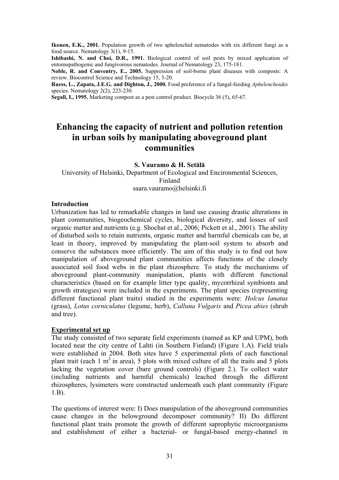**Ikonen, E.K., 2001.** Population growth of two aphelenchid nematodes with six different fungi as a food source. Nematology 3(1), 9-15.

**Ishibashi, N. and Choi, D.R., 1991.** Biological control of soil pests by mixed application of entomopathogenic and fungivorous nematodes. Journal of Nematology 23, 175-181.

**Noble, R. and Conventry, E., 2005.** Suppression of soil-borne plant diseases with composts: A review. Biocontrol Science and Technology 15, 3-20.

**Ruess, L., Zapata, J.E.G. and Dighton, J., 2000.** Food preference of a fungal-feeding *Aphelenchoides* species. Nematology 2(2), 223-230.

**Segall, I., 1995.** Marketing compost as a pest control product. Biocycle 36 (5), 65-67.

# **Enhancing the capacity of nutrient and pollution retention in urban soils by manipulating aboveground plant communities**

**S. Vauramo & H. Setälä**

University of Helsinki, Department of Ecological and Encironmental Sciences, Finland saara.vauramo@helsinki.fi

#### **Introduction**

Urbanization has led to remarkable changes in land use causing drastic alterations in plant communities, biogeochemical cycles, biological diversity, and losses of soil organic matter and nutrients (e.g. Shochat et al., 2006; Pickett et al., 2001). The ability of disturbed soils to retain nutrients, organic matter and harmful chemicals can be, at least in theory, improved by manipulating the plant-soil system to absorb and conserve the substances more efficiently. The aim of this study is to find out how manipulation of aboveground plant communities affects functions of the closely associated soil food webs in the plant rhizosphere. To study the mechanisms of aboveground plant-community manipulation, plants with different functional characteristics (based on for example litter type quality, mycorrhizal symbionts and growth strategies) were included in the experiments. The plant species (representing different functional plant traits) studied in the experiments were: *Holcus lanatus* (grass), *Lotus corniculatus* (legume, herb), *Calluna Vulgaris* and *Picea abies* (shrub and tree).

#### **Experimental set up**

The study consisted of two separate field experiments (named as KP and UPM), both located near the city centre of Lahti (in Southern Finland) (Figure 1.A). Field trials were established in 2004. Both sites have 5 experimental plots of each functional plant trait (each 1  $m^2$  in area), 5 plots with mixed culture of all the traits and 5 plots lacking the vegetation cover (bare ground controls) (Figure 2.). To collect water (including nutrients and harmful chemicals) leached through the different rhizospheres, lysimeters were constructed underneath each plant community (Figure 1.B).

The questions of interest were: I) Does manipulation of the aboveground communities cause changes in the belowground decomposer community? II) Do different functional plant traits promote the growth of different saprophytic microorganisms and establishment of either a bacterial- or fungal-based energy-channel in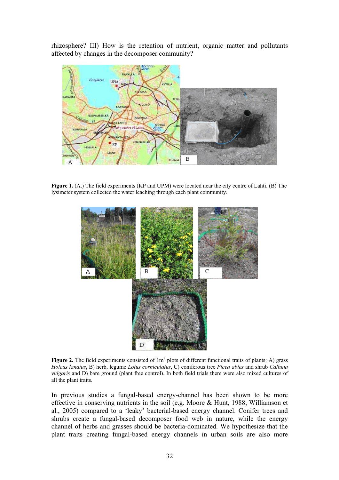rhizosphere? III) How is the retention of nutrient, organic matter and pollutants affected by changes in the decomposer community?



**Figure 1.** (A.) The field experiments (KP and UPM) were located near the city centre of Lahti. (B) The lysimeter system collected the water leaching through each plant community.



**Figure 2.** The field experiments consisted of  $1m^2$  plots of different functional traits of plants: A) grass *Holcus lanatus*, B) herb, legume *Lotus corniculatus*, C) coniferous tree *Picea abies* and shrub *Calluna vulgaris* and D) bare ground (plant free control). In both field trials there were also mixed cultures of all the plant traits.

In previous studies a fungal-based energy-channel has been shown to be more effective in conserving nutrients in the soil (e.g. Moore & Hunt, 1988, Williamson et al., 2005) compared to a 'leaky' bacterial-based energy channel. Conifer trees and shrubs create a fungal-based decomposer food web in nature, while the energy channel of herbs and grasses should be bacteria-dominated. We hypothesize that the plant traits creating fungal-based energy channels in urban soils are also more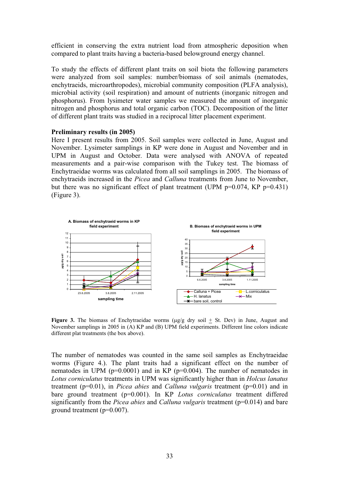efficient in conserving the extra nutrient load from atmospheric deposition when compared to plant traits having a bacteria-based belowground energy channel.

To study the effects of different plant traits on soil biota the following parameters were analyzed from soil samples: number/biomass of soil animals (nematodes, enchytraeids, microarthropodes), microbial community composition (PLFA analysis), microbial activity (soil respiration) and amount of nutrients (inorganic nitrogen and phosphorus). From lysimeter water samples we measured the amount of inorganic nitrogen and phosphorus and total organic carbon (TOC). Decomposition of the litter of different plant traits was studied in a reciprocal litter placement experiment.

#### **Preliminary results (in 2005)**

Here I present results from 2005. Soil samples were collected in June, August and November. Lysimeter samplings in KP were done in August and November and in UPM in August and October. Data were analysed with ANOVA of repeated measurements and a pair-wise comparison with the Tukey test. The biomass of Enchytraeidae worms was calculated from all soil samplings in 2005. The biomass of enchytraeids increased in the *Picea* and *Calluna* treatments from June to November, but there was no significant effect of plant treatment (UPM  $p=0.074$ , KP  $p=0.431$ ) (Figure 3).



Figure 3. The biomass of Enchytraeidae worms ( $\mu$ g/g dry soil  $\pm$  St. Dev) in June, August and November samplings in 2005 in (A) KP and (B) UPM field experiments. Different line colors indicate different plat treatments (the box above).

The number of nematodes was counted in the same soil samples as Enchytraeidae worms (Figure 4.). The plant traits had a significant effect on the number of nematodes in UPM ( $p=0.0001$ ) and in KP ( $p=0.004$ ). The number of nematodes in *Lotus corniculatus* treatments in UPM was significantly higher than in *Holcus lanatus* treatment (p=0.01), in *Picea abies* and *Calluna vulgaris* treatment (p=0.01) and in bare ground treatment (p=0.001). In KP *Lotus corniculatus* treatment differed significantly from the *Picea abies* and *Calluna vulgaris* treatment (p=0.014) and bare ground treatment (p=0.007).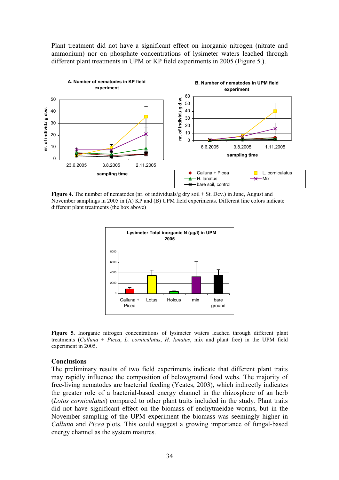Plant treatment did not have a significant effect on inorganic nitrogen (nitrate and ammonium) nor on phosphate concentrations of lysimeter waters leached through different plant treatments in UPM or KP field experiments in 2005 (Figure 5.).



**Figure 4.** The number of nematodes (nr. of individuals/g dry soil  $\pm$  St. Dev.) in June, August and November samplings in 2005 in (A) KP and (B) UPM field experiments. Different line colors indicate different plant treatments (the box above)



**Figure 5.** Inorganic nitrogen concentrations of lysimeter waters leached through different plant treatments (*Calluna* + *Picea*, *L. corniculatus*, *H. lanatus*, mix and plant free) in the UPM field experiment in 2005.

#### **Conclusions**

The preliminary results of two field experiments indicate that different plant traits may rapidly influence the composition of belowground food webs. The majority of free-living nematodes are bacterial feeding (Yeates, 2003), which indirectly indicates the greater role of a bacterial-based energy channel in the rhizosphere of an herb (*Lotus corniculatus*) compared to other plant traits included in the study. Plant traits did not have significant effect on the biomass of enchytraeidae worms, but in the November sampling of the UPM experiment the biomass was seemingly higher in *Calluna* and *Picea* plots. This could suggest a growing importance of fungal-based energy channel as the system matures.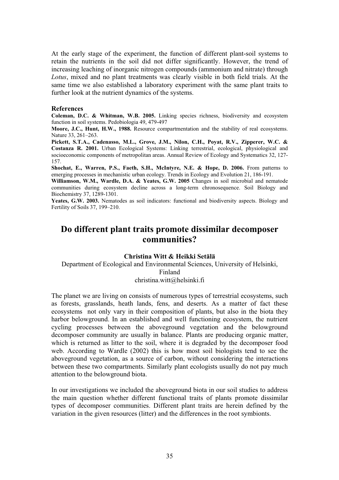At the early stage of the experiment, the function of different plant-soil systems to retain the nutrients in the soil did not differ significantly. However, the trend of increasing leaching of inorganic nitrogen compounds (ammonium and nitrate) through *Lotus*, mixed and no plant treatments was clearly visible in both field trials. At the same time we also established a laboratory experiment with the same plant traits to further look at the nutrient dynamics of the systems.

#### **References**

**Coleman, D.C. & Whitman, W.B. 2005.** Linking species richness, biodiversity and ecosystem function in soil systems. Pedobiologia 49, 479-497

**Moore, J.C., Hunt, H.W., 1988.** Resource compartmentation and the stability of real ecosystems. Nature 33, 261–263.

**Pickett, S.T.A., Cadenasso, M.L., Grove, J.M., Nilon, C.H., Poyat, R.V., Zipperer, W.C. & Costanza R. 2001.** Urban Ecological Systems: Linking terrestrial, ecological, physiological and socioeconomic components of metropolitan areas. Annual Review of Ecology and Systematics 32, 127- 157.

**Shochat, E., Warren, P.S., Faeth, S.H., McIntyre, N.E. & Hope, D. 2006.** From patterns to emerging processes in mechanistic urban ecology. Trends in Ecology and Evolution 21, 186-191.

**Williamson, W.M., Wardle, D.A. & Yeates, G.W. 2005** Changes in soil microbial and nematode communities during ecosystem decline across a long-term chronosequence. Soil Biology and Biochemistry 37, 1289-1301.

**Yeates, G.W. 2003.** Nematodes as soil indicators: functional and biodiversity aspects. Biology and Fertility of Soils 37, 199–210.

# **Do different plant traits promote dissimilar decomposer communities?**

#### **Christina Witt & Heikki Setälä**

### Department of Ecological and Environmental Sciences, University of Helsinki, Finland christina.witt@helsinki.fi

The planet we are living on consists of numerous types of terrestrial ecosystems, such as forests, grasslands, heath lands, fens, and deserts. As a matter of fact these ecosystems not only vary in their composition of plants, but also in the biota they harbor belowground. In an established and well functioning ecosystem, the nutrient cycling processes between the aboveground vegetation and the belowground decomposer community are usually in balance. Plants are producing organic matter, which is returned as litter to the soil, where it is degraded by the decomposer food web. According to Wardle (2002) this is how most soil biologists tend to see the aboveground vegetation, as a source of carbon, without considering the interactions between these two compartments. Similarly plant ecologists usually do not pay much attention to the belowground biota.

In our investigations we included the aboveground biota in our soil studies to address the main question whether different functional traits of plants promote dissimilar types of decomposer communities. Different plant traits are herein defined by the variation in the given resources (litter) and the differences in the root symbionts.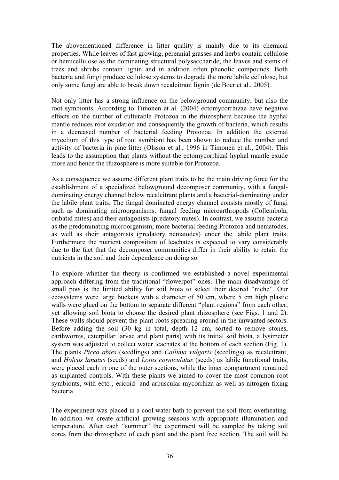The abovementioned difference in litter quality is mainly due to its chemical properties. While leaves of fast growing, perennial grasses and herbs contain cellulose or hemicellulose as the dominating structural polysaccharide, the leaves and stems of trees and shrubs contain lignin and in addition often phenolic compounds. Both bacteria and fungi produce cellulose systems to degrade the more labile cellulose, but only some fungi are able to break down recalcitrant lignin (de Boer et al., 2005).

Not only litter has a strong influence on the belowground community, but also the root symbionts. According to Timonen et al. (2004) ectomycorrhizae have negative effects on the number of culturable Protozoa in the rhizosphere because the hyphal mantle reduces root exudation and consequently the growth of bacteria, which results in a decreased number of bacterial feeding Protozoa. In addition the external mycelium of this type of root symbiont has been shown to reduce the number and activity of bacteria in pine litter (Olsson et al., 1996 in Timonen et al., 2004). This leads to the assumption that plants without the ectomycorrhizal hyphal mantle exude more and hence the rhizosphere is more suitable for Protozoa.

As a consequence we assume different plant traits to be the main driving force for the establishment of a specialized belowground decomposer community, with a fungaldominating energy channel below recalcitrant plants and a bacterial-dominating under the labile plant traits. The fungal dominated energy channel consists mostly of fungi such as dominating microorganisms, fungal feeding microarthropods (Collembola, oribatid mites) and their antagonists (predatory mites). In contrast, we assume bacteria as the predominating microorganism, more bacterial feeding Protozoa and nematodes, as well as their antagonists (predatory nematodes) under the labile plant traits. Furthermore the nutrient composition of leachates is expected to vary considerably due to the fact that the decomposer communities differ in their ability to retain the nutrients in the soil and their dependence on doing so.

To explore whether the theory is confirmed we established a novel experimental approach differing from the traditional "flowerpot" ones. The main disadvantage of small pots is the limited ability for soil biota to select their desired "niche". Our ecosystems were large buckets with a diameter of 50 cm, where 5 cm high plastic walls were glued on the bottom to separate different "plant regions" from each other, yet allowing soil biota to choose the desired plant rhizosphere (see Figs. 1 and 2). These walls should prevent the plant roots spreading around in the unwanted sectors. Before adding the soil (30 kg in total, depth 12 cm, sorted to remove stones, earthworms, caterpillar larvae and plant parts) with its initial soil biota, a lysimeter system was adjusted to collect water leachates at the bottom of each section (Fig. 1). The plants *Picea abies* (seedlings) and *Calluna vulgaris* (seedlings) as recalcitrant, and *Holcus lanatus* (seeds) and *Lotus corniculatus* (seeds) as labile functional traits, were placed each in one of the outer sections, while the inner compartment remained as unplanted controls. With these plants we aimed to cover the most common root symbionts, with ecto-, ericoid- and arbuscular mycorrhiza as well as nitrogen fixing bacteria.

The experiment was placed in a cool water bath to prevent the soil from overheating. In addition we create artificial growing seasons with appropriate illumination and temperature. After each "summer" the experiment will be sampled by taking soil cores from the rhizosphere of each plant and the plant free section. The soil will be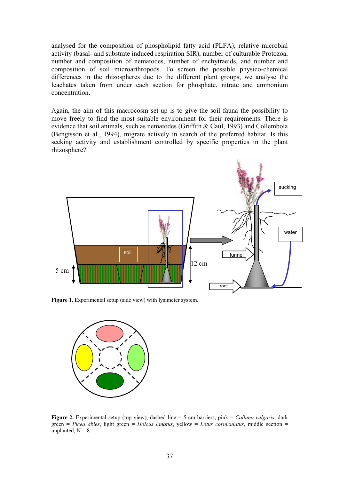analysed for the composition of phospholipid fatty acid (PLFA), relative microbial activity (basal- and substrate induced respiration SIR), number of culturable Protozoa, number and composition of nematodes, number of enchytraeids, and number and composition of soil microarthropods. To screen the possible physico-chemical differences in the rhizospheres due to the different plant groups, we analyse the leachates taken from under each section for phosphate, nitrate and ammonium concentration.

Again, the aim of this macrocosm set-up is to give the soil fauna the possibility to move freely to find the most suitable environment for their requirements. There is evidence that soil animals, such as nematodes (Griffith & Caul, 1993) and Collembola (Bengtsson et al., 1994), migrate actively in search of the preferred habitat. Is this seeking activity and establishment controlled by specific properties in the plant rhizosphere?



**Figure 1.** Experimental setup (side view) with lysimeter system.



**Figure 2.** Experimental setup (top view), dashed line = 5 cm barriers, pink = *Calluna vulgaris*, dark green = *Picea abies*, light green = *Holcus lanatus*, yellow = *Lotus corniculatus*, middle section = unplanted,  $N = 8$ .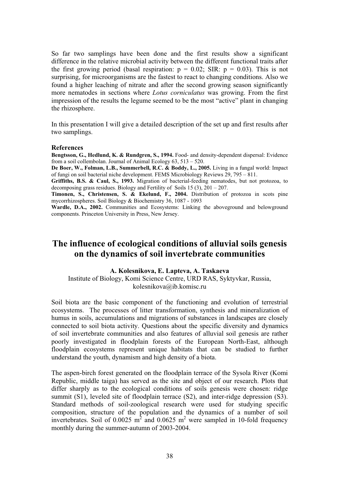So far two samplings have been done and the first results show a significant difference in the relative microbial activity between the different functional traits after the first growing period (basal respiration:  $p = 0.02$ ; SIR:  $p = 0.03$ ). This is not surprising, for microorganisms are the fastest to react to changing conditions. Also we found a higher leaching of nitrate and after the second growing season significantly more nematodes in sections where *Lotus corniculatus* was growing. From the first impression of the results the legume seemed to be the most "active" plant in changing the rhizosphere.

In this presentation I will give a detailed description of the set up and first results after two samplings.

#### **References**

**Bengtsson, G., Hedlund, K. & Rundgren, S., 1994.** Food- and density-dependent dispersal: Evidence from a soil collembolan. Journal of Animal Ecology 63, 513 – 520.

**De Boer, W., Folman, L.B., Summerbell, R.C. & Boddy, L., 2005.** Living in a fungal world: Impact of fungi on soil bacterial niche development. FEMS Microbiology Reviews 29, 795 – 811.

**Griffiths, B.S. & Caul, S., 1993.** Migration of bacterial-feeding nematodes, but not protozoa, to decomposing grass residues. Biology and Fertility of Soils 15 (3), 201 – 207.

**Timonen, S., Christensen, S. & Ekelund, F., 2004.** Distribution of protozoa in scots pine mycorrhizospheres. Soil Biology & Biochemistry 36, 1087 - 1093

**Wardle, D.A., 2002.** Communities and Ecosystems: Linking the aboveground and belowground components. Princeton University in Press, New Jersey.

# **The influence of ecological conditions of alluvial soils genesis on the dynamics of soil invertebrate communities**

### **A. Kolesnikova, E. Lapteva, A. Taskaeva**

Institute of Biology, Komi Science Centre, URD RAS, Syktyvkar, Russia, kolesnikova@ib.komisc.ru

Soil biota are the basic component of the functioning and evolution of terrestrial ecosystems. The processes of litter transformation, synthesis and mineralization of humus in soils, accumulations and migrations of substances in landscapes are closely connected to soil biota activity. Questions about the specific diversity and dynamics of soil invertebrate communities and also features of alluvial soil genesis are rather poorly investigated in floodplain forests of the European North-East, although floodplain ecosystems represent unique habitats that can be studied to further understand the youth, dynamism and high density of a biota.

The aspen-birch forest generated on the floodplain terrace of the Sysola River (Komi Republic, middle taiga) has served as the site and object of our research. Plots that differ sharply as to the ecological conditions of soils genesis were chosen: ridge summit (S1), leveled site of floodplain terrace (S2), and inter-ridge depression (S3). Standard methods of soil-zoological research were used for studying specific composition, structure of the population and the dynamics of a number of soil invertebrates. Soil of 0.0025  $m^2$  and 0.0625  $m^2$  were sampled in 10-fold frequency monthly during the summer-autumn of 2003-2004.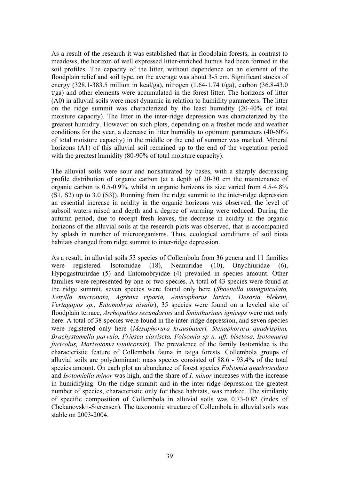As a result of the research it was established that in floodplain forests, in contrast to meadows, the horizon of well expressed litter-enriched humus had been formed in the soil profiles. The capacity of the litter, without dependence on an element of the floodplain relief and soil type, on the average was about 3-5 cm. Significant stocks of energy (328.1-383.5 million in kcal/ga), nitrogen (1.64-1.74 t/ga), carbon (36.8-43.0 t/ga) and other elements were accumulated in the forest litter. The horizons of litter (A0) in alluvial soils were most dynamic in relation to humidity parameters. The litter on the ridge summit was characterized by the least humidity (20-40% of total moisture capacity). The litter in the inter-ridge depression was characterized by the greatest humidity. However on such plots, depending on a freshet mode and weather conditions for the year, a decrease in litter humidity to optimum parameters (40-60% of total moisture capacity) in the middle or the end of summer was marked. Mineral horizons (A1) of this alluvial soil remained up to the end of the vegetation period with the greatest humidity (80-90% of total moisture capacity).

The alluvial soils were sour and nonsaturated by bases, with a sharply decreasing profile distribution of organic carbon (at a depth of 20-30 cm the maintenance of organic carbon is 0.5-0.9%, whilst in organic horizons its size varied from 4.5-4.8% (S1, S2) up to 3.0 (S3)). Running from the ridge summit to the inter-ridge depression an essential increase in acidity in the organic horizons was observed, the level of subsoil waters raised and depth and a degree of warming were reduced. During the autumn period, due to receipt fresh leaves, the decrease in acidity in the organic horizons of the alluvial soils at the research plots was observed, that is accompanied by splash in number of microorganisms. Thus, ecological conditions of soil biota habitats changed from ridge summit to inter-ridge depression.

As a result, in alluvial soils 53 species of Collembola from 36 genera and 11 families were registered. Isotomidae (18), Neanuridae (10), Onychiuridae (6), Hypogastrurirdae (5) and Entomobryidae (4) prevailed in species amount. Other families were represented by one or two species. A total of 43 species were found at the ridge summit, seven species were found only here (*Shoettella ununguiculata, Xenylla mucronata, Agrenia riparia, Anurophorus laricis, Desoria blekeni, Vertagopus sp., Entomobrya nivalis*); 35 species were found on a leveled site of floodplain terrace, *Arrhopalites secundarius* and *Sminthurinus igniceps* were met only here. A total of 38 species were found in the inter-ridge depression, and seven species were registered only here (*Mesaphorura krausbaueri, Stenaphorura quadrispina, Brachystomella parvula, Friesea claviseta, Folsomia sp n. aff. bisetosa, Isotomurus fucicolus, Marisotoma teunicornis*). The prevalence of the family Isotomidae is the characteristic feature of Collembola fauna in taiga forests. Collembola groups of alluvial soils are polydominant: mass species consisted of 88.6 - 93.4% of the total species amount. On each plot an abundance of forest species *Folsomia quadrioculata* and *Isotomiella minor* was high, and the share of *I. minor* increases with the increase in humidifying. On the ridge summit and in the inter-ridge depression the greatest number of species, characteristic only for these habitats, was marked. The similarity of specific composition of Collembola in alluvial soils was 0.73-0.82 (index of Chekanovskii-Sierensen). The taxonomic structure of Collembola in alluvial soils was stable on 2003-2004.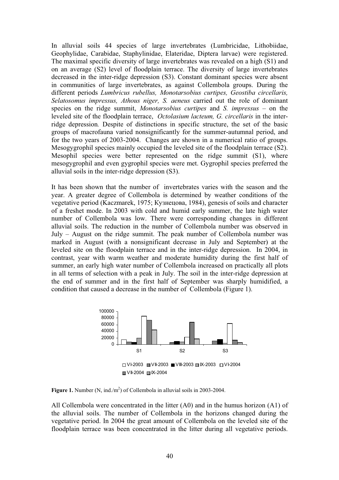In alluvial soils 44 species of large invertebrates (Lumbricidae, Lithobiidae, Geophylidae, Carabidae, Staphylinidae, Elateridae, Diptera larvae) were registered. The maximal specific diversity of large invertebrates was revealed on a high (S1) and on an average (S2) level of floodplain terrace. The diversity of large invertebrates decreased in the inter-ridge depression (S3). Constant dominant species were absent in communities of large invertebrates, as against Collembola groups. During the different periods *Lumbricus rubellus, Monotarsobius curtipes, Geostiba circellaris, Selatosomus impressus, Athous niger, S. aeneus* carried out the role of dominant species on the ridge summit, *Monotarsobius curtipes* and *S. impressus* – on the leveled site of the floodplain terrace, *Octolasium lacteum, G. circellaris* in the interridge depression*.* Despite of distinctions in specific structure, the set of the basic groups of macrofauna varied nonsignificantly for the summer-autumnal period, and for the two years of 2003-2004. Changes are shown in a numerical ratio of groups. Mesogygrophil species mainly occupied the leveled site of the floodplain terrace (S2). Mesophil species were better represented on the ridge summit (S1), where mesogygrophil and even gygrophil species were met. Gygrophil species preferred the alluvial soils in the inter-ridge depression (S3).

It has been shown that the number of invertebrates varies with the season and the year. A greater degree of Collembola is determined by weather conditions of the vegetative period (Kaczmarek, 1975; Кузнецова, 1984), genesis of soils and character of a freshet mode. In 2003 with cold and humid early summer, the late high water number of Collembola was low. There were corresponding changes in different alluvial soils. The reduction in the number of Collembola number was observed in July – August on the ridge summit. The peak number of Collembola number was marked in August (with a nonsignificant decrease in July and September) at the leveled site on the floodplain terrace and in the inter-ridge depression. In 2004, in contrast, year with warm weather and moderate humidity during the first half of summer, an early high water number of Collembola increased on practically all plots in all terms of selection with a peak in July. The soil in the inter-ridge depression at the end of summer and in the first half of September was sharply humidified, a condition that caused a decrease in the number of Collembola (Figure 1).



**Figure 1.** Number  $(N, ind/m^2)$  of Collembola in alluvial soils in 2003-2004.

All Collembola were concentrated in the litter (A0) and in the humus horizon (A1) of the alluvial soils. The number of Collembola in the horizons changed during the vegetative period. In 2004 the great amount of Collembola on the leveled site of the floodplain terrace was been concentrated in the litter during all vegetative periods.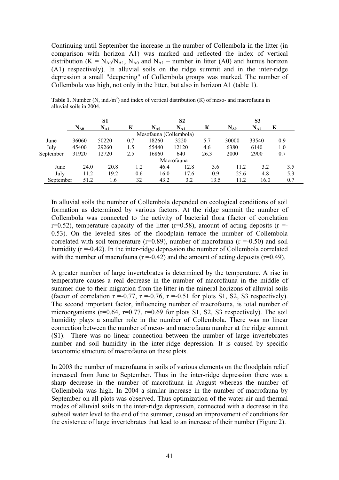Continuing until September the increase in the number of Collembola in the litter (in comparison with horizon A1) was marked and reflected the index of vertical distribution ( $K = N_{A0}/N_{A1}$ ,  $N_{A0}$  and  $N_{A1}$  – number in litter (A0) and humus horizon (A1) respectively). In alluvial soils on the ridge summit and in the inter-ridge depression a small "deepening" of Collembola groups was marked. The number of Collembola was high, not only in the litter, but also in horizon A1 (table 1).

|           | S1       |          |     | S <sub>2</sub>         |            |      | S3       |          |     |
|-----------|----------|----------|-----|------------------------|------------|------|----------|----------|-----|
|           | $N_{A0}$ | $N_{A1}$ | К   | $N_{A0}$               | $N_{A1}$   | К    | $N_{A0}$ | $N_{A1}$ | К   |
|           |          |          |     | Mesofauna (Collembola) |            |      |          |          |     |
| June      | 36060    | 50220    | 0.7 | 18260                  | 3220       | 5.7  | 30000    | 33540    | 0.9 |
| July      | 45400    | 29260    | 1.5 | 55440                  | 12120      | 4.6  | 6380     | 6140     | 1.0 |
| September | 31920    | 12720    | 2.5 | 16860                  | 640        | 26.3 | 2000     | 2900     | 0.7 |
|           |          |          |     |                        | Macrofauna |      |          |          |     |
| June      | 24.0     | 20.8     | 1.2 | 46.4                   | 12.8       | 3.6  | 11.2     | 3.2      | 3.5 |
| July      | 11.2     | 19.2     | 0.6 | 16.0                   | 17.6       | 0.9  | 25.6     | 4.8      | 5.3 |
| September | 51.2     | 1.6      | 32  | 43.2                   | 3.2        | 13.5 | 11.2     | 16.0     | 0.7 |

**Table 1.** Number (N, ind./m<sup>2</sup>) and index of vertical distribution (K) of meso- and macrofauna in alluvial soils in 2004.

In alluvial soils the number of Collembola depended on ecological conditions of soil formation as determined by various factors. At the ridge summit the number of Collembola was connected to the activity of bacterial flora (factor of correlation  $r=0.52$ ), temperature capacity of the litter ( $r=0.58$ ), amount of acting deposits ( $r=0.52$ ) 0.53). On the leveled sites of the floodplain terrace the number of Collembola correlated with soil temperature ( $r=0.89$ ), number of macrofauna ( $r = -0.50$ ) and soil humidity  $(r = 0.42)$ . In the inter-ridge depression the number of Collembola correlated with the number of macrofauna ( $r = 0.42$ ) and the amount of acting deposits ( $r = 0.49$ ).

A greater number of large invertebrates is determined by the temperature. A rise in temperature causes a real decrease in the number of macrofauna in the middle of summer due to their migration from the litter in the mineral horizons of alluvial soils (factor of correlation  $r = -0.77$ ,  $r = -0.76$ ,  $r = -0.51$  for plots S1, S2, S3 respectively). The second important factor, influencing number of macrofauna, is total number of microorganisms ( $r=0.64$ ,  $r=0.77$ ,  $r=0.69$  for plots S1, S2, S3 respectively). The soil humidity plays a smaller role in the number of Collembola. There was no linear connection between the number of meso- and macrofauna number at the ridge summit (S1). There was no linear connection between the number of large invertebrates number and soil humidity in the inter-ridge depression. It is caused by specific taxonomic structure of macrofauna on these plots.

In 2003 the number of macrofauna in soils of various elements on the floodplain relief increased from June to September. Thus in the inter-ridge depression there was a sharp decrease in the number of macrofauna in August whereas the number of Collembola was high. In 2004 a similar increase in the number of macrofauna by September on all plots was observed. Thus optimization of the water-air and thermal modes of alluvial soils in the inter-ridge depression, connected with a decrease in the subsoil water level to the end of the summer, caused an improvement of conditions for the existence of large invertebrates that lead to an increase of their number (Figure 2).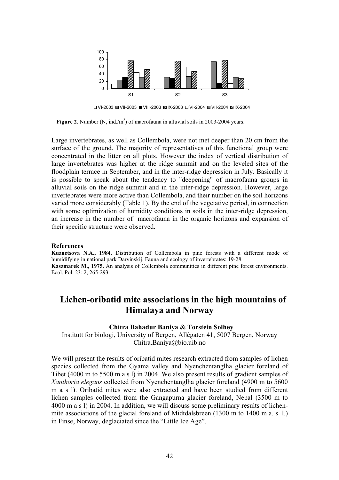

VI-2003 VII-2003 VIII-2003 IX-2003 VI-2004 VII-2004 IX-2004

**Figure 2.** Number  $(N, ind./m^2)$  of macrofauna in alluvial soils in 2003-2004 years.

Large invertebrates, as well as Collembola, were not met deeper than 20 cm from the surface of the ground. The majority of representatives of this functional group were concentrated in the litter on all plots. However the index of vertical distribution of large invertebrates was higher at the ridge summit and on the leveled sites of the floodplain terrace in September, and in the inter-ridge depression in July. Basically it is possible to speak about the tendency to "deepening" of macrofauna groups in alluvial soils on the ridge summit and in the inter-ridge depression. However, large invertebrates were more active than Collembola, and their number on the soil horizons varied more considerably (Table 1). By the end of the vegetative period, in connection with some optimization of humidity conditions in soils in the inter-ridge depression, an increase in the number of macrofauna in the organic horizons and expansion of their specific structure were observed.

#### **References**

**Kuznetsova N.A., 1984.** Distribution of Collembola in pine forests with a different mode of humidifying in national park Darvinskij. Fauna and ecology of invertebrates: 19-28. **Kaszmarek M., 1975.** An analysis of Collembola communities in different pine forest environments. Ecol. Pol. 23: 2, 265-293.

# **Lichen-oribatid mite associations in the high mountains of Himalaya and Norway**

### **Chitra Bahadur Baniya & Torstein Solhøy**

Institutt for biologi, University of Bergen, Allègaten 41, 5007 Bergen, Norway Chitra.Baniya@bio.uib.no

We will present the results of oribatid mites research extracted from samples of lichen species collected from the Gyama valley and Nyenchentanglha glacier foreland of Tibet (4000 m to 5500 m a s l) in 2004. We also present results of gradient samples of *Xanthoria elegans* collected from Nyenchentanglha glacier foreland (4900 m to 5600 m a s l). Oribatid mites were also extracted and have been studied from different lichen samples collected from the Gangapurna glacier foreland, Nepal (3500 m to 4000 m a s l) in 2004. In addition, we will discuss some preliminary results of lichenmite associations of the glacial foreland of Midtdalsbreen (1300 m to 1400 m a. s. l.) in Finse, Norway, deglaciated since the "Little Ice Age".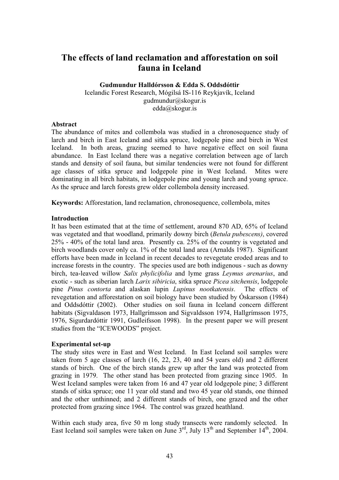# **The effects of land reclamation and afforestation on soil fauna in Iceland**

**Gudmundur Halldórsson & Edda S. Oddsdóttir**  Icelandic Forest Research, Mógilsá IS-116 Reykjavík, Iceland gudmundur@skogur.is edda@skogur.is

## **Abstract**

The abundance of mites and collembola was studied in a chronosequence study of larch and birch in East Iceland and sitka spruce, lodgepole pine and birch in West Iceland. In both areas, grazing seemed to have negative effect on soil fauna abundance. In East Iceland there was a negative correlation between age of larch stands and density of soil fauna, but similar tendencies were not found for different age classes of sitka spruce and lodgepole pine in West Iceland. Mites were dominating in all birch habitats, in lodgepole pine and young larch and young spruce. As the spruce and larch forests grew older collembola density increased.

**Keywords:** Afforestation, land reclamation, chronosequence, collembola, mites

### **Introduction**

It has been estimated that at the time of settlement, around 870 AD, 65% of Iceland was vegetated and that woodland, primarily downy birch (*Betula pubescens)*, covered 25% - 40% of the total land area. Presently ca. 25% of the country is vegetated and birch woodlands cover only ca. 1% of the total land area (Arnalds 1987). Significant efforts have been made in Iceland in recent decades to revegetate eroded areas and to increase forests in the country. The species used are both indigenous - such as downy birch, tea-leaved willow *Salix phylicifolia* and lyme grass *Leymus arenarius*, and exotic - such as siberian larch *Larix sibiricia*, sitka spruce *Picea sitchensis*, lodgepole pine *Pinus contorta* and alaskan lupin *Lupinus nootkatensis*. The effects of revegetation and afforestation on soil biology have been studied by Óskarsson (1984) and Oddsdóttir (2002). Other studies on soil fauna in Iceland concern different habitats (Sigvaldason 1973, Hallgrímsson and Sigvaldsson 1974, Hallgrímsson 1975, 1976, Sigurdardóttir 1991, Gudleifsson 1998). In the present paper we will present studies from the "ICEWOODS" project.

## **Experimental set-up**

The study sites were in East and West Iceland. In East Iceland soil samples were taken from 5 age classes of larch (16, 22, 23, 40 and 54 years old) and 2 different stands of birch. One of the birch stands grew up after the land was protected from grazing in 1979. The other stand has been protected from grazing since 1905. In West Iceland samples were taken from 16 and 47 year old lodgepole pine; 3 different stands of sitka spruce; one 11 year old stand and two 45 year old stands, one thinned and the other unthinned; and 2 different stands of birch, one grazed and the other protected from grazing since 1964. The control was grazed heathland.

Within each study area, five 50 m long study transects were randomly selected. In East Iceland soil samples were taken on June  $3<sup>rd</sup>$ , July  $13<sup>th</sup>$  and September  $14<sup>th</sup>$ , 2004.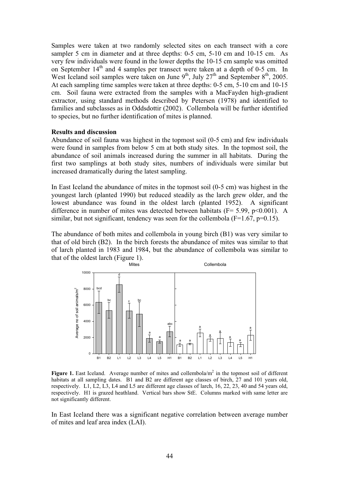Samples were taken at two randomly selected sites on each transect with a core sampler 5 cm in diameter and at three depths: 0-5 cm, 5-10 cm and 10-15 cm. As very few individuals were found in the lower depths the 10-15 cm sample was omitted on September  $14<sup>th</sup>$  and 4 samples per transect were taken at a depth of 0-5 cm. In West Iceland soil samples were taken on June  $9<sup>th</sup>$ , July  $27<sup>th</sup>$  and September  $8<sup>th</sup>$ , 2005. At each sampling time samples were taken at three depths: 0-5 cm, 5-10 cm and 10-15 cm. Soil fauna were extracted from the samples with a MacFayden high-gradient extractor, using standard methods described by Petersen (1978) and identified to families and subclasses as in Oddsdottir (2002). Collembola will be further identified to species, but no further identification of mites is planned.

### **Results and discussion**

Abundance of soil fauna was highest in the topmost soil (0-5 cm) and few individuals were found in samples from below 5 cm at both study sites. In the topmost soil, the abundance of soil animals increased during the summer in all habitats. During the first two samplings at both study sites, numbers of individuals were similar but increased dramatically during the latest sampling.

In East Iceland the abundance of mites in the topmost soil (0-5 cm) was highest in the youngest larch (planted 1990) but reduced steadily as the larch grew older, and the lowest abundance was found in the oldest larch (planted 1952). A significant difference in number of mites was detected between habitats ( $F = 5.99$ ,  $p \le 0.001$ ). A similar, but not significant, tendency was seen for the collembola ( $F=1.67$ ,  $p=0.15$ ).

The abundance of both mites and collembola in young birch (B1) was very similar to that of old birch (B2). In the birch forests the abundance of mites was similar to that of larch planted in 1983 and 1984, but the abundance of collembola was similar to that of the oldest larch (Figure 1).



Figure 1. East Iceland. Average number of mites and collembola/m<sup>2</sup> in the topmost soil of different habitats at all sampling dates. B1 and B2 are different age classes of birch, 27 and 101 years old, respectively. L1, L2, L3, L4 and L5 are different age classes of larch, 16, 22, 23, 40 and 54 years old, respectively. H1 is grazed heathland. Vertical bars show StE. Columns marked with same letter are not significantly different.

In East Iceland there was a significant negative correlation between average number of mites and leaf area index (LAI).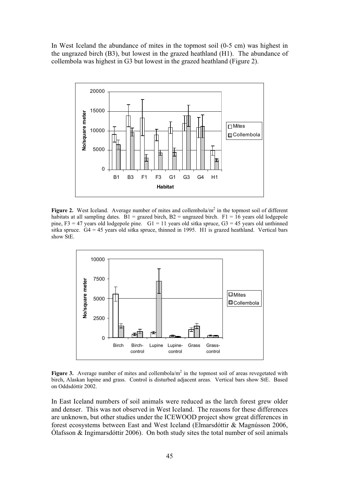In West Iceland the abundance of mites in the topmost soil (0-5 cm) was highest in the ungrazed birch (B3), but lowest in the grazed heathland (H1). The abundance of collembola was highest in G3 but lowest in the grazed heathland (Figure 2).



Figure 2. West Iceland. Average number of mites and collembola/ $m<sup>2</sup>$  in the topmost soil of different habitats at all sampling dates.  $B1 =$  grazed birch,  $B2 =$  ungrazed birch.  $F1 = 16$  years old lodgepole pine, F3 = 47 years old lodgepole pine.  $GI = 11$  years old sitka spruce,  $G3 = 45$  years old unthinned sitka spruce.  $G4 = 45$  years old sitka spruce, thinned in 1995. H<sub>1</sub> is grazed heathland. Vertical bars show StE.



**Figure 3.** Average number of mites and collembola/ $m<sup>2</sup>$  in the topmost soil of areas revegetated with birch, Alaskan lupine and grass. Control is disturbed adjacent areas. Vertical bars show StE. Based on Oddsdóttir 2002.

In East Iceland numbers of soil animals were reduced as the larch forest grew older and denser. This was not observed in West Iceland. The reasons for these differences are unknown, but other studies under the ICEWOOD project show great differences in forest ecosystems between East and West Iceland (Elmarsdóttir & Magnússon 2006, Ólafsson  $\&$  Ingimarsdóttir 2006). On both study sites the total number of soil animals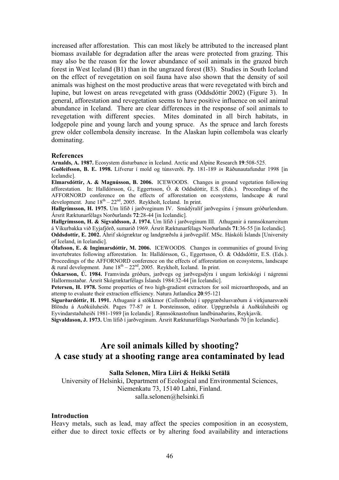increased after afforestation. This can most likely be attributed to the increased plant biomass available for degradation after the areas were protected from grazing. This may also be the reason for the lower abundance of soil animals in the grazed birch forest in West Iceland (B1) than in the ungrazed forest (B3). Studies in South Iceland on the effect of revegetation on soil fauna have also shown that the density of soil animals was highest on the most productive areas that were revegetated with birch and lupine, but lowest on areas revegetated with grass (Oddsdóttir 2002) (Figure 3). In general, afforestation and revegetation seems to have positive influence on soil animal abundance in Iceland. There are clear differences in the response of soil animals to revegetation with different species. Mites dominated in all birch habitats, in lodgepole pine and young larch and young spruce. As the spruce and larch forests grew older collembola density increase. In the Alaskan lupin collembola was clearly dominating.

#### **References**

**Arnalds, A. 1987.** Ecosystem disturbance in Iceland. Arctic and Alpine Research **19**:508-525.

**Guðleifsson, B. E. 1998.** Lífverur í mold og túnsverði. Pp. 181-189 *in* Ráðunautafundur 1998 [in Icelandic].

**Elmarsdóttir, A. & Magnússon, B. 2006.** ICEWOODS. Changes in ground vegetation following afforestation. In: Halldórsson, G., Eggertsson, Ó. & Oddsdóttir, E.S. (Eds.). Proceedings of the AFFORNORD conference on the effects of afforestation on ecosystems, landscape & rural development. June  $18<sup>th</sup> - 22<sup>nd</sup>$ , 2005. Reykholt, Iceland. In print.

**Hallgrímsson, H. 1975.** Um lífið í jarðveginum IV. Smádýralíf jarðvegsins í ýmsum gróðurlendum. Ársrit Ræktunarfélags Norðurlands **72**:28-44 [in Icelandic].

**Hallgrímsson, H. & Sigvaldsson, J. 1974.** Um lífið í jarðveginum III. Athuganir á rannsóknarreitum á Víkurbakka við Eyjafjörð, sumarið 1969. Ársrit Ræktunarfélags Norðurlands **71**:36-55 [in Icelandic].

**Oddsdottir, E. 2002.** Áhrif skógræktar og landgræðslu á jarðvegslíf. MSc. Háskóli Íslands [University of Iceland, in Icelandic].

**Ólafsson, E. & Ingimarsdóttir, M. 2006.** ICEWOODS. Changes in communities of ground living invertebrates following afforestation. In: Halldórsson, G., Eggertsson, Ó. & Oddsdóttir, E.S. (Eds.). Proceedings of the AFFORNORD conference on the effects of afforestation on ecosystems, landscape & rural development. June  $18^{th} - 22^{nd}$ , 2005. Reykholt, Iceland. In print.

**Óskarsson, Ú. 1984.** Framvinda gróðurs, jarðvegs og jarðvegsdýra í ungum lerkiskógi í nágrenni Hallormsstaðar. Ársrit Skógræktarfélags Íslands 1984:32-44 [in Icelandic].

**Petersen, H. 1978.** Some properties of two high-gradient extractors for soil microarthropods, and an attemp to evaluate their extraction efficiency. Natura Jutlandica **20**:95-121

**Sigurðardóttir, H. 1991.** Athuganir á stökkmor (Collembola) í uppgræðslusvæðum á virkjunarsvæði Blöndu á Auðkúluheiði. Pages 77-87 *in* I. Þorsteinsson, editor. Uppgræðsla á Auðkúluheiði og Eyvindarstaðaheiði 1981-1989 [in Icelandic]. Rannsóknastofnun landbúnaðarins, Reykjavík.

**Sigvaldason, J. 1973.** Um lífið í jarðveginum. Ársrit Ræktunarfélags Norðurlands 70 [in Icelandic].

# **Are soil animals killed by shooting? A case study at a shooting range area contaminated by lead**

#### **Salla Selonen, Mira Liiri & Heikki Setälä**

University of Helsinki, Department of Ecological and Environmental Sciences, Niemenkatu 73, 15140 Lahti, Finland. salla.selonen@helsinki.fi

#### **Introduction**

Heavy metals, such as lead, may affect the species composition in an ecosystem, either due to direct toxic effects or by altering food availability and interactions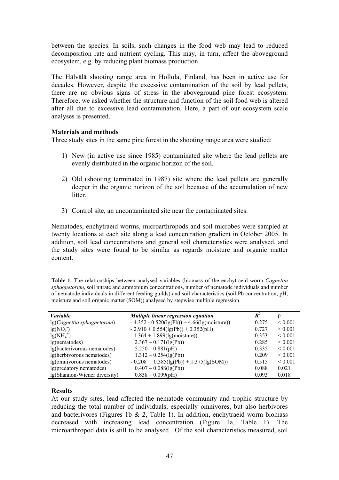between the species. In soils, such changes in the food web may lead to reduced decomposition rate and nutrient cycling. This may, in turn, affect the aboveground ecosystem, e.g. by reducing plant biomass production.

The Hälvälä shooting range area in Hollola, Finland, has been in active use for decades. However, despite the excessive contamination of the soil by lead pellets, there are no obvious signs of stress in the aboveground pine forest ecosystem. Therefore, we asked whether the structure and function of the soil food web is altered after all due to excessive lead contamination. Here, a part of our ecosystem scale analyses is presented.

## **Materials and methods**

Three study sites in the same pine forest in the shooting range area were studied:

- 1) New (in active use since 1985) contaminated site where the lead pellets are evenly distributed in the organic horizon of the soil.
- 2) Old (shooting terminated in 1987) site where the lead pellets are generally deeper in the organic horizon of the soil because of the accumulation of new litter.
- 3) Control site, an uncontaminated site near the contaminated sites.

Nematodes, enchytraeid worms, microarthropods and soil microbes were sampled at twenty locations at each site along a lead concentration gradient in October 2005. In addition, soil lead concentrations and general soil characteristics were analysed, and the study sites were found to be similar as regards moisture and organic matter content.

**Table 1.** The relationships between analysed variables (biomass of the enchytraeid worm *Cognettia sphagnetorum*, soil nitrate and ammonium concentrations, number of nematode individuals and number of nematode individuals in different feeding guilds) and soil characteristics (soil Pb concentration, pH, moisture and soil organic matter (SOM)) analysed by stepwise multiple regression.

| <b><i>Variable</i></b>       | Multiple linear regression equation              | $R^2$ |                   |
|------------------------------|--------------------------------------------------|-------|-------------------|
| lg(Cognettia sphagnetorum)   | $-4.352 - 0.520(\lg(Pb)) + 4.66(\lg(moisture)))$ | 0.275 | ${}_{0.001}$      |
| $lg(NO_3^-)$                 | $-2.910 + 0.554(1g(Pb)) + 0.352(pH)$             | 0.727 | ${}_{0.001}$      |
| $lg(NH_4^+)$                 | $-1.364 + 1.899$ (lg(moisture))                  | 0.353 | ${}_{0.001}$      |
| lg(nematodes)                | $2.367 - 0.171$ (lg(Pb))                         | 0.285 | ${}_{0.001}$      |
| lg(bacterivorous nematodes)  | $5.250 - 0.881(pH)$                              | 0.335 | ${}_{0.001}$      |
| lg(herbivorous nematodes)    | $1.312 - 0.254$ (lg(Pb))                         | 0.209 | ${}_{\leq 0.001}$ |
| lg(omnivorous nematodes)     | $-0.208 - 0.385(\lg(Pb)) + 1.375(\lg(SOM))$      | 0.515 | ${}_{0.001}$      |
| lg(predatory nematodes)      | $0.407 - 0.088$ (lg(Pb))                         | 0.088 | 0.021             |
| lg(Shannon-Wiener diversity) | $0.838 - 0.099(pH)$                              | 0.093 | 0.018             |

#### **Results**

At our study sites, lead affected the nematode community and trophic structure by reducing the total number of individuals, especially omnivores, but also herbivores and bacterivores (Figures 1b  $& 2$ , Table 1). In addition, enchytraeid worm biomass decreased with increasing lead concentration (Figure 1a, Table 1). The microarthropod data is still to be analysed. Of the soil characteristics measured, soil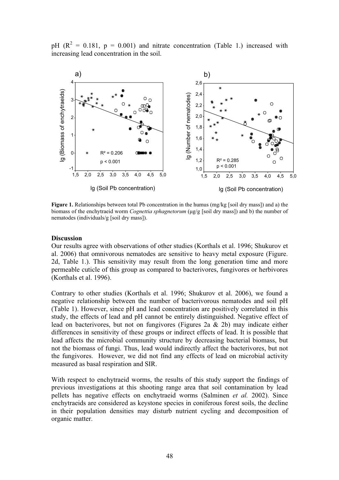pH ( $\mathbb{R}^2 = 0.181$ ,  $\mathbb{p} = 0.001$ ) and nitrate concentration (Table 1.) increased with increasing lead concentration in the soil.



**Figure 1.** Relationships between total Pb concentration in the humus (mg/kg [soil dry mass]) and a) the biomass of the enchytraeid worm *Cognettia sphagnetorum* (µg/g [soil dry mass]) and b) the number of nematodes (individuals/g [soil dry mass]).

### **Discussion**

Our results agree with observations of other studies (Korthals et al. 1996; Shukurov et al. 2006) that omnivorous nematodes are sensitive to heavy metal exposure (Figure. 2d, Table 1.). This sensitivity may result from the long generation time and more permeable cuticle of this group as compared to bacterivores, fungivores or herbivores (Korthals et al. 1996).

Contrary to other studies (Korthals et al. 1996; Shukurov et al. 2006), we found a negative relationship between the number of bacterivorous nematodes and soil pH (Table 1). However, since pH and lead concentration are positively correlated in this study, the effects of lead and pH cannot be entirely distinguished. Negative effect of lead on bacterivores, but not on fungivores (Figures 2a & 2b) may indicate either differences in sensitivity of these groups or indirect effects of lead. It is possible that lead affects the microbial community structure by decreasing bacterial biomass, but not the biomass of fungi. Thus, lead would indirectly affect the bacterivores, but not the fungivores. However, we did not find any effects of lead on microbial activity measured as basal respiration and SIR.

With respect to enchytraeid worms, the results of this study support the findings of previous investigations at this shooting range area that soil contamination by lead pellets has negative effects on enchytraeid worms (Salminen *et al.* 2002). Since enchytraeids are considered as keystone species in coniferous forest soils, the decline in their population densities may disturb nutrient cycling and decomposition of organic matter.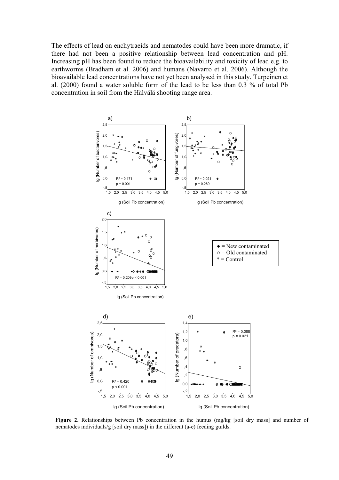The effects of lead on enchytraeids and nematodes could have been more dramatic, if there had not been a positive relationship between lead concentration and pH. Increasing pH has been found to reduce the bioavailability and toxicity of lead e.g. to earthworms (Bradham et al. 2006) and humans (Navarro et al. 2006). Although the bioavailable lead concentrations have not yet been analysed in this study, Turpeinen et al. (2000) found a water soluble form of the lead to be less than 0.3 % of total Pb concentration in soil from the Hälvälä shooting range area.



Figure 2. Relationships between Pb concentration in the humus (mg/kg [soil dry mass] and number of nematodes individuals/g [soil dry mass]) in the different (a-e) feeding guilds.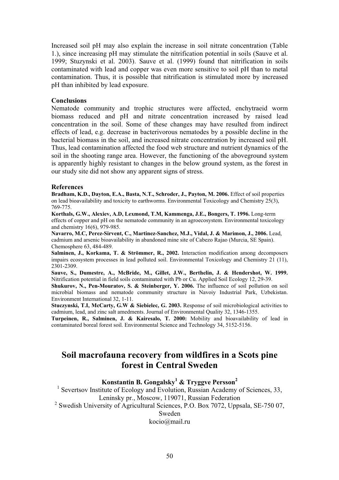Increased soil pH may also explain the increase in soil nitrate concentration (Table 1.), since increasing pH may stimulate the nitrification potential in soils (Sauve et al. 1999; Stuzynski et al. 2003). Sauve et al. (1999) found that nitrification in soils contaminated with lead and copper was even more sensitive to soil pH than to metal contamination. Thus, it is possible that nitrification is stimulated more by increased pH than inhibited by lead exposure.

#### **Conclusions**

Nematode community and trophic structures were affected, enchytraeid worm biomass reduced and pH and nitrate concentration increased by raised lead concentration in the soil. Some of these changes may have resulted from indirect effects of lead, e.g. decrease in bacterivorous nematodes by a possible decline in the bacterial biomass in the soil, and increased nitrate concentration by increased soil pH. Thus, lead contamination affected the food web structure and nutrient dynamics of the soil in the shooting range area. However, the functioning of the aboveground system is apparently highly resistant to changes in the below ground system, as the forest in our study site did not show any apparent signs of stress.

#### **References**

**Bradham, K.D., Dayton, E.A., Basta, N.T., Schroder, J., Payton, M. 2006.** Effect of soil properties on lead bioavailability and toxicity to earthworms. Environmental Toxicology and Chemistry 25(3), 769-775.

**Korthals, G.W., Alexiev, A.D, Lexmond, T.M, Kammenga, J.E., Bongers, T. 1996.** Long-term effects of copper and pH on the nematode community in an agroecosystem. Environmental toxicology and chemistry 16(6), 979-985.

**Navarro, M.C, Perez-Sirvent, C., Martinez-Sanchez, M.J., Vidal, J. & Marimon, J., 2006.** Lead, cadmium and arsenic bioavailability in abandoned mine site of Cabezo Rajao (Murcia, SE Spain). Chemosphere 63, 484-489.

**Salminen, J., Korkama, T. & Strömmer, R., 2002.** Interaction modification among decomposers impairs ecosystem processes in lead polluted soil. Environmental Toxicology and Chemistry 21 (11), 2301-2309.

**Sauve, S., Dumestre, A., McBride, M., Gillet, J.W., Berthelin, J. & Hendershot, W. 1999.** Nitrification potential in field soils contaminated with Pb or Cu. Applied Soil Ecology 12, 29-39.

**Shukurov, N., Pen-Mouratov, S. & Steinberger, Y. 2006.** The influence of soil pollution on soil microbial biomass and nematode community structure in Navoiy Industrial Park, Uzbekistan. Environment International 32, 1-11.

**Stuczynski, T.I, McCarty, G.W & Siebielec, G. 2003.** Response of soil microbiological activities to cadmium, lead, and zinc salt amedments. Journal of Environmental Quality 32, 1346-1355.

**Turpeinen, R., Salminen, J. & Kairesalo, T. 2000:** Mobility and bioavailability of lead in contaminated boreal forest soil. Environmental Science and Technology 34, 5152-5156.

# **Soil macrofauna recovery from wildfires in a Scots pine forest in Central Sweden**

# **Konstantin B. Gongalsky<sup>1</sup> & Tryggve Persson<sup>2</sup>**

<sup>1</sup> Severtsov Institute of Ecology and Evolution, Russian Academy of Sciences, 33, Leninsky pr., Moscow, 119071, Russian Federation

<sup>2</sup> Swedish University of Agricultural Sciences, P.O. Box 7072, Uppsala, SE-750 07,

Sweden

kocio@mail.ru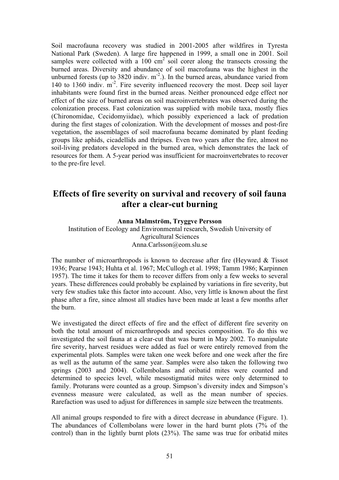Soil macrofauna recovery was studied in 2001-2005 after wildfires in Tyresta National Park (Sweden). A large fire happened in 1999, a small one in 2001. Soil samples were collected with a  $100 \text{ cm}^2$  soil corer along the transects crossing the burned areas. Diversity and abundance of soil macrofauna was the highest in the unburned forests (up to  $3820$  indiv. m<sup>-2</sup>.). In the burned areas, abundance varied from 140 to 1360 indiv.  $m<sup>2</sup>$ . Fire severity influenced recovery the most. Deep soil layer inhabitants were found first in the burned areas. Neither pronounced edge effect nor effect of the size of burned areas on soil macroinvertebrates was observed during the colonization process. Fast colonization was supplied with mobile taxa, mostly flies (Chironomidae, Cecidomyiidae), which possibly experienced a lack of predation during the first stages of colonization. With the development of mosses and post-fire vegetation, the assemblages of soil macrofauna became dominated by plant feeding groups like aphids, cicadellids and thripses. Even two years after the fire, almost no soil-living predators developed in the burned area, which demonstrates the lack of resources for them. A 5-year period was insufficient for macroinvertebrates to recover to the pre-fire level.

# **Effects of fire severity on survival and recovery of soil fauna after a clear-cut burning**

## **Anna Malmström, Tryggve Persson**

Institution of Ecology and Environmental research, Swedish University of Agricultural Sciences Anna.Carlsson@eom.slu.se

The number of microarthropods is known to decrease after fire (Heyward & Tissot 1936; Pearse 1943; Huhta et al. 1967; McCullogh et al. 1998; Tamm 1986; Karpinnen 1957). The time it takes for them to recover differs from only a few weeks to several years. These differences could probably be explained by variations in fire severity, but very few studies take this factor into account. Also, very little is known about the first phase after a fire, since almost all studies have been made at least a few months after the burn.

We investigated the direct effects of fire and the effect of different fire severity on both the total amount of microarthropods and species composition. To do this we investigated the soil fauna at a clear-cut that was burnt in May 2002. To manipulate fire severity, harvest residues were added as fuel or were entirely removed from the experimental plots. Samples were taken one week before and one week after the fire as well as the autumn of the same year. Samples were also taken the following two springs (2003 and 2004). Collembolans and oribatid mites were counted and determined to species level, while mesostigmatid mites were only determined to family. Proturans were counted as a group. Simpson's diversity index and Simpson's evenness measure were calculated, as well as the mean number of species. Rarefaction was used to adjust for differences in sample size between the treatments.

All animal groups responded to fire with a direct decrease in abundance (Figure. 1). The abundances of Collembolans were lower in the hard burnt plots (7% of the control) than in the lightly burnt plots (23%). The same was true for oribatid mites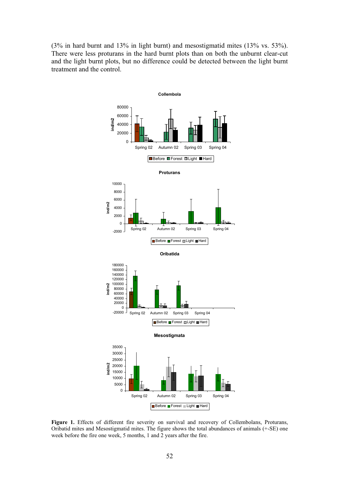(3% in hard burnt and 13% in light burnt) and mesostigmatid mites (13% vs. 53%). There were less proturans in the hard burnt plots than on both the unburnt clear-cut and the light burnt plots, but no difference could be detected between the light burnt treatment and the control.



Figure 1. Effects of different fire severity on survival and recovery of Collembolans, Proturans, Oribatid mites and Mesostigmatid mites. The figure shows the total abundances of animals (+-SE) one week before the fire one week, 5 months, 1 and 2 years after the fire.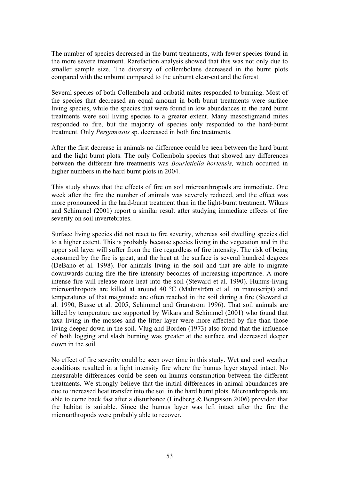The number of species decreased in the burnt treatments, with fewer species found in the more severe treatment. Rarefaction analysis showed that this was not only due to smaller sample size. The diversity of collembolans decreased in the burnt plots compared with the unburnt compared to the unburnt clear-cut and the forest.

Several species of both Collembola and oribatid mites responded to burning. Most of the species that decreased an equal amount in both burnt treatments were surface living species, while the species that were found in low abundances in the hard burnt treatments were soil living species to a greater extent. Many mesostigmatid mites responded to fire, but the majority of species only responded to the hard-burnt treatment. Only *Pergamasus* sp. decreased in both fire treatments.

After the first decrease in animals no difference could be seen between the hard burnt and the light burnt plots. The only Collembola species that showed any differences between the different fire treatments was *Bourletiella hortensis,* which occurred in higher numbers in the hard burnt plots in 2004.

This study shows that the effects of fire on soil microarthropods are immediate. One week after the fire the number of animals was severely reduced, and the effect was more pronounced in the hard-burnt treatment than in the light-burnt treatment. Wikars and Schimmel (2001) report a similar result after studying immediate effects of fire severity on soil invertebrates.

Surface living species did not react to fire severity, whereas soil dwelling species did to a higher extent. This is probably because species living in the vegetation and in the upper soil layer will suffer from the fire regardless of fire intensity. The risk of being consumed by the fire is great, and the heat at the surface is several hundred degrees (DeBano et al. 1998). For animals living in the soil and that are able to migrate downwards during fire the fire intensity becomes of increasing importance. A more intense fire will release more heat into the soil (Steward et al. 1990). Humus-living microarthropods are killed at around 40 ºC (Malmström et al. in manuscript) and temperatures of that magnitude are often reached in the soil during a fire (Steward et al. 1990, Busse et al. 2005, Schimmel and Granström 1996). That soil animals are killed by temperature are supported by Wikars and Schimmel (2001) who found that taxa living in the mosses and the litter layer were more affected by fire than those living deeper down in the soil. Vlug and Borden (1973) also found that the influence of both logging and slash burning was greater at the surface and decreased deeper down in the soil.

No effect of fire severity could be seen over time in this study. Wet and cool weather conditions resulted in a light intensity fire where the humus layer stayed intact. No measurable differences could be seen on humus consumption between the different treatments. We strongly believe that the initial differences in animal abundances are due to increased heat transfer into the soil in the hard burnt plots. Microarthropods are able to come back fast after a disturbance (Lindberg & Bengtsson 2006) provided that the habitat is suitable. Since the humus layer was left intact after the fire the microarthropods were probably able to recover.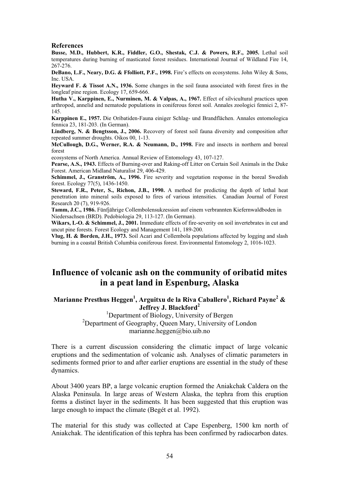#### **References**

**Busse, M.D., Hubbert, K.R., Fiddler, G.O., Shestak, C.J. & Powers, R.F., 2005.** Lethal soil temperatures during burning of masticated forest residues. International Journal of Wildland Fire 14, 267-276.

**DeBano, L.F., Neary, D.G. & Ffolliott, P.F., 1998.** Fire's effects on ecosystems. John Wiley & Sons, Inc. USA.

**Heyward F. & Tissot A.N., 1936.** Some changes in the soil fauna associated with forest fires in the longleaf pine region. Ecology 17, 659-666.

**Hutha V., Karppinen, E., Nurminen, M. & Valpas, A., 1967.** Effect of silvicultural practices upon arthropod, annelid and nematode populations in coniferous forest soil. Annales zoologici fennici 2, 87- 145.

**Karppinen E., 1957.** Die Oribatiden-Fauna einiger Schlag- und Brandflächen. Annales entomologica fennica 23, 181-203. (In German).

**Lindberg, N. & Bengtsson, J., 2006.** Recovery of forest soil fauna diversity and composition after repeated summer droughts. Oikos 00, 1-13.

**McCullough, D.G., Werner, R.A. & Neumann, D., 1998.** Fire and insects in northern and boreal forest

ecosystems of North America. Annual Review of Entomology 43, 107-127.

**Pearse, A.S., 1943.** Effects of Burning-over and Raking-off Litter on Certain Soil Animals in the Duke Forest. American Midland Naturalist 29, 406-429.

**Schimmel, J., Granström, A., 1996.** Fire severity and vegetation response in the boreal Swedish forest. Ecology 77(5), 1436-1450.

**Steward, F.R., Peter, S., Richon, J.B., 1990.** A method for predicting the depth of lethal heat penetration into mineral soils exposed to fires of various intensities. Canadian Journal of Forest Research 20 (7), 919-926.

**Tamm, J.C., 1986.** Fünfjährige Collembolensukzession auf einem verbrannten Kiefernwaldboden in Niedersachsen (BRD). Pedobiologia 29, 113-127. (In German).

Wikars, L-O. & Schimmel, J., 2001. Immediate effects of fire-severity on soil invertebrates in cut and uncut pine forests. Forest Ecology and Management 141, 189-200.

**Vlug, H. & Borden, J.H., 1973.** Soil Acari and Collembola populations affected by logging and slash burning in a coastal British Columbia coniferous forest. Environmental Entomology 2, 1016-1023.

# **Influence of volcanic ash on the community of oribatid mites in a peat land in Espenburg, Alaska**

# **Marianne Presthus Heggen1 , Arguitxu de la Riva Caballero<sup>1</sup> , Richard Payne<sup>2</sup> &**  Jeffrey J. Blackford<sup>2</sup>

<sup>1</sup>Department of Biology, University of Bergen <sup>2</sup>Department of Geography, Queen Mary, University of London marianne.heggen@bio.uib.no

There is a current discussion considering the climatic impact of large volcanic eruptions and the sedimentation of volcanic ash. Analyses of climatic parameters in sediments formed prior to and after earlier eruptions are essential in the study of these dynamics.

About 3400 years BP, a large volcanic eruption formed the Aniakchak Caldera on the Alaska Peninsula. In large areas of Western Alaska, the tephra from this eruption forms a distinct layer in the sediments. It has been suggested that this eruption was large enough to impact the climate (Begét et al. 1992).

The material for this study was collected at Cape Espenberg, 1500 km north of Aniakchak. The identification of this tephra has been confirmed by radiocarbon dates.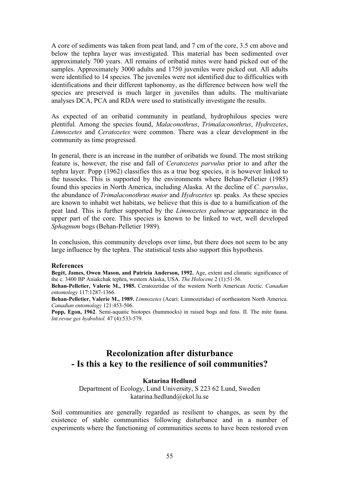A core of sediments was taken from peat land, and 7 cm of the core, 3.5 cm above and below the tephra layer was investigated. This material has been sedimented over approximately 700 years. All remains of oribatid mites were hand picked out of the samples. Approximately 3000 adults and 1750 juveniles were picked out. All adults were identified to 14 species. The juveniles were not identified due to difficulties with identifications and their different taphonomy, as the difference between how well the species are preserved is much larger in juveniles than adults. The multivariate analyses DCA, PCA and RDA were used to statistically investigate the results.

As expected of an oribatid community in peatland, hydrophilous species were plentiful. Among the species found, *Malaconothrus*, *Trimalaconothrus*, *Hydrozetes*, *Limnozetes* and *Ceratozetes* were common. There was a clear development in the community as time progressed.

In general, there is an increase in the number of oribatids we found. The most striking feature is, however, the rise and fall of *Ceratozetes parvulus* prior to and after the tephra layer. Popp (1962) classifies this as a true bog species, it is however linked to the tussocks. This is supported by the environments where Behan-Pelletier (1985) found this species in North America, including Alaska. At the decline of *C. parvulus*, the abundance of *Trimalaconothrus maior* and *Hydrozetes* sp. peaks. As these species are known to inhabit wet habitats, we believe that this is due to a humification of the peat land. This is further supported by the *Limnozetes palmerae* appearance in the upper part of the core. This species is known to be linked to wet, well developed *Sphagnum* bogs (Behan-Pelletier 1989).

In conclusion, this community develops over time, but there does not seem to be any large influence by the tephra. The statistical tests also support this hypothesis.

### **References**

**Begét, James, Owen Mason, and Patricia Anderson, 1992.** Age, extent and climatic significance of the c. 3400 BP Aniakchak tephra, western Alaska, USA. *The Holocene* 2 (1):51-56.

**Behan-Pelletier, Valerie M., 1985.** Ceratozetidae of the western North American Arctic. *Canadian entomology* 117:1287-1366.

**Behan-Pelletier, Valerie M., 1989.** *Limnozetes* (Acari: Limnozetidae) of northeastern North America. *Canadian entomology* 121:453-506.

**Popp, Egon, 1962**. Semi-aquatic biotopes (hummocks) in raised bogs and fens. II. The mite fauna. *Int.revue ges hydrobiol.* 47 (4):533-579.

# **Recolonization after disturbance - Is this a key to the resilience of soil communities?**

## **Katarina Hedlund**

Department of Ecology, Lund University, S 223 62 Lund, Sweden katarina.hedlund@ekol.lu.se

Soil communities are generally regarded as resilient to changes, as seen by the existence of stable communities following disturbance and in a number of experiments where the functioning of communities seems to have been restored even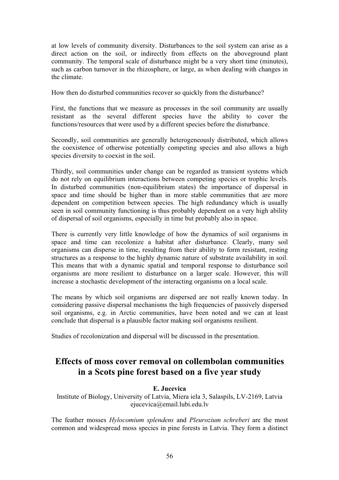at low levels of community diversity. Disturbances to the soil system can arise as a direct action on the soil, or indirectly from effects on the aboveground plant community. The temporal scale of disturbance might be a very short time (minutes), such as carbon turnover in the rhizosphere, or large, as when dealing with changes in the climate.

How then do disturbed communities recover so quickly from the disturbance?

First, the functions that we measure as processes in the soil community are usually resistant as the several different species have the ability to cover the functions/resources that were used by a different species before the disturbance.

Secondly, soil communities are generally heterogeneously distributed, which allows the coexistence of otherwise potentially competing species and also allows a high species diversity to coexist in the soil.

Thirdly, soil communities under change can be regarded as transient systems which do not rely on equilibrium interactions between competing species or trophic levels. In disturbed communities (non-equilibrium states) the importance of dispersal in space and time should be higher than in more stable communities that are more dependent on competition between species. The high redundancy which is usually seen in soil community functioning is thus probably dependent on a very high ability of dispersal of soil organisms, especially in time but probably also in space.

There is currently very little knowledge of how the dynamics of soil organisms in space and time can recolonize a habitat after disturbance. Clearly, many soil organisms can disperse in time, resulting from their ability to form resistant, resting structures as a response to the highly dynamic nature of substrate availability in soil. This means that with a dynamic spatial and temporal response to disturbance soil organisms are more resilient to disturbance on a larger scale. However, this will increase a stochastic development of the interacting organisms on a local scale.

The means by which soil organisms are dispersed are not really known today. In considering passive dispersal mechanisms the high frequencies of passively dispersed soil organisms, e.g. in Arctic communities, have been noted and we can at least conclude that dispersal is a plausible factor making soil organisms resilient.

Studies of recolonization and dispersal will be discussed in the presentation.

# **Effects of moss cover removal on collembolan communities in a Scots pine forest based on a five year study**

## **E. Jucevica**

Institute of Biology, University of Latvia, Miera iela 3, Salaspils, LV-2169, Latvia ejucevica@email.lubi.edu.lv

The feather mosses *Hylocomium splendens* and *Pleurozium schreberi* are the most common and widespread moss species in pine forests in Latvia. They form a distinct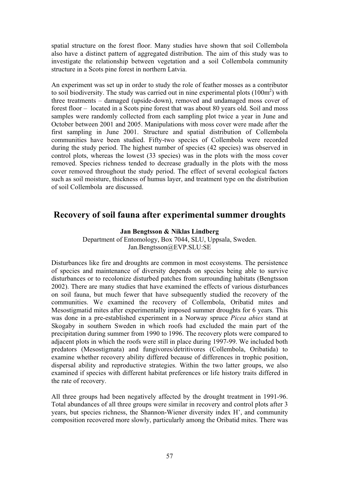spatial structure on the forest floor. Many studies have shown that soil Collembola also have a distinct pattern of aggregated distribution. The aim of this study was to investigate the relationship between vegetation and a soil Collembola community structure in a Scots pine forest in northern Latvia.

An experiment was set up in order to study the role of feather mosses as a contributor to soil biodiversity. The study was carried out in nine experimental plots  $(100m<sup>2</sup>)$  with three treatments – damaged (upside-down), removed and undamaged moss cover of forest floor – located in a Scots pine forest that was about 80 years old. Soil and moss samples were randomly collected from each sampling plot twice a year in June and October between 2001 and 2005. Manipulations with moss cover were made after the first sampling in June 2001. Structure and spatial distribution of Collembola communities have been studied. Fifty-two species of Collembola were recorded during the study period. The highest number of species (42 species) was observed in control plots, whereas the lowest (33 species) was in the plots with the moss cover removed. Species richness tended to decrease gradually in the plots with the moss cover removed throughout the study period. The effect of several ecological factors such as soil moisture, thickness of humus layer, and treatment type on the distribution of soil Collembola are discussed.

# **Recovery of soil fauna after experimental summer droughts**

## **Jan Bengtsson & Niklas Lindberg**

Department of Entomology, Box 7044, SLU, Uppsala, Sweden. Jan.Bengtsson@EVP.SLU:SE

Disturbances like fire and droughts are common in most ecosystems. The persistence of species and maintenance of diversity depends on species being able to survive disturbances or to recolonize disturbed patches from surrounding habitats (Bengtsson 2002). There are many studies that have examined the effects of various disturbances on soil fauna, but much fewer that have subsequently studied the recovery of the communities. We examined the recovery of Collembola, Oribatid mites and Mesostigmatid mites after experimentally imposed summer droughts for 6 years. This was done in a pre-established experiment in a Norway spruce *Picea abies* stand at Skogaby in southern Sweden in which roofs had excluded the main part of the precipitation during summer from 1990 to 1996. The recovery plots were compared to adjacent plots in which the roofs were still in place during 1997-99. We included both predators (Mesostigmata) and fungivores/detritivores (Collembola, Oribatida) to examine whether recovery ability differed because of differences in trophic position, dispersal ability and reproductive strategies. Within the two latter groups, we also examined if species with different habitat preferences or life history traits differed in the rate of recovery.

All three groups had been negatively affected by the drought treatment in 1991-96. Total abundances of all three groups were similar in recovery and control plots after 3 years, but species richness, the Shannon-Wiener diversity index H', and community composition recovered more slowly, particularly among the Oribatid mites. There was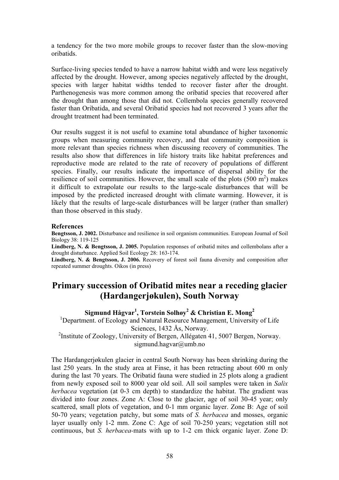a tendency for the two more mobile groups to recover faster than the slow-moving oribatids.

Surface-living species tended to have a narrow habitat width and were less negatively affected by the drought. However, among species negatively affected by the drought, species with larger habitat widths tended to recover faster after the drought. Parthenogenesis was more common among the oribatid species that recovered after the drought than among those that did not. Collembola species generally recovered faster than Oribatida, and several Oribatid species had not recovered 3 years after the drought treatment had been terminated.

Our results suggest it is not useful to examine total abundance of higher taxonomic groups when measuring community recovery, and that community composition is more relevant than species richness when discussing recovery of communities. The results also show that differences in life history traits like habitat preferences and reproductive mode are related to the rate of recovery of populations of different species. Finally, our results indicate the importance of dispersal ability for the resilience of soil communities. However, the small scale of the plots  $(500 \text{ m}^2)$  makes it difficult to extrapolate our results to the large-scale disturbances that will be imposed by the predicted increased drought with climate warming. However, it is likely that the results of large-scale disturbances will be larger (rather than smaller) than those observed in this study.

#### **References**

**Bengtsson, J. 2002.** Disturbance and resilience in soil organism communities. European Journal of Soil Biology 38: 119-125

**Lindberg, N. & Bengtsson, J. 2005.** Population responses of oribatid mites and collembolans after a drought disturbance. Applied Soil Ecology 28: 163-174.

**Lindberg, N. & Bengtsson, J. 2006.** Recovery of forest soil fauna diversity and composition after repeated summer droughts. Oikos (in press)

# **Primary succession of Oribatid mites near a receding glacier (Hardangerjøkulen), South Norway**

**Sigmund Hågvar1 , Torstein Solhøy<sup>2</sup> & Christian E. Mong<sup>2</sup>**

<sup>1</sup>Department. of Ecology and Natural Resource Management, University of Life Sciences, 1432 Ås, Norway.

<sup>2</sup>Institute of Zoology, University of Bergen, Allégaten 41, 5007 Bergen, Norway. sigmund.hagvar@umb.no

The Hardangerjøkulen glacier in central South Norway has been shrinking during the last 250 years. In the study area at Finse, it has been retracting about 600 m only during the last 70 years. The Oribatid fauna were studied in 25 plots along a gradient from newly exposed soil to 8000 year old soil. All soil samples were taken in *Salix herbacea* vegetation (at 0-3 cm depth) to standardize the habitat. The gradient was divided into four zones. Zone A: Close to the glacier, age of soil 30-45 year; only scattered, small plots of vegetation, and 0-1 mm organic layer. Zone B: Age of soil 50-70 years; vegetation patchy, but some mats of *S. herbacea* and mosses, organic layer usually only 1-2 mm. Zone C: Age of soil 70-250 years; vegetation still not continuous, but *S. herbacea-*mats with up to 1-2 cm thick organic layer. Zone D: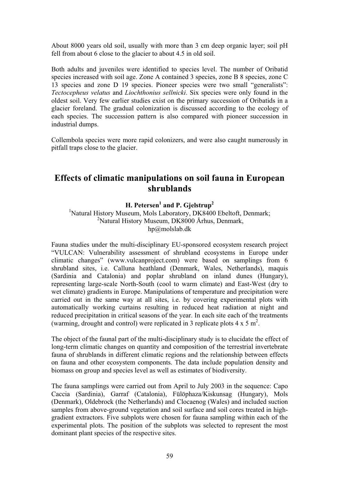About 8000 years old soil, usually with more than 3 cm deep organic layer; soil pH fell from about 6 close to the glacier to about 4.5 in old soil.

Both adults and juveniles were identified to species level. The number of Oribatid species increased with soil age. Zone A contained 3 species, zone B 8 species, zone C 13 species and zone D 19 species. Pioneer species were two small "generalists": *Tectocepheus velatus* and *Liochthonius sellnicki*. Six species were only found in the oldest soil. Very few earlier studies exist on the primary succession of Oribatids in a glacier foreland. The gradual colonization is discussed according to the ecology of each species. The succession pattern is also compared with pioneer succession in industrial dumps.

Collembola species were more rapid colonizers, and were also caught numerously in pitfall traps close to the glacier.

# **Effects of climatic manipulations on soil fauna in European shrublands**

**H. Petersen** $^1$  **and P. Gjelstrup** $^2$ 

<sup>1</sup>Natural History Museum, Mols Laboratory, DK8400 Ebeltoft, Denmark; <sup>2</sup>Natural History Museum, DK8000 Århus, Denmark, hp@molslab.dk

Fauna studies under the multi-disciplinary EU-sponsored ecosystem research project "VULCAN: Vulnerability assessment of shrubland ecosystems in Europe under climatic changes" (www.vulcanproject.com) were based on samplings from 6 shrubland sites, i.e. Calluna heathland (Denmark, Wales, Netherlands), maquis (Sardinia and Catalonia) and poplar shrubland on inland dunes (Hungary), representing large-scale North-South (cool to warm climate) and East-West (dry to wet climate) gradients in Europe. Manipulations of temperature and precipitation were carried out in the same way at all sites, i.e. by covering experimental plots with automatically working curtains resulting in reduced heat radiation at night and reduced precipitation in critical seasons of the year. In each site each of the treatments (warming, drought and control) were replicated in 3 replicate plots  $4 \times 5$  m<sup>2</sup>.

The object of the faunal part of the multi-disciplinary study is to elucidate the effect of long-term climatic changes on quantity and composition of the terrestrial invertebrate fauna of shrublands in different climatic regions and the relationship between effects on fauna and other ecosystem components. The data include population density and biomass on group and species level as well as estimates of biodiversity.

The fauna samplings were carried out from April to July 2003 in the sequence: Capo Caccia (Sardinia), Garraf (Catalonia), Fülöphaza/Kiskunsag (Hungary), Mols (Denmark), Oldebrock (the Netherlands) and Clocaenog (Wales) and included suction samples from above-ground vegetation and soil surface and soil cores treated in highgradient extractors. Five subplots were chosen for fauna sampling within each of the experimental plots. The position of the subplots was selected to represent the most dominant plant species of the respective sites.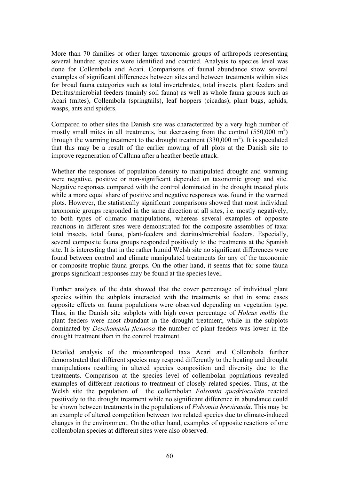More than 70 families or other larger taxonomic groups of arthropods representing several hundred species were identified and counted. Analysis to species level was done for Collembola and Acari. Comparisons of faunal abundance show several examples of significant differences between sites and between treatments within sites for broad fauna categories such as total invertebrates, total insects, plant feeders and Detritus/microbial feeders (mainly soil fauna) as well as whole fauna groups such as Acari (mites), Collembola (springtails), leaf hoppers (cicadas), plant bugs, aphids, wasps, ants and spiders.

Compared to other sites the Danish site was characterized by a very high number of mostly small mites in all treatments, but decreasing from the control  $(550,000 \text{ m}^2)$ through the warming treatment to the drought treatment  $(330,000 \text{ m}^2)$ . It is speculated that this may be a result of the earlier mowing of all plots at the Danish site to improve regeneration of Calluna after a heather beetle attack.

Whether the responses of population density to manipulated drought and warming were negative, positive or non-significant depended on taxonomic group and site. Negative responses compared with the control dominated in the drought treated plots while a more equal share of positive and negative responses was found in the warmed plots. However, the statistically significant comparisons showed that most individual taxonomic groups responded in the same direction at all sites, i.e. mostly negatively, to both types of climatic manipulations, whereas several examples of opposite reactions in different sites were demonstrated for the composite assemblies of taxa: total insects, total fauna, plant-feeders and detritus/microbial feeders. Especially, several composite fauna groups responded positively to the treatments at the Spanish site. It is interesting that in the rather humid Welsh site no significant differences were found between control and climate manipulated treatments for any of the taxonomic or composite trophic fauna groups. On the other hand, it seems that for some fauna groups significant responses may be found at the species level.

Further analysis of the data showed that the cover percentage of individual plant species within the subplots interacted with the treatments so that in some cases opposite effects on fauna populations were observed depending on vegetation type. Thus, in the Danish site subplots with high cover percentage of *Holcus mollis* the plant feeders were most abundant in the drought treatment, while in the subplots dominated by *Deschampsia flexuosa* the number of plant feeders was lower in the drought treatment than in the control treatment.

Detailed analysis of the micoarthropod taxa Acari and Collembola further demonstrated that different species may respond differently to the heating and drought manipulations resulting in altered species composition and diversity due to the treatments. Comparison at the species level of collembolan populations revealed examples of different reactions to treatment of closely related species. Thus, at the Welsh site the population of the collembolan *Folsomia quadrioculata* reacted positively to the drought treatment while no significant difference in abundance could be shown between treatments in the populations of *Folsomia brevicauda*. This may be an example of altered competition between two related species due to climate-induced changes in the environment. On the other hand, examples of opposite reactions of one collembolan species at different sites were also observed.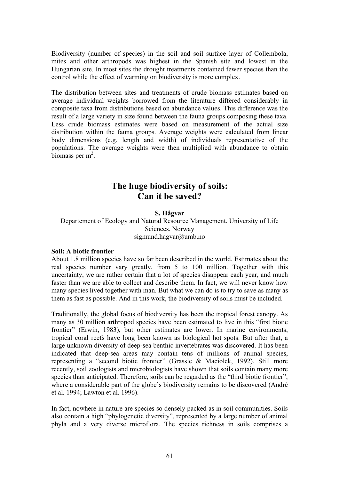Biodiversity (number of species) in the soil and soil surface layer of Collembola, mites and other arthropods was highest in the Spanish site and lowest in the Hungarian site. In most sites the drought treatments contained fewer species than the control while the effect of warming on biodiversity is more complex.

The distribution between sites and treatments of crude biomass estimates based on average individual weights borrowed from the literature differed considerably in composite taxa from distributions based on abundance values. This difference was the result of a large variety in size found between the fauna groups composing these taxa. Less crude biomass estimates were based on measurement of the actual size distribution within the fauna groups. Average weights were calculated from linear body dimensions (e.g. length and width) of individuals representative of the populations. The average weights were then multiplied with abundance to obtain  $\frac{1}{2}$ biomass per m<sup>2</sup>.

# **The huge biodiversity of soils: Can it be saved?**

## **S. Hågvar**

Departement of Ecology and Natural Resource Management, University of Life Sciences, Norway sigmund.hagvar@umb.no

## **Soil: A biotic frontier**

About 1.8 million species have so far been described in the world. Estimates about the real species number vary greatly, from 5 to 100 million. Together with this uncertainty, we are rather certain that a lot of species disappear each year, and much faster than we are able to collect and describe them. In fact, we will never know how many species lived together with man. But what we can do is to try to save as many as them as fast as possible. And in this work, the biodiversity of soils must be included.

Traditionally, the global focus of biodiversity has been the tropical forest canopy. As many as 30 million arthropod species have been estimated to live in this "first biotic frontier" (Erwin, 1983), but other estimates are lower. In marine environments, tropical coral reefs have long been known as biological hot spots. But after that, a large unknown diversity of deep-sea benthic invertebrates was discovered. It has been indicated that deep-sea areas may contain tens of millions of animal species, representing a "second biotic frontier" (Grassle & Maciolek, 1992). Still more recently, soil zoologists and microbiologists have shown that soils contain many more species than anticipated. Therefore, soils can be regarded as the "third biotic frontier", where a considerable part of the globe's biodiversity remains to be discovered (André et al*.* 1994; Lawton et al. 1996).

In fact, nowhere in nature are species so densely packed as in soil communities. Soils also contain a high "phylogenetic diversity", represented by a large number of animal phyla and a very diverse microflora. The species richness in soils comprises a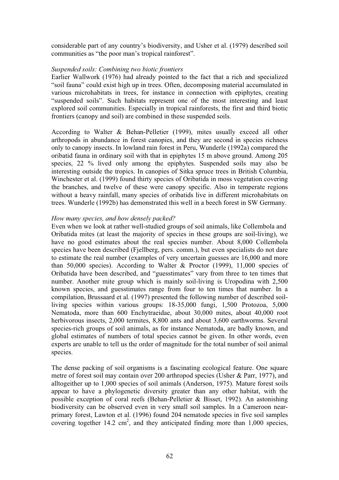considerable part of any country's biodiversity, and Usher et al. (1979) described soil communities as "the poor man's tropical rainforest".

## *Suspended soils: Combining two biotic frontiers*

Earlier Wallwork (1976) had already pointed to the fact that a rich and specialized "soil fauna" could exist high up in trees. Often, decomposing material accumulated in various microhabitats in trees, for instance in connection with epiphytes, creating "suspended soils". Such habitats represent one of the most interesting and least explored soil communities. Especially in tropical rainforests, the first and third biotic frontiers (canopy and soil) are combined in these suspended soils.

According to Walter & Behan-Pelletier (1999), mites usually exceed all other arthropods in abundance in forest canopies, and they are second in species richness only to canopy insects. In lowland rain forest in Peru, Wunderle (1992a) compared the oribatid fauna in ordinary soil with that in epiphytes 15 m above ground. Among 205 species, 22 % lived only among the epiphytes. Suspended soils may also be interesting outside the tropics. In canopies of Sitka spruce trees in British Columbia, Winchester et al. (1999) found thirty species of Oribatida in moss vegetation covering the branches, and twelve of these were canopy specific. Also in temperate regions without a heavy rainfall, many species of oribatids live in different microhabitats on trees. Wunderle (1992b) has demonstrated this well in a beech forest in SW Germany.

### *How many species, and how densely packed?*

Even when we look at rather well-studied groups of soil animals, like Collembola and Oribatida mites (at least the majority of species in these groups are soil-living), we have no good estimates about the real species number. About 8,000 Collembola species have been described (Fjellberg, pers. comm.), but even specialists do not dare to estimate the real number (examples of very uncertain guesses are 16,000 and more than 50,000 species). According to Walter & Proctor  $(1999)$ , 11,000 species of Oribatida have been described, and "guesstimates" vary from three to ten times that number. Another mite group which is mainly soil-living is Uropodina with 2,500 known species, and guesstimates range from four to ten times that number. In a compilation, Brussaard et al. (1997) presented the following number of described soilliving species within various groups: 18-35,000 fungi, 1,500 Protozoa, 5,000 Nematoda, more than 600 Enchytraeidae, about 30,000 mites, about 40,000 root herbivorous insects, 2,000 termites, 8,800 ants and about 3,600 earthworms. Several species-rich groups of soil animals, as for instance Nematoda, are badly known, and global estimates of numbers of total species cannot be given. In other words, even experts are unable to tell us the order of magnitude for the total number of soil animal species.

The dense packing of soil organisms is a fascinating ecological feature. One square metre of forest soil may contain over 200 arthropod species (Usher & Parr, 1977), and alltogeither up to 1,000 species of soil animals (Anderson, 1975). Mature forest soils appear to have a phylogenetic diversity greater than any other habitat, with the possible exception of coral reefs (Behan-Pelletier & Bisset, 1992). An astonishing biodiversity can be observed even in very small soil samples. In a Cameroon nearprimary forest, Lawton et al. (1996) found 204 nematode species in five soil samples covering together  $14.2 \text{ cm}^2$ , and they anticipated finding more than 1,000 species,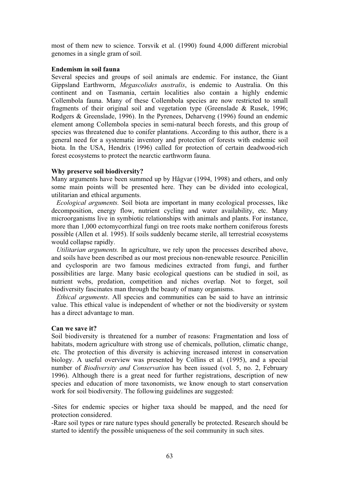most of them new to science. Torsvik et al. (1990) found 4,000 different microbial genomes in a single gram of soil.

#### **Endemism in soil fauna**

Several species and groups of soil animals are endemic. For instance, the Giant Gippsland Earthworm, *Megascolides australis*, is endemic to Australia. On this continent and on Tasmania, certain localities also contain a highly endemic Collembola fauna. Many of these Collembola species are now restricted to small fragments of their original soil and vegetation type (Greenslade & Rusek, 1996; Rodgers & Greenslade, 1996). In the Pyrenees, Deharveng (1996) found an endemic element among Collembola species in semi-natural beech forests, and this group of species was threatened due to conifer plantations. According to this author, there is a general need for a systematic inventory and protection of forests with endemic soil biota. In the USA, Hendrix (1996) called for protection of certain deadwood-rich forest ecosystems to protect the nearctic earthworm fauna.

## **Why preserve soil biodiversity?**

Many arguments have been summed up by Hågvar (1994, 1998) and others, and only some main points will be presented here. They can be divided into ecological, utilitarian and ethical arguments.

 *Ecological arguments.* Soil biota are important in many ecological processes, like decomposition, energy flow, nutrient cycling and water availability, etc. Many microorganisms live in symbiotic relationships with animals and plants. For instance, more than 1,000 ectomycorrhizal fungi on tree roots make northern coniferous forests possible (Allen et al. 1995). If soils suddenly became sterile, all terrestrial ecosystems would collapse rapidly.

 *Utilitarian arguments.* In agriculture, we rely upon the processes described above, and soils have been described as our most precious non-renewable resource. Penicillin and cyclosporin are two famous medicines extracted from fungi, and further possibilities are large. Many basic ecological questions can be studied in soil, as nutrient webs, predation, competition and niches overlap. Not to forget, soil biodiversity fascinates man through the beauty of many organisms.

*Ethical arguments*. All species and communities can be said to have an intrinsic value. This ethical value is independent of whether or not the biodiversity or system has a direct advantage to man.

### **Can we save it?**

Soil biodiversity is threatened for a number of reasons: Fragmentation and loss of habitats, modern agriculture with strong use of chemicals, pollution, climatic change, etc. The protection of this diversity is achieving increased interest in conservation biology. A useful overview was presented by Collins et al. (1995), and a special number of *Biodiversity and Conservation* has been issued (vol. 5, no. 2, February 1996). Although there is a great need for further registrations, description of new species and education of more taxonomists, we know enough to start conservation work for soil biodiversity. The following guidelines are suggested:

-Sites for endemic species or higher taxa should be mapped, and the need for protection considered.

-Rare soil types or rare nature types should generally be protected. Research should be started to identify the possible uniqueness of the soil community in such sites.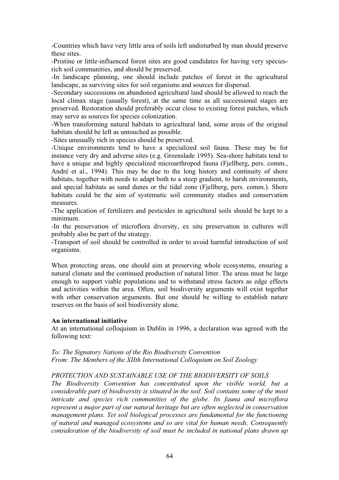-Countries which have very little area of soils left undisturbed by man should preserve these sites.

-Pristine or little-influenced forest sites are good candidates for having very speciesrich soil communities, and should be preserved.

-In landscape planning, one should include patches of forest in the agricultural landscape, as surviving sites for soil organisms and sources for dispersal.

-Secondary successions on abandoned agricultural land should be allowed to reach the local climax stage (usually forest), at the same time as all successional stages are preserved. Restoration should preferably occur close to existing forest patches, which may serve as sources for species colonization.

-When transforming natural habitats to agricultural land, some areas of the original habitats should be left as untouched as possible.

-Sites unusually rich in species should be preserved.

-Unique environments tend to have a specialized soil fauna. These may be for instance very dry and adverse sites (e.g. Greenslade 1995). Sea-shore habitats tend to have a unique and highly specialized microarthropod fauna (Fjellberg, pers. comm., André et al., 1994). This may be due to the long history and continuity of shore habitats, together with needs to adapt both to a steep gradient, to harsh environments, and special habitats as sand dunes or the tidal zone (Fjellberg, pers. comm.). Shore habitats could be the aim of systematic soil community studies and conservation measures.

-The application of fertilizers and pesticides in agricultural soils should be kept to a minimum.

-In the preservation of microflora diversity, ex situ preservation in cultures will probably also be part of the strategy.

-Transport of soil should be controlled in order to avoid harmful introduction of soil organisms.

When protecting areas, one should aim at preserving whole ecosystems, ensuring a natural climate and the continued production of natural litter. The areas must be large enough to support viable populations and to withstand stress factors as edge effects and activities within the area. Often, soil biodiversity arguments will exist together with other conservation arguments. But one should be willing to establish nature reserves on the basis of soil biodiversity alone.

#### **An international initiative**

At an international colloquium in Dublin in 1996, a declaration was agreed with the following text:

*To: The Signatory Nations of the Rio Biodiversity Convention From: The Members of the XIIth International Colloquium on Soil Zoology* 

# *PROTECTION AND SUSTAINABLE USE OF THE BIODIVERSITY OF SOILS*

*The Biodiversity Convention has concentrated upon the visible world, but a considerable part of biodiversity is situated in the soil. Soil contains some of the most intricate and species rich communities of the globe. Its fauna and microflora represent a major part of our natural heritage but are often neglected in conservation management plans. Yet soil biological processes are fundamental for the functioning of natural and managed ecosystems and so are vital for human needs. Consequently consideration of the biodiversity of soil must be included in national plans drawn up*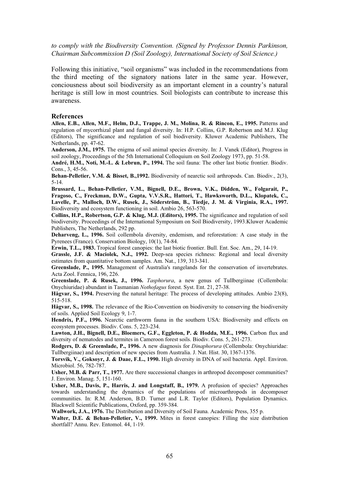*to comply with the Biodiversity Convention. (Signed by Professor Dennis Parkinson, Chairman Subcommission D (Soil Zoology), International Society of Soil Science.)* 

Following this initiative, "soil organisms" was included in the recommendations from the third meeting of the signatory nations later in the same year. However, conciousness about soil biodiversity as an important element in a country's natural heritage is still low in most countries. Soil biologists can contribute to increase this awareness.

#### **References**

**Allen, E.B., Allen, M.F., Helm, D.J., Trappe, J. M., Molina, R. & Rincon, E., 1995.** Patterns and regulation of mycorrhizal plant and fungal diversity. In: H.P. Collins, G.P. Robertson and M.J. Klug (Editors), The significance and regulation of soil biodiversity. Kluwer Academic Publishers, The Netherlands, pp. 47-62.

**Anderson, J.M., 1975.** The enigma of soil animal species diversity. In: J. Vanek (Editor), Progress in soil zoology, Proceedings of the 5th International Colloquium on Soil Zoology 1973, pp. 51-58.

**André, H.M., Noti, M.-I.. & Lebrun, P., 1994.** The soil fauna: The other last biotic frontier. Biodiv. Cons., 3, 45-56.

**Behan-Pelletier, V.M. & Bisset, B.,1992.** Biodiversity of nearctic soil arthropods. Can. Biodiv., 2(3), 5-14.

**Brussard, L., Behan-Pelletier, V.M., Bignell, D.E., Brown, V.K., Didden, W., Folgarait, P., Fragoso, C., Freckman, D.W., Gupta, V.V.S.R., Hattori, T., Hawksworth, D.L., Klopatek, C., Lavelle, P., Malloch, D.W., Rusek, J., Söderström, B., Tiedje, J. M. & Virginia, R.A., 1997.** Biodiversity and ecosystem functioning in soil. Ambio 26, 563-570.

**Collins, H.P., Robertson, G.P. & Klug, M.J. (Editors), 1995.** The significance and regulation of soil biodiversity. Proceedings of the International Symposium on Soil Biodiversity, 1993.Kluwer Academic Publishers, The Netherlands, 292 pp.

**Deharveng, L., 1996.** Soil collembola diversity, endemism, and reforestation: A case study in the Pyrenees (France). Conservation Biology, 10(1), 74-84.

**Erwin, T.L., 1983.** Tropical forest canopies: the last biotic frontier. Bull. Ent. Soc. Am., 29, 14-19.

**Grassle, J.F. & Maciolek, N.J., 1992.** Deep-sea species richness: Regional and local diversity estimates from quantitative bottom samples. Am. Nat., 139, 313-341.

**Greenslade, P., 1995.** Management of Australia's rangelands for the conservation of invertebrates. Acta Zool. Fennica, 196, 226.

**Greenslade, P. & Rusek, J., 1996.** *Tasphorura*, a new genus of Tullbergiinae (Collembola: Onychiuridae) abundant in Tasmanian *Nothofagus* forest. Syst. Ent. 21, 27-38.

**Hågvar, S., 1994.** Preserving the natural heritage: The process of developing attitudes. Ambio 23(8), 515-518.

**Hågvar, S., 1998.** The relevance of the Rio-Convention on biodiversity to conserving the biodiversity of soils. Applied Soil Ecology 9, 1-7.

**Hendrix, P.F., 1996.** Nearctic earthworm fauna in the southern USA: Biodiversity and effects on ecosystem processes. Biodiv. Cons. 5, 223-234.

**Lawton, J.H., Bignell, D.E., Bloemers, G.F., Eggleton, P. & Hodda, M.E., 1996.** Carbon flux and diversity of nematodes and termites in Cameroon forest soils. Biodiv. Cons. 5, 261-273.

**Rodgers, D. & Greenslade, P., 1996.** A new diagnosis for *Dinaphorura* (Collembola: Onychiuridae: Tullbergiinae) and description of new species from Australia. J. Nat. Hist. 30, 1367-1376.

**Torsvik, V., Goksoyr, J. & Daae, F.L., 1990.** High diversity in DNA of soil bacteria. Appl. Environ. Microbiol. 56, 782-787.

Usher, M.B. & Parr, T., 1977. Are there successional changes in arthropod decomposer communities? J. Environ. Manag. 5, 151-160.

**Usher, M.B., Davis, P., Harris, J. and Longstaff, B., 1979.** A profusion of species? Approaches towards understanding the dynamics of the populations of microarthropods in decomposer communities. In: R.M. Anderson, B.D. Turner and L.R. Taylor (Editors), Population Dynamics. Blackwell Scientific Publications, Oxford, pp. 359-384.

**Wallwork, J.A., 1976.** The Distribution and Diversity of Soil Fauna. Academic Press, 355 p.

**Walter, D.E. & Behan-Pelletier, V., 1999.** Mites in forest canopies: Filling the size distribution shortfall? Annu. Rev. Entomol. 44, 1-19.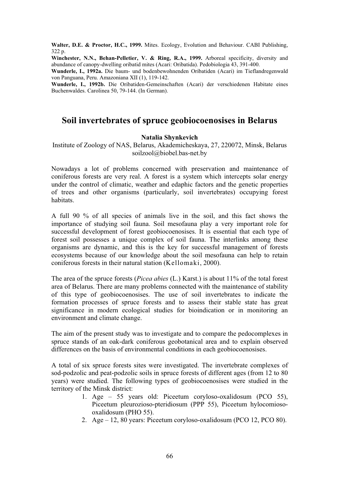**Walter, D.E. & Proctor, H.C., 1999.** Mites. Ecology, Evolution and Behaviour. CABI Publishing, 322 p.

**Winchester, N.N., Behan-Pelletier, V. & Ring, R.A., 1999.** Arboreal specificity, diversity and abundance of canopy-dwelling oribatid mites (Acari: Oribatida). Pedobiologia 43, 391-400.

**Wunderle, I., 1992a.** Die baum- und bodenbewohnenden Oribatiden (Acari) im Tieflandregenwald von Panguana, Peru. Amazoniana XII (1), 119-142.

**Wunderle, I., 1992b.** Die Oribatiden-Gemeinschaften (Acari) der verschiedenen Habitate eines Buchenwaldes. Carolinea 50, 79-144. (In German).

# **Soil invertebrates of spruce geobiocoenosises in Belarus**

#### **Natalia Shynkevich**

Institute of Zoology of NAS, Belarus, Akademicheskaya, 27, 220072, Minsk, Belarus soilzool@biobel.bas-net.by

Nowadays a lot of problems concerned with preservation and maintenance of coniferous forests are very real. A forest is a system which intercepts solar energy under the control of climatic, weather and edaphic factors and the genetic properties of trees and other organisms (particularly, soil invertebrates) occupying forest habitats.

A full 90 % of all species of animals live in the soil, and this fact shows the importance of studying soil fauna. Soil mesofauna play a very important role for successful development of forest geobiocoenosises. It is essential that each type of forest soil possesses a unique complex of soil fauna. The interlinks among these organisms are dynamic, and this is the key for successful management of forests ecosystems because of our knowledge about the soil mesofauna can help to retain coniferous forests in their natural station (Kellomaki, 2000).

The area of the spruce forests (*Picea abies* (L.) Karst.) is about 11% of the total forest area of Belarus. There are many problems connected with the maintenance of stability of this type of geobiocoenosises. The use of soil invertebrates to indicate the formation processes of spruce forests and to assess their stable state has great significance in modern ecological studies for bioindication or in monitoring an environment and climate change.

The aim of the present study was to investigate and to compare the pedocomplexes in spruce stands of an oak-dark coniferous geobotanical area and to explain observed differences on the basis of environmental conditions in each geobiocoenosises.

A total of six spruce forests sites were investigated. The invertebrate complexes of sod-podzolic and peat-podzolic soils in spruce forests of different ages (from 12 to 80 years) were studied. The following types of geobiocoenosises were studied in the territory of the Minsk district:

- 1. Age 55 years old: Piceetum coryloso-oxalidosum (PCO 55), Piceetum pleurozioso-pteridiosum (PPP 55), Piceetum hylocomiosooxalidosum (PHO 55).
- 2. Age 12, 80 years: Piceetum coryloso-oxalidosum (PCO 12, PCO 80).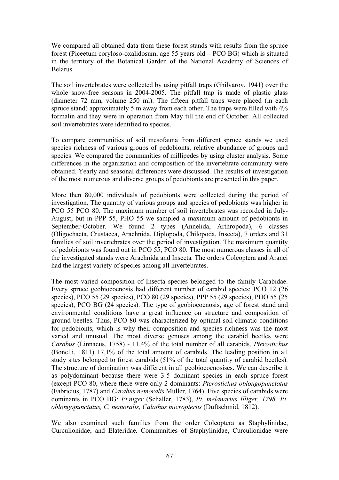We compared all obtained data from these forest stands with results from the spruce forest (Piceetum coryloso-oxalidosum, age 55 years old – PCO BG) which is situated in the territory of the Botanical Garden of the National Academy of Sciences of Belarus.

The soil invertebrates were collected by using pitfall traps (Ghilyarov, 1941) over the whole snow-free seasons in 2004-2005. The pitfall trap is made of plastic glass (diameter 72 mm, volume 250 ml). The fifteen pitfall traps were placed (in each spruce stand) approximately 5 m away from each other. The traps were filled with 4% formalin and they were in operation from May till the end of October. All collected soil invertebrates were identified to species.

To compare communities of soil mesofauna from different spruce stands we used species richness of various groups of pedobionts, relative abundance of groups and species. We compared the communities of millipedes by using cluster analysis. Some differences in the organization and composition of the invertebrate community were obtained. Yearly and seasonal differences were discussed. The results of investigation of the most numerous and diverse groups of pedobionts are presented in this paper.

More then 80,000 individuals of pedobionts were collected during the period of investigation. The quantity of various groups and species of pedobionts was higher in PCO 55 PCO 80. The maximum number of soil invertebrates was recorded in July-August, but in PPP 55, PHO 55 we sampled a maximum amount of pedobionts in September-October. We found 2 types (Annelida, Arthropoda), 6 classes (Oligochaeta, Crustacea, Arachnida, Diplopoda, Chilopoda, Insecta), 7 orders and 31 families of soil invertebrates over the period of investigation. The maximum quantity of pedobionts was found out in PCO 55, PCO 80. The most numerous classes in all of the investigated stands were Arachnida and Insecta*.* The orders Coleoptera and Aranei had the largest variety of species among all invertebrates.

The most varied composition of Insecta species belonged to the family Carabidae. Every spruce geobiocoenosis had different number of carabid species: PCO 12 (26 species), PCO 55 (29 species), PCO 80 (29 species), PPP 55 (29 species), PHO 55 (25 species), PCO BG (24 species). The type of geobiocoenosis, age of forest stand and environmental conditions have a great influence on structure and composition of ground beetles. Thus, PCO 80 was characterized by optimal soil-climatic conditions for pedobionts, which is why their composition and species richness was the most varied and unusual. The most diverse genuses among the carabid beetles were *Carabus* (Linnaeus, 1758) - 11.4% of the total number of all carabids, *Pterostichus*  (Bonelli, 1811) 17,1% of the total amount of carabids. The leading position in all study sites belonged to forest carabids (51% of the total quantity of carabid beetles). The structure of domination was different in all geobiocoenosises. We can describe it as polydominant because there were 3-5 dominant species in each spruce forest (except PCO 80, where there were only 2 dominants: *Pterostichus oblongopunctatus* (Fabricius, 1787) and *Carabus nemoralis* Muller, 1764). Five species of carabids were dominants in PCO BG: *Pt.niger* (Schaller, 1783), *Pt. melanarius Illiger, 1798, Pt. oblongopunctatus, C. nemoralis, Calathus micropterus* (Duftschmid, 1812).

We also examined such families from the order Coleoptera as Staphylinidae, Curculionidae, and Elateridae*.* Communities of Staphylinidae, Curculionidae were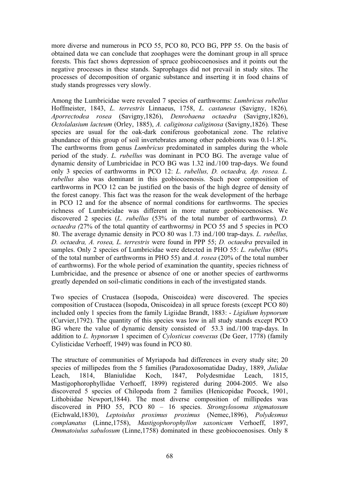more diverse and numerous in PCO 55, PCO 80, PCO BG, PPP 55. On the basis of obtained data we can conclude that zoophages were the dominant group in all spruce forests. This fact shows depression of spruce geobiocoenosises and it points out the negative processes in these stands. Saprophages did not prevail in study sites. The processes of decomposition of organic substance and inserting it in food chains of study stands progresses very slowly.

Among the Lumbricidae were revealed 7 species of earthworms: *Lumbricus rubellus* Hoffmeister, 1843, *L. terrestris* Linnaeus, 1758, *L. castaneus* (Savigny, 1826)*, Aporrectodea rosea* (Savigny,1826), *Denrobaena octaedra* (Savigny,1826), *Octolalasium lacteum* (Orley, 1885), *A. caliginosa caliginosa* (Savigny,1826)*.* These species are usual for the oak-dark coniferous geobotanical zone. The relative abundance of this group of soil invertebrates among other pedobionts was 0.1-1.8%. The earthworms from genus *Lumbricus* predominated in samples during the whole period of the study. *L. rubellus* was dominant in PCO BG. The average value of dynamic density of Lumbricidae in PCO BG was 1.32 ind./100 trap-days. We found only 3 species of earthworms in PCO 12: *L. rubellus, D. octaedra, Ap. rosea. L. rubellus* also was dominant in this geobiocoenosis. Such poor composition of earthworms in PCO 12 can be justified on the basis of the high degree of density of the forest canopy. This fact was the reason for the weak development of the herbage in PCO 12 and for the absence of normal conditions for earthworms. The species richness of Lumbricidae was different in more mature geobiocoenosises. We discovered 2 species (*L. rubellus* (53% of the total number of earthworms)*, D. octaedra (*27% of the total quantity of earthworms*)* in PCO 55 and 5 species in PCO 80. The average dynamic density in PCO 80 was 1.73 ind./100 trap-days. *L. rubellus, D. octaedra, A. rosea, L. terrestris* were found in PPP 55; *D. octaedra* prevailed in samples. Only 2 species of Lumbricidae were detected in PHO 55: *L. rubellus* (80% of the total number of earthworms in PHO 55) and *A. rosea* (20% of the total number of earthworms). For the whole period of examination the quantity, species richness of Lumbricidae, and the presence or absence of one or another species of earthworms greatly depended on soil-climatic conditions in each of the investigated stands.

Two species of Crustacea (Isopoda, Oniscoidea) were discovered. The species composition of Crustacea (Isopoda, Oniscoidea) in all spruce forests (except PCO 80) included only 1 species from the family Ligiidae Brandt, 1883: - *Ligidium hypnorum* (Curvier,1792). The quantity of this species was low in all study stands except PCO BG where the value of dynamic density consisted of 53.3 ind./100 trap-days. In addition to *L. hypnorum* 1 specimen of *Cylosticus convexus* (De Geer, 1778) (family Cylisticidae Verhoeff, 1949) was found in PCO 80.

The structure of communities of Myriapoda had differences in every study site; 20 species of millipedes from the 5 families (Paradoxosomatidae Daday, 1889, *Julidae* Leach, 1814, Blaniulidae Koch, 1847, Polydesmidae Leach, 1815, Mastigophorophyllidae Verhoeff, 1899) registered during 2004-2005. We also discovered 5 species of Chilopoda from 2 families (Henicopidae Pocock, 1901, Lithobiidae Newport,1844). The most diverse composition of millipedes was discovered in PHO 55, PCO 80 – 16 species. *Strongylosoma stigmatosum* (Eichwald,1830), *Leptoiulus proximus proximus* (Nemec,1896), *Polydesmus complanatus* (Linne,1758), *Mastigophorophyllon saxonicum* Verhoeff, 1897, *Ommatoiulus sabulosum* (Linne,1758) dominated in these geobiocoenosises. Only 8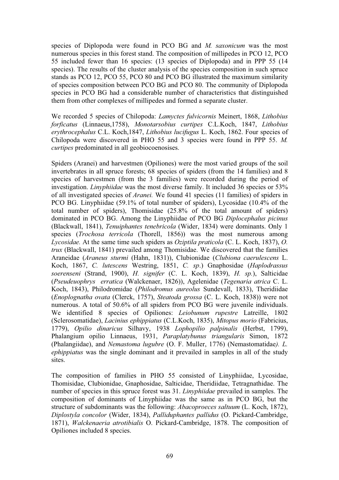species of Diplopoda were found in PCO BG and *M. saxonicum* was the most numerous species in this forest stand. The composition of millipedes in PCO 12, PCO 55 included fewer than 16 species: (13 species of Diplopoda) and in PPP 55 (14 species). The results of the cluster analysis of the species composition in such spruce stands as PCO 12, PCO 55, PCO 80 and PCO BG illustrated the maximum similarity of species composition between PCO BG and PCO 80. The community of Diplopoda species in PCO BG had a considerable number of characteristics that distinguished them from other complexes of millipedes and formed a separate cluster.

We recorded 5 species of Chilopoda: *Lamyctes fulvicornis* Meinert, 1868, *Lithobius forficatus* (Linnaeus,1758), *Monotarsobius curtipes* C.L.Koch, 1847, *Lithobius erythrocephalus* C.L. Koch,1847, *Lithobius lucifugus* L. Koch, 1862. Four species of Chilopoda were discovered in PHO 55 and 3 species were found in PPP 55. *M. curtipes* predominated in all geobiocoenosises.

Spiders (Aranei) and harvestmen (Opiliones) were the most varied groups of the soil invertebrates in all spruce forests; 68 species of spiders (from the 14 families) and 8 species of harvestmen (from the 3 families) were recorded during the period of investigation. *Linyphiidae* was the most diverse family. It included 36 species or 53% of all investigated species of *Aranei.* We found 41 species (11 families) of spiders in PCO BG. Linyphiidae (59.1% of total number of spiders), Lycosidae (10.4% of the total number of spiders), Thomisidae (25.8% of the total amount of spiders) dominated in PCO BG. Among the Linyphiidae of PCO BG *Diplocephalus picinus* (Blackwall, 1841), *Tenuiphantes tenebricola* (Wider, 1834) were dominants. Only 1 species (*Trochosa terricola* (Thorell, 1856)) was the most numerous among *Lycosidae.* At the same time such spiders as *Oziptila praticola* (C. L. Koch, 1837), *O. trux* (Blackwall, 1841) prevailed among Thomisidae. We discovered that the families Araneidae (*Araneus sturmi* (Hahn, 1831)), Clubionidae (*Clubiona caerulescens* L. Koch, 1867, *C. lutescens* Westring, 1851, *C. sp*.) Gnaphosidae (*Haplodrassus soerenseni* (Strand, 1900), *H. signifer* (C. L. Koch, 1839), *H. sp.*), Salticidae (*Pseudeuophrys erratica* (Walckenaer, 1826)), Agelenidae (*Tegenaria atrica* C. L. Koch, 1843), Philodromidae (*Philodromus aureolus* Sundevall, 1833), Theridiidae (*Enoplognatha ovata* (Clerck, 1757), *Steatoda grossa* (C. L. Koch, 1838)) were not numerous. A total of 50.6% of all spiders from PCO BG were juvenile individuals. We identified 8 species of Opiliones: *Leiobunum rupestre* Latreille, 1802 (Sclerosomatidae), *Lacinius ephippiatus* (C.L.Koch, 1835), *Mitopus morio* (Fabricius, 1779), *Opilio dinaricus* Silhavy, 1938 *Lophopilio palpinalis* (Herbst, 1799), Phalangium opilio Linnaeus, 1931, *Paraplatybunus triangularis* Simon, 1872 (Phalangiidae), and *Nemastoma lugubre* (O. F. Muller, 1776) (Nemastomatidae*). L. ephippiatus* was the single dominant and it prevailed in samples in all of the study sites.

The composition of families in PHO 55 consisted of Linyphiidae, Lycosidae, Thomisidae, Clubionidae, Gnaphosidae, Salticidae, Theridiidae, Tetragnathidae. The number of species in this spruce forest was 31. *Linyphiidae* prevailed in samples. The composition of dominants of Linyphiidae was the same as in PCO BG, but the structure of subdominants was the following: *Abacoproeces saltuum* (L. Koch, 1872), *Diplostyla concolor* (Wider, 1834), *Palliduphantes pallidus* (O. Pickard-Cambridge, 1871), *Walckenaeria atrotibialis* O. Pickard-Cambridge, 1878. The composition of Opiliones included 8 species.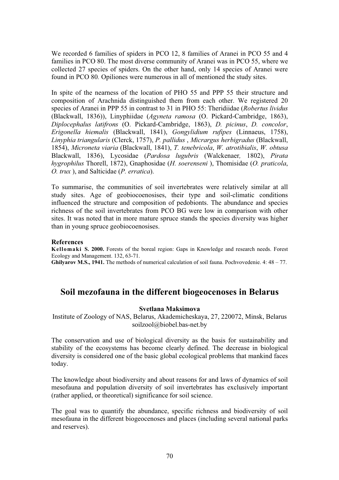We recorded 6 families of spiders in PCO 12, 8 families of Aranei in PCO 55 and 4 families in PCO 80. The most diverse community of Aranei was in PCO 55, where we collected 27 species of spiders. On the other hand, only 14 species of Aranei were found in PCO 80*.* Opiliones were numerous in all of mentioned the study sites.

In spite of the nearness of the location of PHO 55 and PPP 55 their structure and composition of Arachnida distinguished them from each other. We registered 20 species of Aranei in PPP 55 in contrast to 31 in PHO 55: Theridiidae (*Robertus lividus* (Blackwall, 1836)), Linyphiidae (*Agyneta ramosa* (O. Pickard-Cambridge, 1863), *Diplocephalus latifrons* (O. Pickard-Cambridge, 1863), *D. picinus*, *D. concolor*, *Erigonella hiemalis* (Blackwall, 1841), *Gongylidium rufipes* (Linnaeus, 1758), *Linyphia triangularis* (Clerck, 1757), *P. pallidus* , *Micrargus herbigradus* (Blackwall, 1854), *Microneta viaria* (Blackwall, 1841), *T. tenebricola*, *W. atrotibialis*, *W. obtusa* Blackwall, 1836), Lycosidae (*Pardosa lugubris* (Walckenaer*,* 1802), *Pirata hygrophilus* Thorell, 1872), Gnaphosidae (*H. soerenseni* ), Thomisidae (*O. praticola*, *O. trux* ), and Salticidae (*P. erratica*).

To summarise, the communities of soil invertebrates were relatively similar at all study sites. Age of geobiocoenosises, their type and soil-climatic conditions influenced the structure and composition of pedobionts. The abundance and species richness of the soil invertebrates from PCO BG were low in comparison with other sites. It was noted that in more mature spruce stands the species diversity was higher than in young spruce geobiocoenosises.

#### **References**

**Kellomaki S. 2000.** Forests of the boreal region: Gaps in Knowledge and research needs. Forest Ecology and Management. 132, 63-71.

**Ghilyarov M.S., 1941.** The methods of numerical calculation of soil fauna. Pochvovedenie. 4: 48 – 77.

# **Soil mezofauna in the different biogeocenoses in Belarus**

#### **Svetlana Maksimova**

Institute of Zoology of NAS, Belarus, Akademicheskaya, 27, 220072, Minsk, Belarus soilzool@biobel.bas-net.by

The conservation and use of biological diversity as the basis for sustainability and stability of the ecosystems has become clearly defined. The decrease in biological diversity is considered one of the basic global ecological problems that mankind faces today.

The knowledge about biodiversity and about reasons for and laws of dynamics of soil mesofauna and population diversity of soil invertebrates has exclusively important (rather applied, or theoretical) significance for soil science.

The goal was to quantify the abundance, specific richness and biodiversity of soil mesofauna in the different biogeocenoses and places (including several national parks and reserves).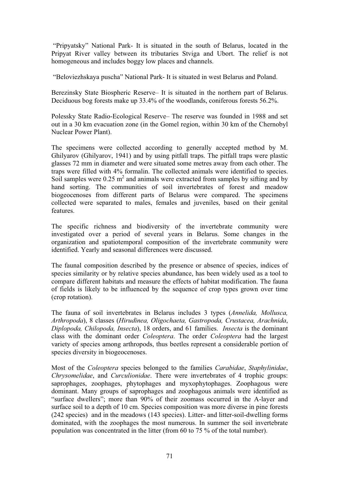"Pripyatsky" National Park- It is situated in the south of Belarus, located in the Pripyat River valley between its tributaries Stviga and Ubort. The relief is not homogeneous and includes boggy low places and channels.

"Beloviezhskaya puscha" National Park- It is situated in west Belarus and Poland.

Berezinsky State Biospheric Reserve– It is situated in the northern part of Belarus. Deciduous bog forests make up 33.4% of the woodlands, coniferous forests 56.2%.

Polessky State Radio-Ecological Reserve– The reserve was founded in 1988 and set out in a 30 km evacuation zone (in the Gomel region, within 30 km of the Chernobyl Nuclear Power Plant).

The specimens were collected according to generally accepted method by M. Ghilyarov (Ghilyarov, 1941) and by using pitfall traps. The pitfall traps were plastic glasses 72 mm in diameter and were situated some metres away from each other. The traps were filled with 4% formalin. The collected animals were identified to species. Soil samples were  $0.25 \text{ m}^2$  and animals were extracted from samples by sifting and by hand sorting. The communities of soil invertebrates of forest and meadow biogeocenoses from different parts of Belarus were compared. The specimens collected were separated to males, females and juveniles, based on their genital features.

The specific richness and biodiversity of the invertebrate community were investigated over a period of several years in Belarus. Some changes in the organization and spatiotemporal composition of the invertebrate community were identified. Yearly and seasonal differences were discussed.

The faunal composition described by the presence or absence of species, indices of species similarity or by relative species abundance, has been widely used as a tool to compare different habitats and measure the effects of habitat modification. The fauna of fields is likely to be influenced by the sequence of crop types grown over time (crop rotation).

The fauna of soil invertebrates in Belarus includes 3 types (*Annelida, Mollusca, Arthropoda*), 8 classes (*Hirudinea, Oligochaeta, Gastropoda, Crustacea, Arachnida*, *Diplopoda, Chilopoda, Insecta*), 18 orders, and 61 families. *Insecta* is the dominant class with the dominant order *Coleoptera*. The order *Coleoptera* had the largest variety of species among arthropods, thus beetles represent a considerable portion of species diversity in biogeocenoses.

Most of the *Coleoptera* species belonged to the families *Carabidae*, *Staphylinidae*, *Chrysomelidae*, and *Curculionidae*. There were invertebrates of 4 trophic groups: saprophages, zoophages, phytophages and myxophytophages. Zoophagous were dominant. Many groups of saprophages and zoophagous animals were identified as "surface dwellers"; more than 90% of their zoomass occurred in the A-layer and surface soil to a depth of 10 cm. Species composition was more diverse in pine forests (242 species) and in the meadows (143 species). Litter- and litter-soil-dwelling forms dominated, with the zoophages the most numerous. In summer the soil invertebrate population was concentrated in the litter (from 60 to 75 % of the total number).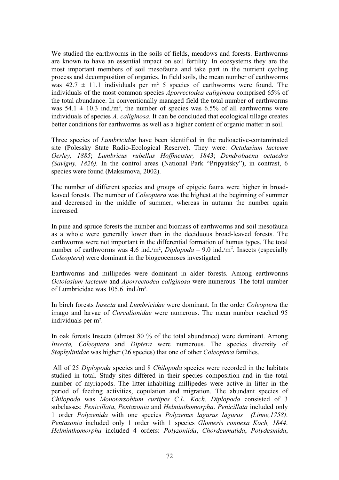We studied the earthworms in the soils of fields, meadows and forests. Earthworms are known to have an essential impact on soil fertility. In ecosystems they are the most important members of soil mesofauna and take part in the nutrient cycling process and decomposition of organics. In field soils, the mean number of earthworms was  $42.7 \pm 11.1$  individuals per m<sup>2</sup> 5 species of earthworms were found. The individuals of the most common species *Aporrectodea caliginosa* comprised 65% of the total abundance. In conventionally managed field the total number of earthworms was  $54.1 \pm 10.3$  ind./m<sup>2</sup>, the number of species was 6.5% of all earthworms were individuals of species *A. caliginosa*. It can be concluded that ecological tillage creates better conditions for earthworms as well as a higher content of organic matter in soil.

Three species of *Lumbricidae* have been identified in the radioactive-contaminated site (Polessky State Radio-Ecological Reserve). They were: *Octalasium lacteum Oerley, 1885*; *Lumbricus rubellus Hoffmeister, 1843*; *Dendrobaena octaedra (Savigny, 1826).* In the control areas (National Park "Pripyatsky"), in contrast, 6 species were found (Maksimova, 2002).

The number of different species and groups of epigeic fauna were higher in broadleaved forests. The number of *Coleoptera* was the highest at the beginning of summer and decreased in the middle of summer, whereas in autumn the number again increased.

In pine and spruce forests the number and biomass of earthworms and soil mesofauna as a whole were generally lower than in the deciduous broad-leaved forests. The earthworms were not important in the differential formation of humus types. The total number of earthworms was 4.6 ind./m<sup>2</sup>, *Diplopoda* – 9.0 ind./m<sup>2</sup>. Insects (especially *Coleoptera*) were dominant in the biogeocenoses investigated.

Earthworms and millipedes were dominant in alder forests. Among earthworms *Octolasium lacteum* and *Aporrectodea caliginosa* were numerous. The total number of Lumbricidae was 105.6 ind./m².

In birch forests *Insecta* and *Lumbricidae* were dominant. In the order *Coleoptera* the imago and larvae of *Curculionidae* were numerous. The mean number reached 95 individuals per m².

In oak forests Insecta (almost 80 % of the total abundance) were dominant. Among *Insecta, Coleoptera* and *Diptera* were numerous. The species diversity of *Staphylinidae* was higher (26 species) that one of other *Coleoptera* families.

 All of 25 *Diplopoda* species and 8 *Chilopoda* species were recorded in the habitats studied in total. Study sites differed in their species composition and in the total number of myriapods. The litter-inhabiting millipedes were active in litter in the period of feeding activities, copulation and migration. The abundant species of *Chilopoda* was *Monotarsobium curtipes C.L. Koch*. *Diplopoda* consisted of 3 subclasses: *Penicillata*, *Pentazonia* and *Helminthomorpha*. *Penicillata* included only 1 order *Polyxenida* with one species *Polyxenus lagurus lagurus (Linne,1758)*. *Pentazonia* included only 1 order with 1 species *Glomeris connexa Koch, 1844*. *Helminthomorpha* included 4 orders: *Polyzoniida*, *Chordeumatida*, *Polydesmida*,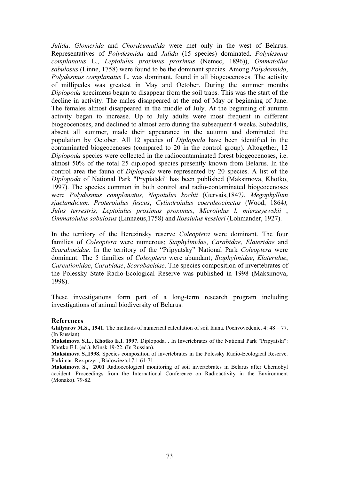*Julida*. *Glomerida* and *Chordeumatida* were met only in the west of Belarus. Representatives of *Polydesmida* and *Julida* (15 species) dominated. *Polydesmus complanatus* L., *Leptoiulus proximus proximus* (Nemec, 1896)), *Ommatoilus sabulosus* (Linne, 1758) were found to be the dominant species. Among *Polydesmida*, *Polydesmus complanatus* L. was dominant, found in all biogeocenoses. The activity of millipedes was greatest in May and October. During the summer months *Diplopoda* specimens began to disappear from the soil traps. This was the start of the decline in activity. The males disappeared at the end of May or beginning of June. The females almost disappeared in the middle of July. At the beginning of autumn activity began to increase. Up to July adults were most frequent in different biogeocenoses, and declined to almost zero during the subsequent 4 weeks. Subadults, absent all summer, made their appearance in the autumn and dominated the population by October. All 12 species of *Diplopoda* have been identified in the contaminated biogeocenoses (compared to 20 in the control group). Altogether, 12 *Diplopoda* species were collected in the radiocontaminated forest biogeocenoses, i.e. almost 50% of the total 25 diplopod species presently known from Belarus. In the control area the fauna of *Diplopoda* were represented by 20 species. A list of the *Diplopoda* of National Park "Prypiatski" has been published (Maksimova, Khotko, 1997). The species common in both control and radio-contaminated biogeocenoses were *Polydesmus complanatus, Nopoiulus kochii* (Gervais,1847*)*, *Megaphyllum sjaelandicum, Proteroiulus fuscus*, *Cylindroiulus coeruleocinctus* (Wood, 1864*), Julus terrestris, Leptoiulus proximus proximus*, *Microiulus l. mierzeyewskii* , *Ommatoiulus sabulosus* (Linnaeus,1758) and *Rossiulus kessleri* (Lohmander, 1927).

In the territory of the Berezinsky reserve *Coleoptera* were dominant. The four families of *Coleoptera* were numerous; *Staphylinidae*, *Carabidae*, *Elateridae* and *Scarabaeidae*. In the territory of the "Pripyatsky" National Park *Coleoptera* were dominant. The 5 families of *Coleoptera* were abundant; *Staphylinidae*, *Elateridae*, *Curculionidae*, *Carabidae*, *Scarabaeidae*. The species composition of invertebrates of the Polessky State Radio-Ecological Reserve was published in 1998 (Maksimova, 1998).

These investigations form part of a long-term research program including investigations of animal biodiversity of Belarus.

#### **References**

**Ghilyarov M.S., 1941.** The methods of numerical calculation of soil fauna. Pochvovedenie. 4: 48 – 77. (In Russian).

**Maksimova S.L., Khotko E.I. 1997.** Diplopoda. . In Invertebrates of the National Park "Pripyatski": Khotko E.I. (ed.). Minsk 19-22. (In Russian).

**Maksimova S.,1998.** Species composition of invertebrates in the Polessky Radio-Ecological Reserve. Parki nar. Rez.przyr., Bialowieza,17.1:61-71.

**Maksimova S., 2001** Radioecological monitoring of soil invertebrates in Belarus after Chernobyl accident. Proceedings from the International Conference on Radioactivity in the Environment (Monako). 79-82.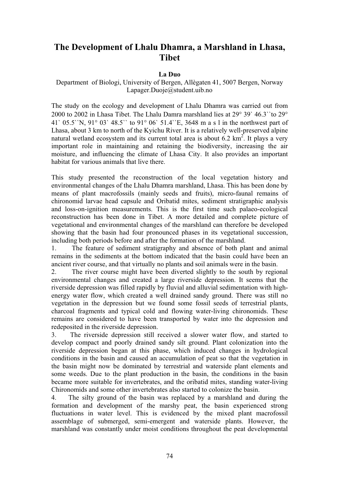## **The Development of Lhalu Dhamra, a Marshland in Lhasa, Tibet**

## **La Duo**

## Department of Biologi, University of Bergen, Allègaten 41, 5007 Bergen, Norway Lapager.Duoje@student.uib.no

The study on the ecology and development of Lhalu Dhamra was carried out from 2000 to 2002 in Lhasa Tibet. The Lhalu Damra marshland lies at  $29^{\circ}$  39` 46.3``to  $29^{\circ}$ 41` 05.5``N, 91° 03` 48.5`` to 91° 06` 51.4``E, 3648 m a s l in the northwest part of Lhasa, about 3 km to north of the Kyichu River. It is a relatively well-preserved alpine natural wetland ecosystem and its current total area is about  $6.2 \text{ km}^2$ . It plays a very important role in maintaining and retaining the biodiversity, increasing the air moisture, and influencing the climate of Lhasa City. It also provides an important habitat for various animals that live there.

This study presented the reconstruction of the local vegetation history and environmental changes of the Lhalu Dhamra marshland, Lhasa. This has been done by means of plant macrofossils (mainly seeds and fruits), micro-faunal remains of chironomid larvae head capsule and Oribatid mites, sediment stratigraphic analysis and loss-on-ignition measurements. This is the first time such palaeo-ecological reconstruction has been done in Tibet. A more detailed and complete picture of vegetational and environmental changes of the marshland can therefore be developed showing that the basin had four pronounced phases in its vegetational succession, including both periods before and after the formation of the marshland.

1. The feature of sediment stratigraphy and absence of both plant and animal remains in the sediments at the bottom indicated that the basin could have been an ancient river course, and that virtually no plants and soil animals were in the basin.

2. The river course might have been diverted slightly to the south by regional environmental changes and created a large riverside depression. It seems that the riverside depression was filled rapidly by fluvial and alluvial sedimentation with highenergy water flow, which created a well drained sandy ground. There was still no vegetation in the depression but we found some fossil seeds of terrestrial plants, charcoal fragments and typical cold and flowing water-living chironomids. These remains are considered to have been transported by water into the depression and redeposited in the riverside depression.

3. The riverside depression still received a slower water flow, and started to develop compact and poorly drained sandy silt ground. Plant colonization into the riverside depression began at this phase, which induced changes in hydrological conditions in the basin and caused an accumulation of peat so that the vegetation in the basin might now be dominated by terrestrial and waterside plant elements and some weeds. Due to the plant production in the basin, the conditions in the basin became more suitable for invertebrates, and the oribatid mites, standing water-living Chironomids and some other invertebrates also started to colonize the basin.

4. The silty ground of the basin was replaced by a marshland and during the formation and development of the marshy peat, the basin experienced strong fluctuations in water level. This is evidenced by the mixed plant macrofossil assemblage of submerged, semi-emergent and waterside plants. However, the marshland was constantly under moist conditions throughout the peat developmental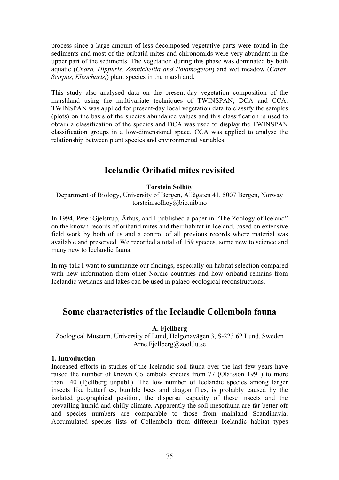process since a large amount of less decomposed vegetative parts were found in the sediments and most of the oribatid mites and chironomids were very abundant in the upper part of the sediments. The vegetation during this phase was dominated by both aquatic (*Chara, Hippuris, Zannichellia and Potamogeton*) and wet meadow (*Carex, Scirpus, Eleocharis,*) plant species in the marshland.

This study also analysed data on the present-day vegetation composition of the marshland using the multivariate techniques of TWINSPAN, DCA and CCA. TWINSPAN was applied for present-day local vegetation data to classify the samples (plots) on the basis of the species abundance values and this classification is used to obtain a classification of the species and DCA was used to display the TWINSPAN classification groups in a low-dimensional space. CCA was applied to analyse the relationship between plant species and environmental variables.

## **Icelandic Oribatid mites revisited**

## **Torstein Solhöy**

Department of Biology, University of Bergen, Allègaten 41, 5007 Bergen, Norway torstein.solhoy@bio.uib.no

In 1994, Peter Gjelstrup, Århus, and I published a paper in "The Zoology of Iceland" on the known records of oribatid mites and their habitat in Iceland, based on extensive field work by both of us and a control of all previous records where material was available and preserved. We recorded a total of 159 species, some new to science and many new to Icelandic fauna.

In my talk I want to summarize our findings, especially on habitat selection compared with new information from other Nordic countries and how oribatid remains from Icelandic wetlands and lakes can be used in palaeo-ecological reconstructions.

## **Some characteristics of the Icelandic Collembola fauna**

**A. Fjellberg** 

Zoological Museum, University of Lund, Helgonavägen 3, S-223 62 Lund, Sweden Arne.Fjellberg@zool.lu.se

## **1. Introduction**

Increased efforts in studies of the Icelandic soil fauna over the last few years have raised the number of known Collembola species from 77 (Olafsson 1991) to more than 140 (Fjellberg unpubl.). The low number of Icelandic species among larger insects like butterflies, bumble bees and dragon flies, is probably caused by the isolated geographical position, the dispersal capacity of these insects and the prevailing humid and chilly climate. Apparently the soil mesofauna are far better off and species numbers are comparable to those from mainland Scandinavia. Accumulated species lists of Collembola from different Icelandic habitat types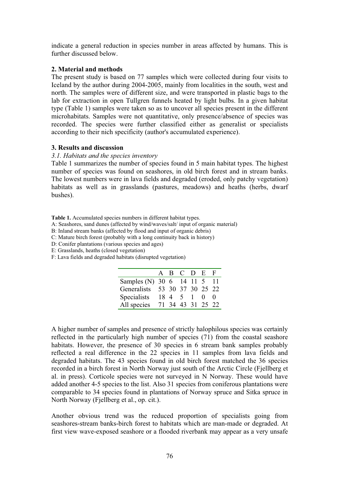indicate a general reduction in species number in areas affected by humans. This is further discussed below.

### **2. Material and methods**

The present study is based on 77 samples which were collected during four visits to Iceland by the author during 2004-2005, mainly from localities in the south, west and north. The samples were of different size, and were transported in plastic bags to the lab for extraction in open Tullgren funnels heated by light bulbs. In a given habitat type (Table 1) samples were taken so as to uncover all species present in the different microhabitats. Samples were not quantitative, only presence/absence of species was recorded. The species were further classified either as generalist or specialists according to their nich specificity (author's accumulated experience).

## **3. Results and discussion**

### *3.1. Habitats and the species inventory*

Table 1 summarizes the number of species found in 5 main habitat types. The highest number of species was found on seashores, in old birch forest and in stream banks. The lowest numbers were in lava fields and degraded (eroded, only patchy vegetation) habitats as well as in grasslands (pastures, meadows) and heaths (herbs, dwarf bushes).

**Table 1.** Accumulated species numbers in different habitat types.

A: Seashores, sand dunes (affected by wind/waves/salt/ input of organic material)

B: Inland stream banks (affected by flood and input of organic debris)

C: Mature birch forest (probably with a long continuity back in history)

D: Conifer plantations (various species and ages)

E: Grasslands, heaths (closed vegetation)

F: Lava fields and degraded habitats (disrupted vegetation)

|                               |  | A B C D E         |            |
|-------------------------------|--|-------------------|------------|
| Samples (N) 30 6 14 11 5 11   |  |                   |            |
| Generalists 53 30 37 30 25 22 |  |                   |            |
| Specialists                   |  | 184510            | $\bigcirc$ |
| All species                   |  | 71 34 43 31 25 22 |            |

A higher number of samples and presence of strictly halophilous species was certainly reflected in the particularly high number of species (71) from the coastal seashore habitats. However, the presence of 30 species in 6 stream bank samples probably reflected a real difference in the 22 species in 11 samples from lava fields and degraded habitats. The 43 species found in old birch forest matched the 36 species recorded in a birch forest in North Norway just south of the Arctic Circle (Fjellberg et al. in press). Corticole species were not surveyed in N Norway. These would have added another 4-5 species to the list. Also 31 species from coniferous plantations were comparable to 34 species found in plantations of Norway spruce and Sitka spruce in North Norway (Fjellberg et al., op. cit.).

Another obvious trend was the reduced proportion of specialists going from seashores-stream banks-birch forest to habitats which are man-made or degraded. At first view wave-exposed seashore or a flooded riverbank may appear as a very unsafe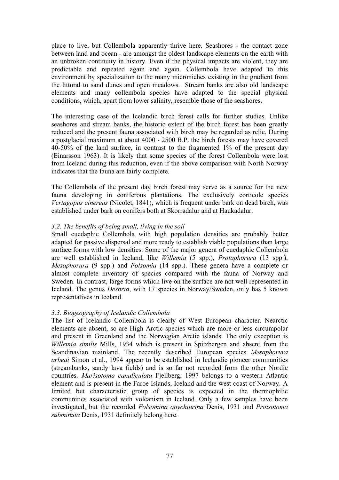place to live, but Collembola apparently thrive here. Seashores - the contact zone between land and ocean - are amongst the oldest landscape elements on the earth with an unbroken continuity in history. Even if the physical impacts are violent, they are predictable and repeated again and again. Collembola have adapted to this environment by specialization to the many microniches existing in the gradient from the littoral to sand dunes and open meadows. Stream banks are also old landscape elements and many collembola species have adapted to the special physical conditions, which, apart from lower salinity, resemble those of the seashores.

The interesting case of the Icelandic birch forest calls for further studies. Unlike seashores and stream banks, the historic extent of the birch forest has been greatly reduced and the present fauna associated with birch may be regarded as relic. During a postglacial maximum at about 4000 - 2500 B.P. the birch forests may have covered 40-50% of the land surface, in contrast to the fragmented 1% of the present day (Einarsson 1963). It is likely that some species of the forest Collembola were lost from Iceland during this reduction, even if the above comparison with North Norway indicates that the fauna are fairly complete.

The Collembola of the present day birch forest may serve as a source for the new fauna developing in coniferous plantations. The exclusively corticole species *Vertagopus cinereus* (Nicolet, 1841), which is frequent under bark on dead birch, was established under bark on conifers both at Skorradalur and at Haukadalur.

## *3.2. The benefits of being small, living in the soil*

Small euedaphic Collembola with high population densities are probably better adapted for passive dispersal and more ready to establish viable populations than large surface forms with low densities. Some of the major genera of euedaphic Collembola are well established in Iceland, like *Willemia* (5 spp.), *Protaphorura* (13 spp.), *Mesaphorura* (9 spp.) and *Folsomia* (14 spp.). These genera have a complete or almost complete inventory of species compared with the fauna of Norway and Sweden. In contrast, large forms which live on the surface are not well represented in Iceland. The genus *Desoria*, with 17 species in Norway/Sweden, only has 5 known representatives in Iceland.

## *3.3. Biogeography of Icelandic Collembola*

The list of Icelandic Collembola is clearly of West European character. Nearctic elements are absent, so are High Arctic species which are more or less circumpolar and present in Greenland and the Norwegian Arctic islands. The only exception is *Willemia similis* Mills, 1934 which is present in Spitzbergen and absent from the Scandinavian mainland. The recently described European species *Mesaphorura arbeai* Simon et al., 1994 appear to be established in Icelandic pioneer communities (streambanks, sandy lava fields) and is so far not recorded from the other Nordic countries. *Marisotoma canaliculata* Fjellberg, 1997 belongs to a western Atlantic element and is present in the Faroe Islands, Iceland and the west coast of Norway. A limited but characteristic group of species is expected in the thermophilic communities associated with volcanism in Iceland. Only a few samples have been investigated, but the recorded *Folsomina onychiurina* Denis, 1931 and *Proisotoma subminuta* Denis, 1931 definitely belong here.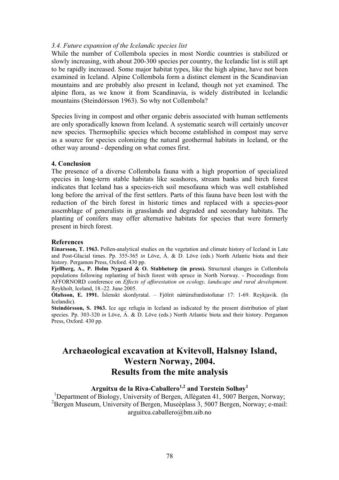### *3.4. Future expansion of the Icelandic species list*

While the number of Collembola species in most Nordic countries is stabilized or slowly increasing, with about 200-300 species per country, the Icelandic list is still apt to be rapidly increased. Some major habitat types, like the high alpine, have not been examined in Iceland. Alpine Collembola form a distinct element in the Scandinavian mountains and are probably also present in Iceland, though not yet examined. The alpine flora, as we know it from Scandinavia, is widely distributed in Icelandic mountains (Steindórsson 1963). So why not Collembola?

Species living in compost and other organic debris associated with human settlements are only sporadically known from Iceland. A systematic search will certainly uncover new species. Thermophilic species which become established in compost may serve as a source for species colonizing the natural geothermal habitats in Iceland, or the other way around - depending on what comes first.

### **4. Conclusion**

The presence of a diverse Collembola fauna with a high proportion of specialized species in long-term stable habitats like seashores, stream banks and birch forest indicates that Iceland has a species-rich soil mesofauna which was well established long before the arrival of the first settlers. Parts of this fauna have been lost with the reduction of the birch forest in historic times and replaced with a species-poor assemblage of generalists in grasslands and degraded and secondary habitats. The planting of conifers may offer alternative habitats for species that were formerly present in birch forest.

#### **References**

**Einarsson, T. 1963.** Pollen-analytical studies on the vegetation and climate history of Iceland in Late and Post-Glacial times. Pp. 355-365 *in* Löve, Á. & D. Löve (eds.) North Atlantic biota and their history. Pergamon Press, Oxford. 430 pp.

**Fjellberg, A., P. Holm Nygaard & O. Stabbetorp (in press).** Structural changes in Collembola populations following replanting of birch forest with spruce in North Norway. - Proceedings from AFFORNORD conference on *Effects of afforestation on ecology, landscape and rural development*. Reykholt, Iceland, 18.-22. June 2005.

**Ólafsson, E. 1991.** Íslenskt skordyratal. – Fjölrit náttúrufrædistofunar 17: 1-69. Reykjavik. (In Icelandic).

**Steindórsson, S. 1963.** Ice age refugia in Iceland as indicated by the present distribution of plant species. Pp. 303-320 *in* Löve, Á. & D. Löve (eds.) North Atlantic biota and their history. Pergamon Press, Oxford. 430 pp.

## **Archaeological excavation at Kvitevoll, Halsnøy Island, Western Norway, 2004. Results from the mite analysis**

# **Arguitxu de la Riva-Caballero1,2 and Torstein Solhøy1**

<sup>1</sup>Department of Biology, University of Bergen, Allègaten 41, 5007 Bergen, Norway; <sup>2</sup>Bergen Museum, University of Bergen, Museèplass 3, 5007 Bergen, Norway; e-mail: arguitxu.caballero@bm.uib.no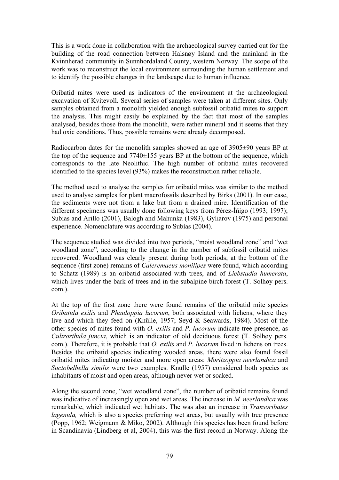This is a work done in collaboration with the archaeological survey carried out for the building of the road connection between Halsnøy Island and the mainland in the Kvinnherad community in Sunnhordaland County, western Norway. The scope of the work was to reconstruct the local environment surrounding the human settlement and to identify the possible changes in the landscape due to human influence.

Oribatid mites were used as indicators of the environment at the archaeological excavation of Kvitevoll. Several series of samples were taken at different sites. Only samples obtained from a monolith yielded enough subfossil oribatid mites to support the analysis. This might easily be explained by the fact that most of the samples analysed, besides those from the monolith, were rather mineral and it seems that they had oxic conditions. Thus, possible remains were already decomposed.

Radiocarbon dates for the monolith samples showed an age of 3905±90 years BP at the top of the sequence and  $7740\pm155$  years BP at the bottom of the sequence, which corresponds to the late Neolithic. The high number of oribatid mites recovered identified to the species level (93%) makes the reconstruction rather reliable.

The method used to analyse the samples for oribatid mites was similar to the method used to analyse samples for plant macrofossils described by Birks (2001). In our case, the sediments were not from a lake but from a drained mire. Identification of the different specimens was usually done following keys from Pérez-Íñigo (1993; 1997); Subías and Arillo (2001), Balogh and Mahunka (1983), Gyliarov (1975) and personal experience. Nomenclature was according to Subías (2004).

The sequence studied was divided into two periods, "moist woodland zone" and "wet woodland zone", according to the change in the number of subfossil oribatid mites recovered. Woodland was clearly present during both periods; at the bottom of the sequence (first zone) remains of *Caleremaeus monilipes* were found, which according to Schatz (1989) is an oribatid associated with trees, and of *Liebstadia humerata*, which lives under the bark of trees and in the subalpine birch forest (T. Solhøy pers. com.).

At the top of the first zone there were found remains of the oribatid mite species *Oribatula exilis* and *Phauloppia lucorum*, both associated with lichens, where they live and which they feed on (Knülle, 1957; Seyd & Seawards, 1984). Most of the other species of mites found with *O. exilis* and *P. lucorum* indicate tree presence, as *Cultroribula juncta*, which is an indicator of old deciduous forest (T. Solhøy pers. com.). Therefore, it is probable that *O. exilis* and *P. lucorum* lived in lichens on trees. Besides the oribatid species indicating wooded areas, there were also found fossil oribatid mites indicating moister and more open areas: *Moritzoppia neerlandica* and *Suctobelbella similis* were two examples. Knülle (1957) considered both species as inhabitants of moist and open areas, although never wet or soaked.

Along the second zone, "wet woodland zone", the number of oribatid remains found was indicative of increasingly open and wet areas. The increase in *M. neerlandica* was remarkable, which indicated wet habitats. The was also an increase in *Transoribates lagenula*, which is also a species preferring wet areas, but usually with tree presence (Popp, 1962; Weigmann & Miko, 2002). Although this species has been found before in Scandinavia (Lindberg et al, 2004), this was the first record in Norway. Along the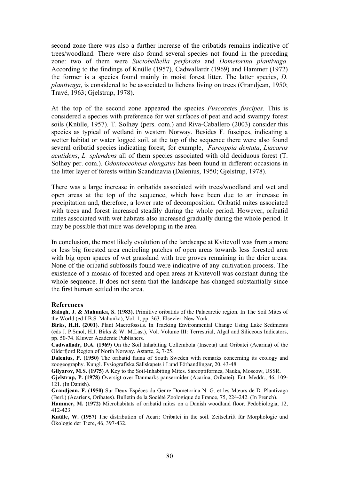second zone there was also a further increase of the oribatids remains indicative of trees/woodland. There were also found several species not found in the preceding zone: two of them were *Suctobelbella perforata* and *Dometorina plantivaga*. According to the findings of Knülle (1957), Cadwallardr (1969) and Hammer (1972) the former is a species found mainly in moist forest litter. The latter species, *D. plantivaga*, is considered to be associated to lichens living on trees (Grandjean, 1950; Travé, 1963; Gjelstrup, 1978).

At the top of the second zone appeared the species *Fuscozetes fuscipes*. This is considered a species with preference for wet surfaces of peat and acid swampy forest soils (Knülle, 1957). T. Solhøy (pers. com.) and Riva-Caballero (2003) consider this species as typical of wetland in western Norway. Besides F. fuscipes, indicating a wetter habitat or water logged soil, at the top of the sequence there were also found several oribatid species indicating forest, for example, *Furcoppia dentata*, *Liacarus acutidens*, *L. splendens* all of them species associated with old deciduous forest (T. Solhøy per. com.). *Odontoceoheus elongatus* has been found in different occasions in the litter layer of forests within Scandinavia (Dalenius, 1950; Gjelstrup, 1978).

There was a large increase in oribatids associated with trees/woodland and wet and open areas at the top of the sequence, which have been due to an increase in precipitation and, therefore, a lower rate of decomposition. Oribatid mites associated with trees and forest increased steadily during the whole period. However, oribatid mites associated with wet habitats also increased gradually during the whole period. It may be possible that mire was developing in the area.

In conclusion, the most likely evolution of the landscape at Kvitevoll was from a more or less big forested area encircling patches of open areas towards less forested area with big open spaces of wet grassland with tree groves remaining in the drier areas. None of the oribatid subfossils found were indicative of any cultivation process. The existence of a mosaic of forested and open areas at Kvitevoll was constant during the whole sequence. It does not seem that the landscape has changed substantially since the first human settled in the area.

#### **References**

**Balogh, J. & Mahunka, S. (1983).** Primitive oribatids of the Palaearctic region. In The Soil Mites of the World (ed J.B.S. Mahunka), Vol. 1, pp. 363. Elsevier, New York.

**Birks, H.H. (2001).** Plant Macrofossils. In Tracking Environmental Change Using Lake Sediments (eds J. P.Smol, H.J. Birks & W. M.Last), Vol. Volume III: Terrestrial, Algal and Siliceous Indicators, pp. 50-74. Kluwer Academic Publishers.

**Cadwalladr, D.A. (1969)** On the Soil Inhabiting Collembola (Insecta) and Oribatei (Acarina) of the Olderfjord Region of North Norway. Astarte, 2, 7-25.

**Dalenius, P. (1950)** The oribatid fauna of South Sweden with remarks concerning its ecology and zoogeography. Kungl. Fysiografiska Sällskapets i Lund Förhandlingar, 20, 43-48.

**Gilyarov, M.S. (1975)** A Key to the Soil-Inhabiting Mites. Sarcoptiformes, Nauka, Moscow, USSR.

**Gjelstrup, P. (1978)** Oversigt over Danmarks pansermider (Acarina, Oribatei). Ent. Meddr., 46, 109- 121. (In Danish).

**Grandjean, F. (1950)** Sur Deux Espéces du Genre Dometorina N. G. et les Mæurs de D. Plantivaga (Berl.) (Acariens, Oribates). Bulletin de la Société Zoologique de France, 75, 224-242. (In French).

**Hammer, M. (1972)** Microhabitats of oribatid mites on a Danish woodland floor. Pedobiologia, 12, 412-423.

**Knülle, W. (1957)** The distribution of Acari: Oribatei in the soil. Zeitschrift für Morphologie und Ökologie der Tiere, 46, 397-432.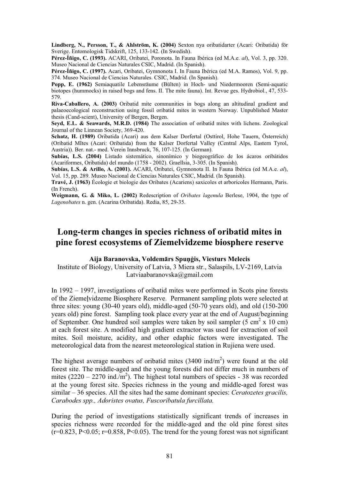**Lindberg, N., Persson, T., & Ahlström, K. (2004)** Sexton nya oribatidarter (Acari: Oribatida) för Sverige. Entomologisk Tidskrift, 125, 133-142. (In Swedish).

**Pérez-Íñigo, C. (1993).** ACARI, Oribatei, Poronota. In Fauna Ibérica (ed M.A.e. *al*), Vol. 3, pp. 320. Museo Nacional de Ciencias Naturales CSIC, Madrid. (In Spanish).

**Pérez-Íñigo, C. (1997).** Acari, Oribatei, Gymnonota I. In Fauna Ibérica (ed M.A. Ramos), Vol. 9, pp. 374. Museo Nacional de Ciencias Naturales. CSIC, Madrid. (In Spanish).

**Popp, E. (1962)** Semiaquatile Lebensräume (Bülten) in Hoch- und Niedermooren (Semi-aquatic biotopes (hummocks) in raised bogs and fens. II. The mite fauna). Int. Revue ges. Hydrobiol., 47, 533- 579.

**Riva-Caballero, A. (2003)** Oribatid mite communities in bogs along an altitudinal gradient and palaeoecological reconstruction using fossil oribatid mites in western Norway. Unpublished Master thesis (Cand-scient), University of Bergen, Bergen.

**Seyd, E.L. & Seawards, M.R.D. (1984)** The association of oribatid mites with lichens. Zoological Journal of the Linnean Society, 369-420.

**Schatz, H. (1989)** Oribatida (Acari) aus dem Kalser Dorfertal (Osttirol, Hohe Tauern, Österreich) (Oribatid MItes (Acari: Oribatida) from the Kalser Dorfertal Valley (Central Alps, Eastern Tyrol, Austria)). Ber. nat.- med. Verein Innsbruck, 76, 107-125. (In German).

**Subías, L.S. (2004)** Listado sistemático, sinonímico y biogeográfico de los ácaros oribátidos (Acariformes, Oribatida) del mundo (1758 - 2002). Graellsia, 3-305. (In Spanish).

**Subías, L.S. & Arillo, A. (2001).** ACARI, Oribatei, Gymnonota II. In Fauna Ibérica (ed M.A.e. *al*), Vol. 15, pp. 289. Museo Nacional de Ciencias Naturales CSIC, Madrid. (In Spanish).

**Travé, J. (1963)** Écologie et biologie des Oribates (Acariens) saxicoles et arboricoles Hermann, Paris. (In French).

**Weigmann, G. & Miko, L. (2002)** Redescription of *Oribates lagenula* Berlese, 1904, the type of *Lagenobates* n. gen. (Acarina Oribatida). Redia, 85, 29-35.

## **Long-term changes in species richness of oribatid mites in pine forest ecosystems of Ziemelvidzeme biosphere reserve**

### **Aija Baranovska, VoldemƗrs SpuƼƧis, Viesturs Melecis**

Institute of Biology, University of Latvia, 3 Miera str., Salaspils, LV-2169, Latvia Latviaabaranovska@gmail.com

In 1992 – 1997, investigations of oribatid mites were performed in Scots pine forests of the Ziemelvidzeme Biosphere Reserve. Permanent sampling plots were selected at three sites: young (30-40 years old), middle-aged (50-70 years old), and old (150-200 years old) pine forest. Sampling took place every year at the end of August/beginning of September. One hundred soil samples were taken by soil sampler  $(5 \text{ cm}^2 \text{ x } 10 \text{ cm})$ at each forest site. A modified high gradient extractor was used for extraction of soil mites. Soil moisture, acidity, and other edaphic factors were investigated. The meteorological data from the nearest meteorological station in Rujiena were used.

The highest average numbers of oribatid mites  $(3400 \text{ ind/m}^2)$  were found at the old forest site. The middle-aged and the young forests did not differ much in numbers of mites  $(2220 - 2270 \text{ ind./m}^2)$ . The highest total numbers of species - 38 was recorded at the young forest site. Species richness in the young and middle-aged forest was similar – 36 species. All the sites had the same dominant species: *Ceratozetes gracilis, Carabodes spp., Adoristes ovatus, Fuscoribatula furcillata.* 

During the period of investigations statistically significant trends of increases in species richness were recorded for the middle-aged and the old pine forest sites  $(r=0.823, P\leq 0.05; r=0.858, P\leq 0.05)$ . The trend for the young forest was not significant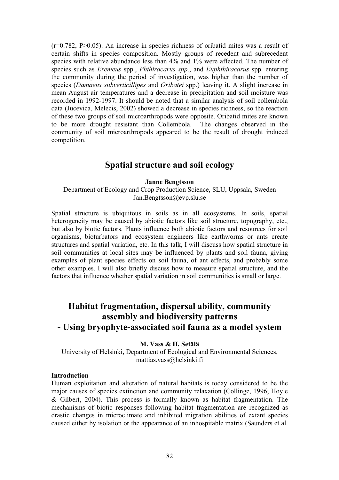$(r=0.782, P>0.05)$ . An increase in species richness of oribatid mites was a result of certain shifts in species composition. Mostly groups of recedent and subrecedent species with relative abundance less than 4% and 1% were affected. The number of species such as *Eremeus* spp., *Phthiracarus spp*., and *Euphthiracarus* spp. entering the community during the period of investigation, was higher than the number of species (*Damaeus subverticillipes* and *Oribatei* spp.) leaving it. A slight increase in mean August air temperatures and a decrease in precipitation and soil moisture was recorded in 1992-1997. It should be noted that a similar analysis of soil collembola data (Jucevica, Melecis, 2002) showed a decrease in species richness, so the reaction of these two groups of soil microarthropods were opposite. Oribatid mites are known to be more drought resistant than Collembola. The changes observed in the community of soil microarthropods appeared to be the result of drought induced competition.

## **Spatial structure and soil ecology**

## **Janne Bengtsson**

Department of Ecology and Crop Production Science, SLU, Uppsala, Sweden Jan.Bengtsson@evp.slu.se

Spatial structure is ubiquitous in soils as in all ecosystems. In soils, spatial heterogeneity may be caused by abiotic factors like soil structure, topography, etc., but also by biotic factors. Plants influence both abiotic factors and resources for soil organisms, bioturbators and ecosystem engineers like earthworms or ants create structures and spatial variation, etc. In this talk, I will discuss how spatial structure in soil communities at local sites may be influenced by plants and soil fauna, giving examples of plant species effects on soil fauna, of ant effects, and probably some other examples. I will also briefly discuss how to measure spatial structure, and the factors that influence whether spatial variation in soil communities is small or large.

# **Habitat fragmentation, dispersal ability, community assembly and biodiversity patterns - Using bryophyte-associated soil fauna as a model system**

## **M. Vass & H. Setälä**

University of Helsinki, Department of Ecological and Environmental Sciences, mattias.vass@helsinki.fi

#### **Introduction**

Human exploitation and alteration of natural habitats is today considered to be the major causes of species extinction and community relaxation (Collinge, 1996; Hoyle Gilbert, 2004). This process is formally known as habitat fragmentation. The mechanisms of biotic responses following habitat fragmentation are recognized as drastic changes in microclimate and inhibited migration abilities of extant species caused either by isolation or the appearance of an inhospitable matrix (Saunders et al.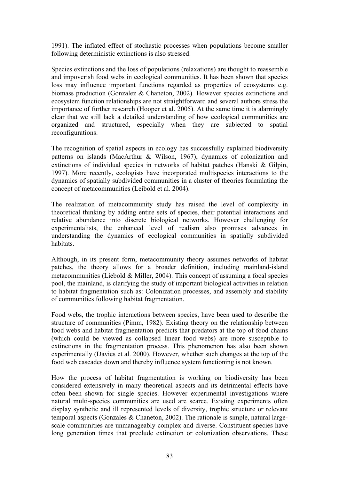1991). The inflated effect of stochastic processes when populations become smaller following deterministic extinctions is also stressed.

Species extinctions and the loss of populations (relaxations) are thought to reassemble and impoverish food webs in ecological communities. It has been shown that species loss may influence important functions regarded as properties of ecosystems e.g. biomass production (Gonzalez  $&$  Chaneton, 2002). However species extinctions and ecosystem function relationships are not straightforward and several authors stress the importance of further research (Hooper et al. 2005). At the same time it is alarmingly clear that we still lack a detailed understanding of how ecological communities are organized and structured, especially when they are subjected to spatial reconfigurations.

The recognition of spatial aspects in ecology has successfully explained biodiversity patterns on islands (MacArthur & Wilson, 1967), dynamics of colonization and extinctions of individual species in networks of habitat patches (Hanski  $\&$  Gilpin, 1997). More recently, ecologists have incorporated multispecies interactions to the dynamics of spatially subdivided communities in a cluster of theories formulating the concept of metacommunities (Leibold et al. 2004).

The realization of metacommunity study has raised the level of complexity in theoretical thinking by adding entire sets of species, their potential interactions and relative abundance into discrete biological networks. However challenging for experimentalists, the enhanced level of realism also promises advances in understanding the dynamics of ecological communities in spatially subdivided habitats.

Although, in its present form, metacommunity theory assumes networks of habitat patches, the theory allows for a broader definition, including mainland-island metacommunities (Liebold  $&$  Miller, 2004). This concept of assuming a focal species pool, the mainland, is clarifying the study of important biological activities in relation to habitat fragmentation such as: Colonization processes, and assembly and stability of communities following habitat fragmentation.

Food webs, the trophic interactions between species, have been used to describe the structure of communities (Pimm, 1982). Existing theory on the relationship between food webs and habitat fragmentation predicts that predators at the top of food chains (which could be viewed as collapsed linear food webs) are more susceptible to extinctions in the fragmentation process. This phenomenon has also been shown experimentally (Davies et al. 2000). However, whether such changes at the top of the food web cascades down and thereby influence system functioning is not known.

How the process of habitat fragmentation is working on biodiversity has been considered extensively in many theoretical aspects and its detrimental effects have often been shown for single species. However experimental investigations where natural multi-species communities are used are scarce. Existing experiments often display synthetic and ill represented levels of diversity, trophic structure or relevant temporal aspects (Gonzales  $&$  Chaneton, 2002). The rationale is simple, natural largescale communities are unmanageably complex and diverse. Constituent species have long generation times that preclude extinction or colonization observations. These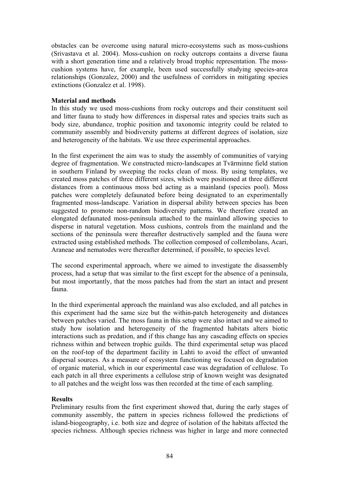obstacles can be overcome using natural micro-ecosystems such as moss-cushions (Srivastava et al. 2004). Moss-cushion on rocky outcrops contains a diverse fauna with a short generation time and a relatively broad trophic representation. The mosscushion systems have, for example, been used successfully studying species-area relationships (Gonzalez, 2000) and the usefulness of corridors in mitigating species extinctions (Gonzalez et al. 1998).

## **Material and methods**

In this study we used moss-cushions from rocky outcrops and their constituent soil and litter fauna to study how differences in dispersal rates and species traits such as body size, abundance, trophic position and taxonomic integrity could be related to community assembly and biodiversity patterns at different degrees of isolation, size and heterogeneity of the habitats. We use three experimental approaches.

In the first experiment the aim was to study the assembly of communities of varying degree of fragmentation. We constructed micro-landscapes at Tvärminne field station in southern Finland by sweeping the rocks clean of moss. By using templates, we created moss patches of three different sizes, which were positioned at three different distances from a continuous moss bed acting as a mainland (species pool). Moss patches were completely defaunated before being designated to an experimentally fragmented moss-landscape. Variation in dispersal ability between species has been suggested to promote non-random biodiversity patterns. We therefore created an elongated defaunated moss-peninsula attached to the mainland allowing species to disperse in natural vegetation. Moss cushions, controls from the mainland and the sections of the peninsula were thereafter destructively sampled and the fauna were extracted using established methods. The collection composed of collembolans, Acari, Araneae and nematodes were thereafter determined, if possible, to species level.

The second experimental approach, where we aimed to investigate the disassembly process, had a setup that was similar to the first except for the absence of a peninsula, but most importantly, that the moss patches had from the start an intact and present fauna.

In the third experimental approach the mainland was also excluded, and all patches in this experiment had the same size but the within-patch heterogeneity and distances between patches varied. The moss fauna in this setup were also intact and we aimed to study how isolation and heterogeneity of the fragmented habitats alters biotic interactions such as predation, and if this change has any cascading effects on species richness within and between trophic guilds. The third experimental setup was placed on the roof-top of the department facility in Lahti to avoid the effect of unwanted dispersal sources. As a measure of ecosystem functioning we focused on degradation of organic material, which in our experimental case was degradation of cellulose. To each patch in all three experiments a cellulose strip of known weight was designated to all patches and the weight loss was then recorded at the time of each sampling.

## **Results**

Preliminary results from the first experiment showed that, during the early stages of community assembly, the pattern in species richness followed the predictions of island-biogeography, i.e. both size and degree of isolation of the habitats affected the species richness. Although species richness was higher in large and more connected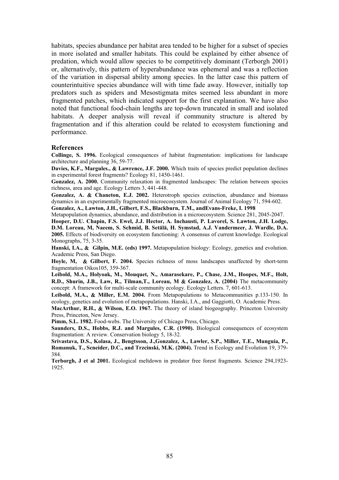habitats, species abundance per habitat area tended to be higher for a subset of species in more isolated and smaller habitats. This could be explained by either absence of predation, which would allow species to be competitively dominant (Terborgh 2001) or, alternatively, this pattern of hyperabundance was ephemeral and was a reflection of the variation in dispersal ability among species. In the latter case this pattern of counterintuitive species abundance will with time fade away. However, initially top predators such as spiders and Mesostigmata mites seemed less abundant in more fragmented patches, which indicated support for the first explanation. We have also noted that functional food-chain lengths are top-down truncated in small and isolated habitats. A deeper analysis will reveal if community structure is altered by fragmentation and if this alteration could be related to ecosystem functioning and performance.

#### **References**

**Collinge, S. 1996.** Ecological consequences of habitat fragmentation: implications for landscape architecture and planning 36, 59-77.

**Davies, K.F., Margules., & Lawrence, J.F. 2000.** Which traits of species predict population declines in experimental forest fragments? Ecology 81, 1450-1461.

**Gonzalez, A. 2000.** Community relaxation in fragmented landscapes: The relation between species richness, area and age. Ecology Letters 3, 441-448.

Gonzalez, A. & Chaneton, E.J. 2002. Heterotroph species extinction, abundance and biomass dynamics in an experimentally fragmented microecosystem. Journal of Animal Ecology 71, 594-602.

**Gonzalez, A., Lawton, J.H., Gilbert, F.S., Blackburn, T.M., andEvans-Freke, I. 1998** 

Metapopulation dynamics, abundance, and distribution in a microecosystem. Science 281, 2045-2047. **Hooper, D.U. Chapin, F.S. Ewel, J.J. Hector, A. Inchausti, P. Lavorel, S. Lawton, J.H. Lodge,** 

**D.M. Loreau, M, Naeem, S. Schmid, B. Setälä, H. Symstad, A.J. Vandermeer, J. Wardle, D.A. 2005.** Effects of biodiversity on ecosystem functioning: A consensus of current knowledge. Ecological Monographs, 75, 3-35.

**Hanski, I.A., & Gilpin, M.E. (eds) 1997.** Metapopulation biology: Ecology, genetics and evolution. Academic Press, San Diego.

Hoyle, M, & Gilbert, F. 2004. Species richness of moss landscapes unaffected by short-term fragmentation Oikos105, 359-367.

**Leibold, M.A., Holyoak, M., Mouquet, N., Amarasekare, P., Chase, J.M., Hoopes, M.F., Holt, R.D., Shurin, J.B., Law, R., Tilman,T., Loreau, M Gonzalez, A. (2004)** The metacommunity concept: A framework for multi-scale community ecology. Ecology Letters. 7, 601-613.

Leibold, M.A., & Miller, E.M. 2004. From Metapopulations to Metacommunities p.133-150. In ecology, genetics and evolution of metapopulations. Hanski, I.A., and Gaggiotti, O. Academic Press.

**MacArthur, R.H., & Wilson, E.O. 1967.** The theory of island biogeography. Princeton University Press, Princeton, New Jersey.

**Pimm, S.L. 1982.** Food-webs. The University of Chicago Press, Chicago.

**Saunders, D.S., Hobbs, R.J. and Margules, C.R. (1990).** Biological consequences of ecosystem fragmentation: A review. Conservation biology 5, 18-32.

**Srivastava, D.S., Kolasa, J., Bengtsson, J.,Gonzalez, A., Lawler, S.P., Miller, T.E., Munguia, P., Romanuk, T., Scneider, D.C., and Trzcinski, M.K. (2004).** Trend in Ecology and Evolution 19, 379- 384.

**Terborgh, J et al 2001.** Ecological meltdown in predator free forest fragments. Science 294,1923- 1925.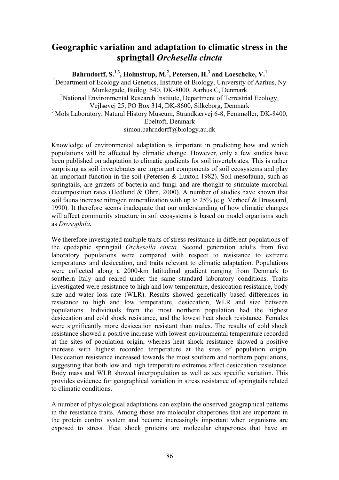## **Geographic variation and adaptation to climatic stress in the springtail** *Orchesella cincta*

**Bahrndorff, S.1,3, Holmstrup, M.2 , Petersen, H.<sup>3</sup> and Loeschcke, V.<sup>1</sup>**

<sup>1</sup>Department of Ecology and Genetics, Institute of Biology, University of Aarhus, Ny Munkegade, Buildg. 540, DK-8000, Aarhus C, Denmark <sup>2</sup>National Environmental Research Institute, Department of Terrestrial Ecology, Vejlsøvej 25, PO Box 314, DK-8600, Silkeborg, Denmark <sup>3</sup> Mols Laboratory, Natural History Museum, Strandkærvej 6-8, Femmøller, DK-8400, Ebeltoft, Denmark simon.bahrndorff@biology.au.dk

Knowledge of environmental adaptation is important in predicting how and which populations will be affected by climatic change. However, only a few studies have been published on adaptation to climatic gradients for soil invertebrates. This is rather surprising as soil invertebrates are important components of soil ecosystems and play an important function in the soil (Petersen & Luxton 1982). Soil mesofauna, such as springtails, are grazers of bacteria and fungi and are thought to stimulate microbial decomposition rates (Hedlund & Ohrn, 2000). A number of studies have shown that soil fauna increase nitrogen mineralization with up to 25% (e.g. Verhoef & Brussaard, 1990). It therefore seems inadequate that our understanding of how climatic changes will affect community structure in soil ecosystems is based on model organisms such as *Drosophila*.

We therefore investigated multiple traits of stress resistance in different populations of the epedaphic springtail *Orchesella cincta*. Second generation adults from five laboratory populations were compared with respect to resistance to extreme temperatures and desiccation, and traits relevant to climatic adaptation. Populations were collected along a 2000-km latitudinal gradient ranging from Denmark to southern Italy and reared under the same standard laboratory conditions. Traits investigated were resistance to high and low temperature, desiccation resistance, body size and water loss rate (WLR). Results showed genetically based differences in resistance to high and low temperature, desiccation, WLR and size between populations. Individuals from the most northern population had the highest desiccation and cold shock resistance, and the lowest heat shock resistance. Females were significantly more desiccation resistant than males. The results of cold shock resistance showed a positive increase with lowest environmental temperature recorded at the sites of population origin, whereas heat shock resistance showed a positive increase with highest recorded temperature at the sites of population origin. Desiccation resistance increased towards the most southern and northern populations, suggesting that both low and high temperature extremes affect desiccation resistance. Body mass and WLR showed interpopulation as well as sex specific variation. This provides evidence for geographical variation in stress resistance of springtails related to climatic conditions.

A number of physiological adaptations can explain the observed geographical patterns in the resistance traits. Among those are molecular chaperones that are important in the protein control system and become increasingly important when organisms are exposed to stress. Heat shock proteins are molecular chaperones that have an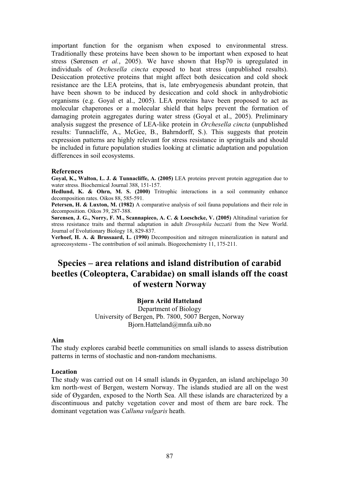important function for the organism when exposed to environmental stress. Traditionally these proteins have been shown to be important when exposed to heat stress (Sørensen *et al.*, 2005). We have shown that Hsp70 is upregulated in individuals of *Orchesella cincta* exposed to heat stress (unpublished results). Desiccation protective proteins that might affect both desiccation and cold shock resistance are the LEA proteins, that is, late embryogenesis abundant protein, that have been shown to be induced by desiccation and cold shock in anhydrobiotic organisms (e.g. Goyal et al., 2005). LEA proteins have been proposed to act as molecular chaperones or a molecular shield that helps prevent the formation of damaging protein aggregates during water stress (Goyal et al., 2005). Preliminary analysis suggest the presence of LEA-like protein in *Orchesella cincta* (unpublished results: Tunnacliffe, A., McGee, B., Bahrndorff, S.). This suggests that protein expression patterns are highly relevant for stress resistance in springtails and should be included in future population studies looking at climatic adaptation and population differences in soil ecosystems.

### **References**

**Goyal, K., Walton, L. J. & Tunnacliffe, A. (2005)** LEA proteins prevent protein aggregation due to water stress. Biochemical Journal 388, 151-157.

**Hedlund, K. & Ohrn, M. S. (2000)** Tritrophic interactions in a soil community enhance decomposition rates. Oikos 88, 585-591.

**Petersen, H. & Luxton, M. (1982)** A comparative analysis of soil fauna populations and their role in decomposition. Oikos 39, 287-388.

**Sørensen, J. G., Norry, F. M., Scannapieco, A. C. & Loeschcke, V. (2005)** Altitudinal variation for stress resistance traits and thermal adaptation in adult *Drosophila buzzatii* from the New World. Journal of Evolutionary Biology 18, 829-837.

**Verhoef, H. A. & Brussaard, L. (1990)** Decomposition and nitrogen mineralization in natural and agroecosystems - The contribution of soil animals. Biogeochemistry 11, 175-211.

# **Species – area relations and island distribution of carabid beetles (Coleoptera, Carabidae) on small islands off the coast of western Norway**

## **Bjørn Arild Hatteland**

Department of Biology University of Bergen, Pb. 7800, 5007 Bergen, Norway Bjorn.Hatteland@mnfa.uib.no

#### **Aim**

The study explores carabid beetle communities on small islands to assess distribution patterns in terms of stochastic and non-random mechanisms.

#### **Location**

The study was carried out on 14 small islands in Øygarden, an island archipelago 30 km north-west of Bergen, western Norway. The islands studied are all on the west side of Øygarden, exposed to the North Sea. All these islands are characterized by a discontinuous and patchy vegetation cover and most of them are bare rock. The dominant vegetation was *Calluna vulgaris* heath.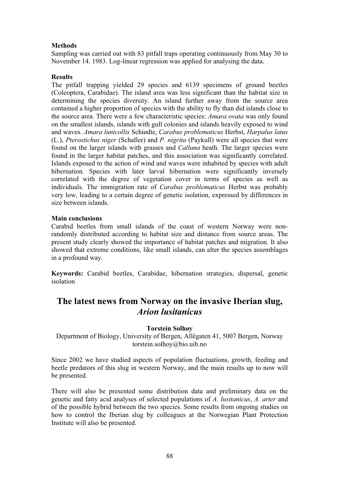## **Methods**

Sampling was carried out with 83 pitfall traps operating continuously from May 30 to November 14. 1983. Log-linear regression was applied for analysing the data.

## **Results**

The pitfall trapping yielded 29 species and 6139 specimens of ground beetles (Coleoptera, Carabidae). The island area was less significant than the habitat size in determining the species diversity. An island further away from the source area contained a higher proportion of species with the ability to fly than did islands close to the source area. There were a few characteristic species: *Amara ovata* was only found on the smallest islands, islands with gull colonies and islands heavily exposed to wind and waves. *Amara lunicollis* Schiødte, *Carabus problematicus* Herbst, *Harpalus latus* (L.), *Pterostichus niger* (Schaller) and *P. nigrita* (Paykull) were all species that were found on the larger islands with grasses and *Calluna* heath. The larger species were found in the larger habitat patches, and this association was significantly correlated. Islands exposed to the action of wind and waves were inhabited by species with adult hibernation. Species with later larval hibernation were significantly inversely correlated with the degree of vegetation cover in terms of species as well as individuals. The immigration rate of *Carabus problematicus* Herbst was probably very low, leading to a certain degree of genetic isolation, expressed by differences in size between islands.

## **Main conclusions**

Carabid beetles from small islands of the coast of western Norway were nonrandomly distributed according to habitat size and distance from source areas. The present study clearly showed the importance of habitat patches and migration. It also showed that extreme conditions, like small islands, can alter the species assemblages in a profound way.

**Keywords:** Carabid beetles, Carabidae, hibernation strategies, dispersal, genetic isolation

## **The latest news from Norway on the invasive Iberian slug, Arion lusitanicus** *Arion lusitanicus*

## **Torstein Solhøy**

Department of Biology, University of Bergen, Allègaten 41, 5007 Bergen, Norway torstein.solhoy@bio.uib.no

Since 2002 we have studied aspects of population fluctuations, growth, feeding and beetle predators of this slug in western Norway, and the main results up to now will be presented.

There will also be presented some distribution data and preliminary data on the genetic and fatty acid analyses of selected populations of *A. lusitanicus*, *A. arter* and of the possible hybrid between the two species. Some results from ongoing studies on how to control the Iberian slug by colleagues at the Norwegian Plant Protection Institute will also be presented.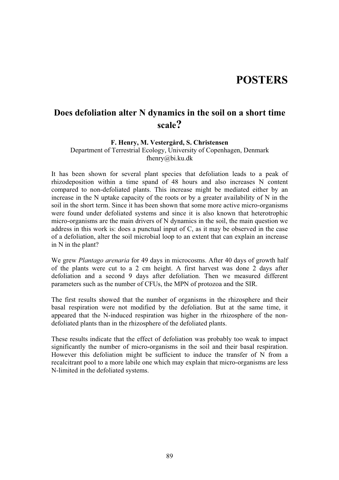# **POSTERS**

# **Does defoliation alter N dynamics in the soil on a short time scale?**

## **F. Henry, M. Vestergård, S. Christensen**

Department of Terrestrial Ecology, University of Copenhagen, Denmark fhenry@bi.ku.dk

It has been shown for several plant species that defoliation leads to a peak of rhizodeposition within a time spand of 48 hours and also increases N content compared to non-defoliated plants. This increase might be mediated either by an increase in the N uptake capacity of the roots or by a greater availability of N in the soil in the short term. Since it has been shown that some more active micro-organisms were found under defoliated systems and since it is also known that heterotrophic micro-organisms are the main drivers of N dynamics in the soil, the main question we address in this work is: does a punctual input of C, as it may be observed in the case of a defoliation, alter the soil microbial loop to an extent that can explain an increase in N in the plant?

We grew *Plantago arenaria* for 49 days in microcosms. After 40 days of growth half of the plants were cut to a 2 cm height. A first harvest was done 2 days after defoliation and a second 9 days after defoliation. Then we measured different parameters such as the number of CFUs, the MPN of protozoa and the SIR.

The first results showed that the number of organisms in the rhizosphere and their basal respiration were not modified by the defoliation. But at the same time, it appeared that the N-induced respiration was higher in the rhizosphere of the nondefoliated plants than in the rhizosphere of the defoliated plants.

These results indicate that the effect of defoliation was probably too weak to impact significantly the number of micro-organisms in the soil and their basal respiration. However this defoliation might be sufficient to induce the transfer of N from a recalcitrant pool to a more labile one which may explain that micro-organisms are less N-limited in the defoliated systems.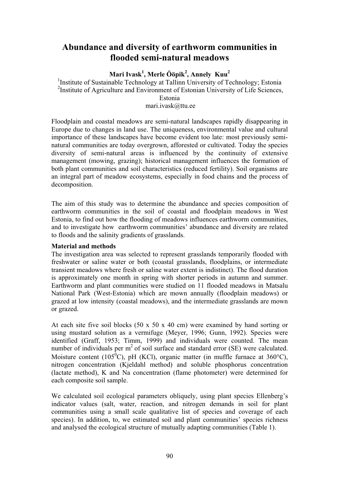## **Abundance and diversity of earthworm communities in flooded semi-natural meadows**

## **Mari Ivask<sup>1</sup> , Merle Ööpik<sup>2</sup> , Annely Kuu<sup>2</sup>**

<sup>1</sup>Institute of Sustainable Technology at Tallinn University of Technology; Estonia <sup>2</sup>Institute of Agriculture and Environment of Estonian University of Life Sciences, Estonia

mari.ivask@ttu.ee

Floodplain and coastal meadows are semi-natural landscapes rapidly disappearing in Europe due to changes in land use. The uniqueness, environmental value and cultural importance of these landscapes have become evident too late: most previously seminatural communities are today overgrown, afforested or cultivated. Today the species diversity of semi-natural areas is influenced by the continuity of extensive management (mowing, grazing); historical management influences the formation of both plant communities and soil characteristics (reduced fertility). Soil organisms are an integral part of meadow ecosystems, especially in food chains and the process of decomposition.

The aim of this study was to determine the abundance and species composition of earthworm communities in the soil of coastal and floodplain meadows in West Estonia, to find out how the flooding of meadows influences earthworm communities, and to investigate how earthworm communities' abundance and diversity are related to floods and the salinity gradients of grasslands.

## **Material and methods**

The investigation area was selected to represent grasslands temporarily flooded with freshwater or saline water or both (coastal grasslands, floodplains, or intermediate transient meadows where fresh or saline water extent is indistinct). The flood duration is approximately one month in spring with shorter periods in autumn and summer. Earthworm and plant communities were studied on 11 flooded meadows in Matsalu National Park (West-Estonia) which are mown annually (floodplain meadows) or grazed at low intensity (coastal meadows), and the intermediate grasslands are mown or grazed.

At each site five soil blocks (50 x 50 x 40 cm) were examined by hand sorting or using mustard solution as a vermifuge (Meyer, 1996; Gunn, 1992). Species were identified (Graff, 1953; Timm, 1999) and individuals were counted. The mean number of individuals per  $m<sup>2</sup>$  of soil surface and standard error (SE) were calculated. Moisture content (105<sup>0</sup>C), pH (KCl), organic matter (in muffle furnace at 360°C), nitrogen concentration (Kjeldahl method) and soluble phosphorus concentration (lactate method), K and Na concentration (flame photometer) were determined for each composite soil sample.

We calculated soil ecological parameters obliquely, using plant species Ellenberg's indicator values (salt, water, reaction, and nitrogen demands in soil for plant communities using a small scale qualitative list of species and coverage of each species). In addition, to, we estimated soil and plant communities' species richness and analysed the ecological structure of mutually adapting communities (Table 1).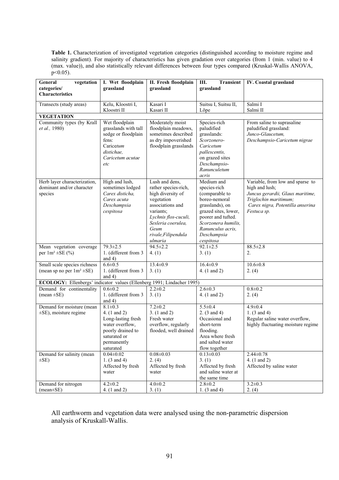**Table 1.** Characterization of investigated vegetation categories (distinguished according to moisture regime and salinity gradient). For majority of characteristics has given gradation over categories (from 1 (min. value) to 4 (max. value)), and also statistically relevant differences between four types compared (Kruskal-Wallis ANOVA,  $p<0.05$ ).

| vegetation<br>General                                                                               | I. Wet floodplain       | II. Fresh floodplain                       | Ш.<br><b>Transient</b>                    | IV. Coastal grassland              |
|-----------------------------------------------------------------------------------------------------|-------------------------|--------------------------------------------|-------------------------------------------|------------------------------------|
| categories/                                                                                         | grassland               | grassland                                  | grassland                                 |                                    |
| <b>Characteristics</b>                                                                              |                         |                                            |                                           |                                    |
| Transects (study areas)                                                                             | Kelu, Kloostri I,       | Kasari I                                   | Suitsu I, Suitsu II,                      | Salmi I                            |
|                                                                                                     | Kloostri II             | Kasari II                                  | Lõpe                                      | Salmi II                           |
| <b>VEGETATION</b>                                                                                   |                         |                                            |                                           |                                    |
| Community types (by Krall                                                                           | Wet floodplain          | Moderately moist                           | Species-rich                              | From saline to suprasaline         |
| et al., 1980)                                                                                       | grasslands with tall    | floodplain meadows,                        | paludified                                | paludified grassland:              |
|                                                                                                     | sedge or floodplain     | sometimes described                        | grasslands:                               | Junco-Glaucetum,                   |
|                                                                                                     | fens:<br>Caricetum      | as dry impoverished                        | Scorzonero-                               | Deschampsio-Caricetum nigrae       |
|                                                                                                     | distichae.              | floodplain grasslands                      | Caricetum<br>pallescentis,                |                                    |
|                                                                                                     | Caricetum acutae        |                                            | on grazed sites                           |                                    |
|                                                                                                     | etc                     |                                            | Deschampsio-                              |                                    |
|                                                                                                     |                         |                                            | Ranunculetum                              |                                    |
|                                                                                                     |                         |                                            | acris                                     |                                    |
| Herb layer characterization,                                                                        | High and lush,          | Lush and dens,                             | Medium and                                | Variable, from low and sparse to   |
| dominant and/or character                                                                           | sometimes lodged        | rather species-rich,                       | species-rich                              | high and lush;                     |
| species                                                                                             | Carex disticha.         | high diversity of                          | (comparable to                            | Juncus gerardii, Glaux maritime,   |
|                                                                                                     | Carex acuta             | vegetation                                 | boreo-nemoral                             | Triglochin maritimum;              |
|                                                                                                     | Deschampsia             | associations and                           | grasslands), on                           | Carex nigra, Potentilla anserina   |
|                                                                                                     | cespitosa               | variants:                                  | grazed sites, lower,                      | Festuca sp.                        |
|                                                                                                     |                         | Lychnis flos-cuculi,<br>Sesleria coerulea, | poorer and tufted.<br>Scorzonera humilis, |                                    |
|                                                                                                     |                         | Geum                                       | Ranunculus acris,                         |                                    |
|                                                                                                     |                         | rivale, Filipendula                        | Deschampsia                               |                                    |
|                                                                                                     |                         | ulmaria                                    | cespitosa                                 |                                    |
| Mean vegetation coverage                                                                            | $79.3 \pm 2.5$          | $94.5 \pm 2.2$                             | $92.1 \pm 2.5$                            | $88.5 \pm 2.8$                     |
| per $1m^2 \pm SE(%)$                                                                                | 1. (different from 3    | 4. (1)                                     | 3. (1)                                    | 2.                                 |
|                                                                                                     | and $4)$                |                                            |                                           |                                    |
| Small scale species richness                                                                        | $6.6 \pm 0.5$           | $13.4 \pm 0.9$                             | $16.4 \pm 0.9$                            | $10.6 \pm 0.8$                     |
| (mean sp no per $1m^2 \pm SE$ )                                                                     | 1. (different from 3    | 3. (1)                                     | 4. (1 and 2)                              | 2. (4)                             |
|                                                                                                     | and $4)$                |                                            |                                           |                                    |
| ECOLOGY: Ellenbergs' indicator values (Ellenberg 1991; Lindacher 1995)<br>Demand for continentality | $0.6 + 0.2$             | $2.2 \pm 0.2$                              | $2.6 \pm 0.3$                             |                                    |
| $(mean \pm SE)$                                                                                     | 1. (different from 3    | 3. (1)                                     | 4. (1 and 2)                              | $0.8 + 0.2$<br>2. (4)              |
|                                                                                                     | and $4)$                |                                            |                                           |                                    |
| Demand for moisture (mean                                                                           | $8.1 \pm 0.3$           | $7.2 \pm 0.2$                              | $5.5 \pm 0.4$                             | $4.9 \pm 0.4$                      |
| $\pm$ SE), moisture regime                                                                          | 4. (1 and 2)            | 3. (1 and 2)                               | 2. $(3 \text{ and } 4)$                   | 1. $(3 \text{ and } 4)$            |
|                                                                                                     | Long-lasting fresh      | Fresh water                                | Occasional and                            | Regular saline water overflow,     |
|                                                                                                     | water overflow,         | overflow, regularly                        | short-term                                | highly fluctuating moisture regime |
|                                                                                                     | poorly drained to       | flooded, well drained                      | flooding.                                 |                                    |
|                                                                                                     | saturated or            |                                            | Area where fresh                          |                                    |
|                                                                                                     | permanently             |                                            | and salted water                          |                                    |
|                                                                                                     | saturated               |                                            | flow together                             |                                    |
| Demand for salinity (mean                                                                           | $0.04 \pm 0.02$         | $0.08 \pm 0.03$                            | $0.13 \pm 0.03$                           | $2.44 \pm 0.78$                    |
| $\pm$ SE)                                                                                           | 1. $(3 \text{ and } 4)$ | 2. (4)                                     | 3. (1)                                    | 4. $(1 \text{ and } 2)$            |
|                                                                                                     | Affected by fresh       | Affected by fresh                          | Affected by fresh<br>and saline water at  | Affected by saline water           |
|                                                                                                     | water                   | water                                      | the same time                             |                                    |
| Demand for nitrogen                                                                                 | $4.2 \pm 0.2$           | $4.0 \pm 0.2$                              | $2.8 \pm 0.2$                             | $3.2 \pm 0.3$                      |
| $(mean \pm SE)$                                                                                     | 4. (1 and 2)            | 3. (1)                                     | 1. $(3 \text{ and } 4)$                   | 2. (4)                             |

All earthworm and vegetation data were analysed using the non-parametric dispersion analysis of Kruskall-Wallis.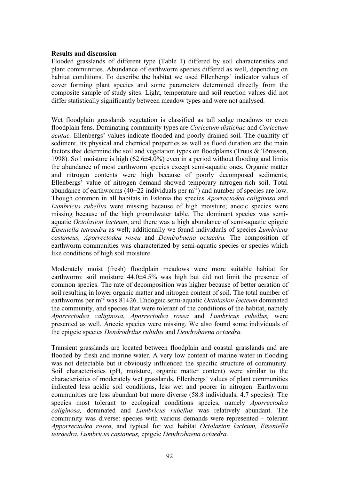### **Results and discussion**

Flooded grasslands of different type (Table 1) differed by soil characteristics and plant communities. Abundance of earthworm species differed as well, depending on habitat conditions. To describe the habitat we used Ellenbergs' indicator values of cover forming plant species and some parameters determined directly from the composite sample of study sites. Light, temperature and soil reaction values did not differ statistically significantly between meadow types and were not analysed.

Wet floodplain grasslands vegetation is classified as tall sedge meadows or even floodplain fens. Dominating community types are *Caricetum distichae* and *Caricetum acutae.* Ellenbergs' values indicate flooded and poorly drained soil. The quantity of sediment, its physical and chemical properties as well as flood duration are the main factors that determine the soil and vegetation types on floodplains (Truus & Tõnisson, 1998). Soil moisture is high  $(62.6\pm4.0\%)$  even in a period without flooding and limits the abundance of most earthworm species except semi-aquatic ones. Organic matter and nitrogen contents were high because of poorly decomposed sediments; Ellenbergs' value of nitrogen demand showed temporary nitrogen-rich soil. Total abundance of earthworms (40 $\pm$ 22 individuals per m<sup>-2</sup>) and number of species are low. Though common in all habitats in Estonia the species *Aporrectodea caliginosa* and *Lumbricus rubellus* were missing because of high moisture; anecic species were missing because of the high groundwater table. The dominant species was semiaquatic *Octolasion lacteum*, and there was a high abundance of semi-aquatic epigeic *Eiseniella tetraedra* as well; additionally we found individuals of species *Lumbricus castaneus, Aporrectodea rosea* and *Dendrobaena octaedra.* The composition of earthworm communities was characterized by semi-aquatic species or species which like conditions of high soil moisture.

Moderately moist (fresh) floodplain meadows were more suitable habitat for earthworm: soil moisture 44.0±4.5% was high but did not limit the presence of common species. The rate of decomposition was higher because of better aeration of soil resulting in lower organic matter and nitrogen content of soil. The total number of earthworms per m-2 was 81±26. Endogeic semi-aquatic *Octolasion lacteum* dominated the community, and species that were tolerant of the conditions of the habitat, namely *Aporrectodea caliginosa*, *Aporrectodea rosea* and *Lumbricus rubellus,* were presented as well. Anecic species were missing. We also found some individuals of the epigeic species *Dendrodrilus rubidus* and *Dendrobaena octaedra.*

Transient grasslands are located between floodplain and coastal grasslands and are flooded by fresh and marine water. A very low content of marine water in flooding was not detectable but it obviously influenced the specific structure of community. Soil characteristics (pH, moisture, organic matter content) were similar to the characteristics of moderately wet grasslands, Ellenbergs' values of plant communities indicated less acidic soil conditions, less wet and poorer in nitrogen. Earthworm communities are less abundant but more diverse (58.8 individuals, 4.7 species). The species most tolerant to ecological conditions species, namely *Aporrectodea caliginosa,* dominated and *Lumbricus rubellus* was relatively abundant. The community was diverse: species with various demands were represented – tolerant *Apporrectodea rosea*, and typical for wet habitat *Octolasion lacteum, Eiseniella tetraedra*, *Lumbricus castaneus,* epigeic *Dendrobaena octaedra*.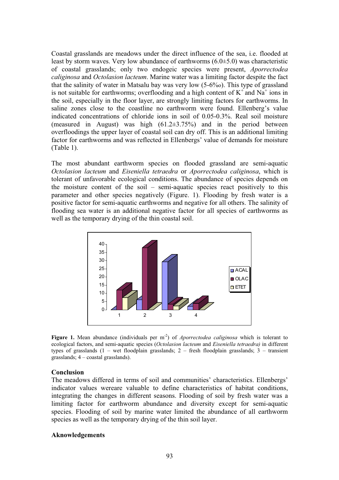Coastal grasslands are meadows under the direct influence of the sea, i.e. flooded at least by storm waves. Very low abundance of earthworms (6.0±5.0) was characteristic of coastal grasslands; only two endogeic species were present, *Aporrectodea caliginosa* and *Octolasion lacteum*. Marine water was a limiting factor despite the fact that the salinity of water in Matsalu bay was very low (5-6%o). This type of grassland is not suitable for earthworms; overflooding and a high content of  $K^+$  and  $Na^+$  ions in the soil, especially in the floor layer, are strongly limiting factors for earthworms. In saline zones close to the coastline no earthworm were found. Ellenberg's value indicated concentrations of chloride ions in soil of 0.05-0.3%. Real soil moisture (measured in August) was high (61.2±3.75%) and in the period between overfloodings the upper layer of coastal soil can dry off. This is an additional limiting factor for earthworms and was reflected in Ellenbergs' value of demands for moisture (Table 1).

The most abundant earthworm species on flooded grassland are semi-aquatic *Octolasion lacteum* and *Eiseniella tetraedra* or *Aporrectodea caliginosa*, which is tolerant of unfavorable ecological conditions. The abundance of species depends on the moisture content of the soil – semi-aquatic species react positively to this parameter and other species negatively (Figure. 1). Flooding by fresh water is a positive factor for semi-aquatic earthworms and negative for all others. The salinity of flooding sea water is an additional negative factor for all species of earthworms as well as the temporary drying of the thin coastal soil.



**Figure 1.** Mean abundance (individuals per m<sup>-2</sup>) of *Aporrectodea caliginosa* which is tolerant to ecological factors, and semi-aquatic species (*Octolasion lacteum* and *Eiseniella tetraedra)* in different types of grasslands (1 – wet floodplain grasslands; 2 – fresh floodplain grasslands; 3 – transient grasslands; 4 – coastal grasslands).

#### **Conclusion**

The meadows differed in terms of soil and communities' characteristics. Ellenbergs' indicator values wereare valuable to define characteristics of habitat conditions, integrating the changes in different seasons. Flooding of soil by fresh water was a limiting factor for earthworm abundance and diversity except for semi-aquatic species. Flooding of soil by marine water limited the abundance of all earthworm species as well as the temporary drying of the thin soil layer.

## **Aknowledgements**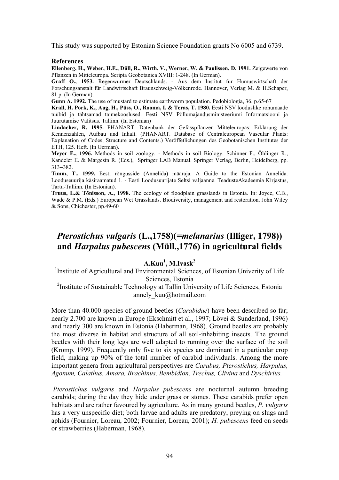This study was supported by Estonian Science Foundation grants No 6005 and 6739.

#### **References**

**Ellenberg, H., Weber, H.E., Düll, R., Wirth, V., Werner, W. & Paulissen, D. 1991.** Zeigewerte von Pflanzen in Mitteleuropa. Scripta Geobotanica XVIII: 1-248. (In German).

**Graff O., 1953.** Regenwürmer Deutschlands. - Aus dem Institut für Humuswirtschaft der Forschungsanstalt für Landwirtschaft Braunschweig-Völkenrode. Hannover, Verlag M. & H.Schaper, 81 p. (In German).

**Gunn A. 1992.** The use of mustard to estimate earthworm population. Pedobiologia, 36, p.65-67

**Krall, H. Pork, K., Aug, H., Püss, O., Rooma, I. & Teras, T. 1980.** Eesti NSV looduslike rohumaade tüübid ja tähtsamad taimekooslused. Eesti NSV Põllumajandusministeeriumi Informatsiooni ja Juurutamise Valitsus. Tallinn. (In Estonian)

**Lindacher, R. 1995.** PHANART. Datenbank der Gefässpflanzen Mitteleuropas: Erklärung der Kennenzahlen, Aufbau und Inhalt. (PHANART. Database of Centraleuropean Vascular Plants: Explanation of Codes, Structure and Contents.) Veröffetlichungen des Geobotanischen Institutes der ETH, 125. Heft. (In German).

**Meyer E., 1996.** Methods in soil zoology. - Methods in soil Biology. Schinner F., Öhlinger R., Kandeler E. & Margesin R. (Eds.), Springer LAB Manual. Springer Verlag, Berlin, Heidelberg, pp. 313-382.

**Timm, T., 1999.** Eesti rõngusside (Annelida) määraja. A Guide to the Estonian Annelida. Looduseuurija käsiraamatud 1. - Eesti Loodusuurijate Seltsi väljaanne. TeadusteAkadeemia Kirjastus, Tartu-Tallinn. (In Estonian).

**Truus, L.& Tõnisson, A., 1998.** The ecology of floodplain grasslands in Estonia. In: Joyce, C.B., Wade & P.M. (Eds.) European Wet Grasslands. Biodiversity, management and restoration. John Wiley & Sons, Chichester, pp.49-60

## *Pterostichus vulgaris* **(L.,1758)(***=melanarius* **(Illiger, 1798)) and** *Harpalus pubescens* **(Müll.,1776) in agricultural fields**

## **A.Kuu1 , M.Ivask<sup>2</sup>**

<sup>1</sup>Institute of Agricultural and Environmental Sciences, of Estonian Univerity of Life Sciences, Estonia

<sup>2</sup>Institute of Sustainable Technology at Tallin University of Life Sciences, Estonia annely kuu@hotmail.com

More than 40.000 species of ground beetles (*Carabidae*) have been described so far; nearly 2.700 are known in Europe (Ekschmitt et al., 1997; Lövei & Sunderland, 1996) and nearly 300 are known in Estonia (Haberman, 1968). Ground beetles are probably the most diverse in habitat and structure of all soil-inhabiting insects. The ground beetles with their long legs are well adapted to running over the surface of the soil (Kromp, 1999). Frequently only five to six species are dominant in a particular crop field, making up 90% of the total number of carabid individuals. Among the more important genera from agricultural perspectives are *Carabus, Pterostichus, Harpalus, Agonum, Calathus, Amara, Brachinus, Bembidion, Trechus, Clivina* and *Dyschirius.* 

 *Pterostichus vulgaris* and *Harpalus pubescens* are nocturnal autumn breeding carabids; during the day they hide under grass or stones. These carabids prefer open habitats and are rather favoured by agriculture. As in many ground beetles, *P. vulgaris* has a very unspecific diet; both larvae and adults are predatory, preying on slugs and aphids (Fournier, Loreau, 2002; Fournier, Loreau, 2001); *H. pubescens* feed on seeds or strawberries (Haberman, 1968).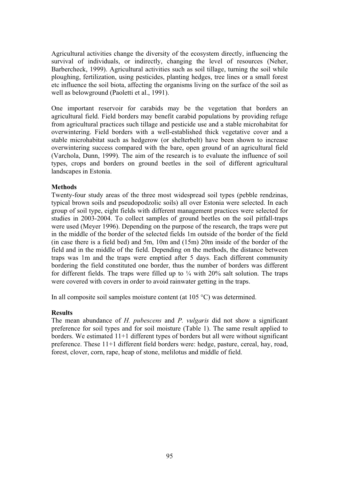Agricultural activities change the diversity of the ecosystem directly, influencing the survival of individuals, or indirectly, changing the level of resources (Neher, Barbercheck, 1999). Agricultural activities such as soil tillage, turning the soil while ploughing, fertilization, using pesticides, planting hedges, tree lines or a small forest etc influence the soil biota, affecting the organisms living on the surface of the soil as well as belowground (Paoletti et al., 1991).

One important reservoir for carabids may be the vegetation that borders an agricultural field. Field borders may benefit carabid populations by providing refuge from agricultural practices such tillage and pesticide use and a stable microhabitat for overwintering. Field borders with a well-established thick vegetative cover and a stable microhabitat such as hedgerow (or shelterbelt) have been shown to increase overwintering success compared with the bare, open ground of an agricultural field (Varchola, Dunn, 1999). The aim of the research is to evaluate the influence of soil types, crops and borders on ground beetles in the soil of different agricultural landscapes in Estonia.

## **Methods**

Twenty-four study areas of the three most widespread soil types (pebble rendzinas, typical brown soils and pseudopodzolic soils) all over Estonia were selected. In each group of soil type, eight fields with different management practices were selected for studies in 2003-2004. To collect samples of ground beetles on the soil pitfall-traps were used (Meyer 1996). Depending on the purpose of the research, the traps were put in the middle of the border of the selected fields 1m outside of the border of the field (in case there is a field bed) and 5m, 10m and (15m) 20m inside of the border of the field and in the middle of the field. Depending on the methods, the distance between traps was 1m and the traps were emptied after 5 days. Each different community bordering the field constituted one border, thus the number of borders was different for different fields. The traps were filled up to  $\frac{1}{4}$  with 20% salt solution. The traps were covered with covers in order to avoid rainwater getting in the traps.

In all composite soil samples moisture content (at 105 °C) was determined.

## **Results**

The mean abundance of *H. pubescens* and *P. vulgaris* did not show a significant preference for soil types and for soil moisture (Table 1). The same result applied to borders. We estimated 11+1 different types of borders but all were without significant preference. These 11+1 different field borders were: hedge, pasture, cereal, hay, road, forest, clover, corn, rape, heap of stone, melilotus and middle of field.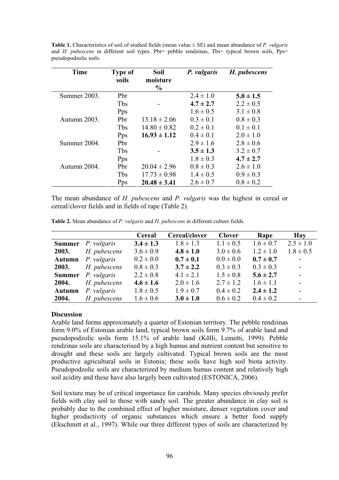| <b>Time</b>  | Type of | Soil             | P. vulgaris   | H. pubescens  |
|--------------|---------|------------------|---------------|---------------|
|              | soils   | moisture<br>$\%$ |               |               |
| Summer 2003. | Pbr     |                  | $2.4 \pm 1.0$ | $5.0 \pm 1.5$ |
|              | Tbs     |                  | $4.7 \pm 2.7$ | $2.2 \pm 0.5$ |
|              | Pps     |                  | $1.6 \pm 0.5$ | $3.1 \pm 0.8$ |
| Autumn 2003. | Pbr     | $13.18 \pm 2.06$ | $0.3 \pm 0.1$ | $0.8 \pm 0.3$ |
|              | Tbs     | $14.80 \pm 0.82$ | $0.2 \pm 0.1$ | $0.1 \pm 0.1$ |
|              | Pps     | $16.93 \pm 1.12$ | $0.4 \pm 0.1$ | $2.0 \pm 1.0$ |
| Summer 2004. | Pbr     |                  | $2.9 \pm 1.6$ | $2.8 \pm 0.6$ |
|              | Tbs     |                  | $3.5 \pm 1.3$ | $3.2 \pm 0.7$ |
|              | Pps     |                  | $1.8 \pm 0.3$ | $4.7 \pm 2.7$ |
| Autumn 2004. | Pbr     | $20.04 \pm 2.96$ | $0.8 \pm 0.3$ | $2.6 \pm 1.0$ |
|              | Tbs     | $17.73 \pm 0.98$ | $1.4 \pm 0.5$ | $0.9 \pm 0.3$ |
|              | Pps     | $20.48 \pm 3.41$ | $2.6 \pm 0.7$ | $0.8 \pm 0.2$ |

**Table 1.** Characteristics of soil of studied fields (mean value ± SE) and mean abundance of *P. vulgaris* and *H. pubescens* in different soil types. Pbr= pebble rendzinas, Tbs= typical brown soils, Pps= pseudopodzolic soils.

The mean abundance of *H. pubescens* and *P. vulgaris* was the highest in cereal or cereal/clover fields and in fields of rape (Table 2).

**Table 2.** Mean abundance of *P. vulgaris* and *H. pubescens* in different culture fields.

|        |                                  | Cereal        | Cereal/clover | <b>Clover</b> | Rape          | <b>Hay</b>    |
|--------|----------------------------------|---------------|---------------|---------------|---------------|---------------|
|        | <b>Summer</b> <i>P. vulgaris</i> | $3.4 \pm 1.3$ | $1.8 \pm 1.3$ | $1.1 \pm 0.5$ | $1.6 \pm 0.7$ | $2.5 \pm 1.0$ |
| 2003.  | H. pubescens                     | $3.6 \pm 0.9$ | $4.8 \pm 1.0$ | $3.0 \pm 0.6$ | $1.2 \pm 1.0$ | $1.8 \pm 0.5$ |
| Autumn | P. vulgaris                      | $0.2 \pm 0.0$ | $0.7 \pm 0.1$ | $0.0 \pm 0.0$ | $0.7 \pm 0.7$ | $\sim 100$    |
| 2003.  | H. pubescens                     | $0.8 \pm 0.3$ | $3.7 \pm 2.2$ | $0.3 \pm 0.3$ | $0.3 \pm 0.3$ | $\mathbf{r}$  |
|        | <b>Summer</b> <i>P. vulgaris</i> | $2.2 \pm 0.8$ | $4.1 \pm 2.1$ | $1.5 \pm 0.8$ | $5.6 \pm 2.7$ | $\mathcal{L}$ |
| 2004.  | H. pubescens                     | $4.6 \pm 1.6$ | $2.0 \pm 1.6$ | $2.7 \pm 1.2$ | $1.6 \pm 1.1$ | $\sim$        |
| Autumn | P. vulgaris                      | $1.8 \pm 0.5$ | $1.9 \pm 0.7$ | $0.4 \pm 0.2$ | $2.4 \pm 1.2$ | $\sim$        |
| 2004.  | H. pubescens                     | $1.6 \pm 0.6$ | $3.0 \pm 1.0$ | $0.6 \pm 0.2$ | $0.4 \pm 0.2$ | $\sim$        |

## **Discussion**

Arable land forms approximately a quarter of Estonian territory. The pebble rendzinas form 9.0% of Estonian arable land, typical brown soils form 9.7% of arable land and pseudopodzolic soils form 15.1% of arable land (Kõlli, Lemetti, 1999). Pebble rendzinas soils are characterised by a high humus and nutrient content but sensitive to drought and these soils are largely cultivated. Typical brown soils are the most productive agricultural soils in Estonia; these soils have high soil biota activity. Pseudopodzolic soils are characterized by medium humus content and relatively high soil acidity and these have also largely been cultivated (ESTONICA, 2006).

Soil texture may be of critical importance for carabids. Many species obviously prefer fields with clay soil to those with sandy soil. The greater abundance in clay soil is probably due to the combined effect of higher moisture, denser vegetation cover and higher productivity of organic substances which ensure a better food supply (Ekschmitt et al., 1997). While our three different types of soils are characterized by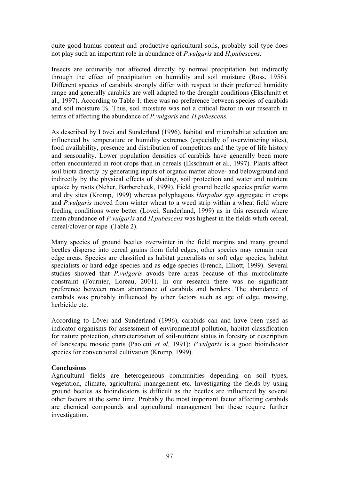quite good humus content and productive agricultural soils, probably soil type does not play such an important role in abundance of *P.vulgaris* and *H.pubescens*.

Insects are ordinarily not affected directly by normal precipitation but indirectly through the effect of precipitation on humidity and soil moisture (Ross, 1956). Different species of carabids strongly differ with respect to their preferred humidity range and generally carabids are well adapted to the drought conditions (Ekschmitt et al., 1997). According to Table 1, there was no preference between species of carabids and soil moisture %. Thus, soil moisture was not a critical factor in our research in terms of affecting the abundance of *P.vulgaris* and *H.pubescens.*

As described by Lövei and Sunderland (1996), habitat and microhabitat selection are influenced by temperature or humidity extremes (especially of overwintering sites), food availability, presence and distribution of competitors and the type of life history and seasonality. Lower population densities of carabids have generally been more often encountered in root crops than in cereals (Ekschmitt et al., 1997). Plants affect soil biota directly by generating inputs of organic matter above- and belowground and indirectly by the physical effects of shading, soil protection and water and nutrient uptake by roots (Neher, Barbercheck, 1999). Field ground beetle species prefer warm and dry sites (Kromp, 1999) whereas polyphagous *Harpalus spp* aggregate in crops and *P.vulgaris* moved from winter wheat to a weed strip within a wheat field where feeding conditions were better (Lövei, Sunderland, 1999) as in this research where mean abundance of *P.vulgaris* and *H.pubescens* was highest in the fields whith cereal, cereal/clover or rape (Table 2).

Many species of ground beetles overwinter in the field margins and many ground beetles disperse into cereal grains from field edges; other species may remain near edge areas. Species are classified as habitat generalists or soft edge species, habitat specialists or hard edge species and as edge species (French, Elliott, 1999). Several studies showed that *P.vulgaris* avoids bare areas because of this microclimate constraint (Fournier, Loreau, 2001). In our research there was no significant preference between mean abundance of carabids and borders. The abundance of carabids was probably influenced by other factors such as age of edge, mowing, herbicide etc.

According to Lövei and Sunderland (1996), carabids can and have been used as indicator organisms for assessment of environmental pollution, habitat classification for nature protection, characterization of soil-nutrient status in forestry or description of landscape mosaic parts (Paoletti *et al*, 1991); *P.vulgaris* is a good bioindicator species for conventional cultivation (Kromp, 1999).

## **Conclusions**

Agricultural fields are heterogeneous communities depending on soil types, vegetation, climate, agricultural management etc. Investigating the fields by using ground beetles as bioindicators is difficult as the beetles are influenced by several other factors at the same time. Probably the most important factor affecting carabids are chemical compounds and agricultural management but these require further investigation.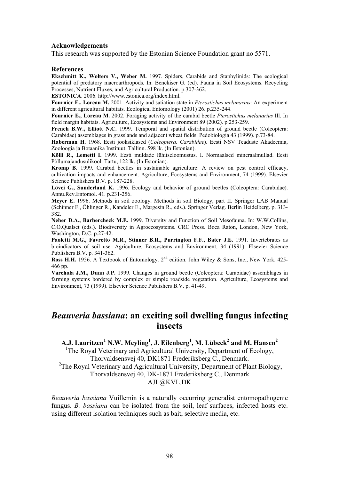#### **Acknowledgements**

This research was supported by the Estonian Science Foundation grant no 5571.

#### **References**

**Ekschmitt K., Wolters V., Weber M.** 1997. Spiders, Carabids and Staphylinids: The ecological potential of predatory macroarthropods. In: Benckiser G. (ed). Fauna in Soil Ecosystems. Recycling Processes, Nutrient Fluxes, and Agricultural Production. p.307-362.

**ESTONICA**. 2006. http://www.estonica.org/index.html.

**Fournier E., Loreau M.** 2001. Activity and satiation state in *Pterostichus melanarius*: An experiment in different agricultural habitats. Ecological Entomology (2001) 26. p.235-244.

**Fournier E., Loreau M.** 2002. Foraging activity of the carabid beetle *Pterostichus melanarius* Ill. In field margin habitats. Agriculture, Ecosystems and Environment 89 (2002). p.253-259.

**French B.W., Elliott N.C.** 1999. Temporal and spatial distribution of ground beetle (Coleoptera: Carabidae) assemblages in grasslands and adjacent wheat fields. Pedobiologia 43 (1999). p.73-84.

**Haberman H.** 1968. Eesti jooksiklased (*Coleoptera, Carabidae*). Eesti NSV Teaduste Akadeemia, Zooloogia ja Botaanika Instituut. Tallinn. 598 lk. (In Estonian).

**Kõlli R., Lemetti I.** 1999. Eesti muldade lühiiseloomustus. I. Normaalsed mineraalmullad. Eesti Põllumajandusülikool. Tartu, 122 lk. (In Estonian).

**Kromp B.** 1999. Carabid beetles in sustainable agriculture: A review on pest control efficacy, cultivation impacts and enhancement. Agriculture, Ecosystems and Environment, 74 (1999). Elsevier Science Publishers B.V. p. 187-228.

**Lövei G., Sunderland K.** 1996. Ecology and behavior of ground beetles (Coleoptera: Carabidae). Annu.Rev.Entomol. 41. p.231-256.

**Meyer E.** 1996. Methods in soil zoology. Methods in soil Biology, part II. Springer LAB Manual (Schinner F., Öhlinger R., Kandeler E., Margesin R., eds.). Springer Verlag. Berlin Heidelberg. p. 313- 382.

**Neher D.A., Barbercheck M.E.** 1999. Diversity and Function of Soil Mesofauna. In: W.W.Collins, C.O.Qualset (eds.). Biodiversity in Agroecosystems. CRC Press. Boca Raton, London, New York, Washington, D.C. p.27-42.

Paoletti M.G., Favretto M.R., Stinner B.R., Purrington F.F., Bater J.E. 1991. Invertebrates as bioindicators of soil use. Agriculture, Ecosystems and Environment, 34 (1991). Elsevier Science Publishers B.V. p. 341-362.

**Ross H.H.** 1956. A Textbook of Entomology. 2<sup>nd</sup> edition. John Wiley & Sons, Inc., New York. 425-466 pp.

**Varchola J.M., Dunn J.P.** 1999. Changes in ground beetle (Coleoptera: Carabidae) assemblages in farming systems bordered by complex or simple roadside vegetation. Agriculture, Ecosystems and Environment, 73 (1999). Elsevier Science Publishers B.V. p. 41-49.

## *Beauveria bassiana***: an exciting soil dwelling fungus infecting insects**

 ${\bf A}.{\bf J}.$  Lauritzen $^1$  N.W. Meyling $^1,$  J. Eilenberg $^1,$  M. Lübeck $^2$  and M. Hansen $^2$ 

<sup>1</sup>The Royal Veterinary and Agricultural University, Department of Ecology, Thorvaldsensvej 40, DK1871 Frederiksberg C., Denmark. <sup>2</sup>The Royal Veterinary and Agricultural University, Department of Plant Biology,

Thorvaldsensvej 40, DK-1871 Frederiksberg C., Denmark

AJL@KVL.DK

*Beauveria bassiana* Vuillemin is a naturally occurring generalist entomopathogenic fungus. *B. bassiana* can be isolated from the soil, leaf surfaces, infected hosts etc. using different isolation techniques such as bait, selective media, etc.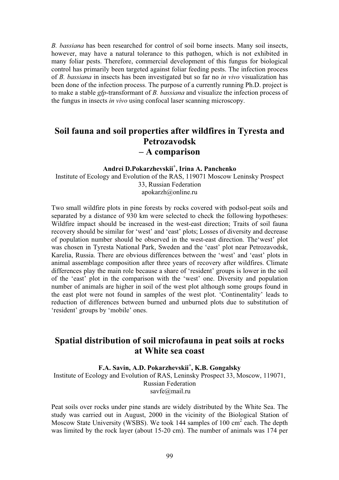*B. bassiana* has been researched for control of soil borne insects. Many soil insects, however, may have a natural tolerance to this pathogen, which is not exhibited in many foliar pests. Therefore, commercial development of this fungus for biological control has primarily been targeted against foliar feeding pests. The infection process of *B. bassiana* in insects has been investigated but so far no *in vivo* visualization has been done of the infection process. The purpose of a currently running Ph.D. project is to make a stable *gfp*-transformant of *B. bassiana* and visualize the infection process of the fungus in insects *in vivo* using confocal laser scanning microscopy.

# **Soil fauna and soil properties after wildfires in Tyresta and Petrozavodsk – A comparison**

## **Andrei D.Pokarzhevskii<sup>+</sup> , Irina A. Panchenko**  Institute of Ecology and Evolution of the RAS, 119071 Moscow Leninsky Prospect

33, Russian Federation apokarzh@online.ru

Two small wildfire plots in pine forests by rocks covered with podsol-peat soils and separated by a distance of 930 km were selected to check the following hypotheses: Wildfire impact should be increased in the west-east direction; Traits of soil fauna recovery should be similar for 'west' and 'east' plots; Losses of diversity and decrease of population number should be observed in the west-east direction. The'west' plot was chosen in Tyresta National Park, Sweden and the 'east' plot near Petrozavodsk, Karelia, Russia. There are obvious differences between the 'west' and 'east' plots in animal assemblage composition after three years of recovery after wildfires. Climate differences play the main role because a share of 'resident' groups is lower in the soil of the 'east' plot in the comparison with the 'west' one. Diversity and population number of animals are higher in soil of the west plot although some groups found in the east plot were not found in samples of the west plot. 'Continentality' leads to reduction of differences between burned and unburned plots due to substitution of 'resident' groups by 'mobile' ones.

## **Spatial distribution of soil microfauna in peat soils at rocks at White sea coast**

## **F.A. Savin, A.D. Pokarzhevskii<sup>+</sup> , K.B. Gongalsky**

Institute of Ecology and Evolution of RAS, Leninsky Prospect 33, Moscow, 119071, Russian Federation savfe@mail.ru

Peat soils over rocks under pine stands are widely distributed by the White Sea. The study was carried out in August, 2000 in the vicinity of the Biological Station of Moscow State University (WSBS). We took 144 samples of 100  $\text{cm}^2$  each. The depth was limited by the rock layer (about 15-20 cm). The number of animals was 174 per